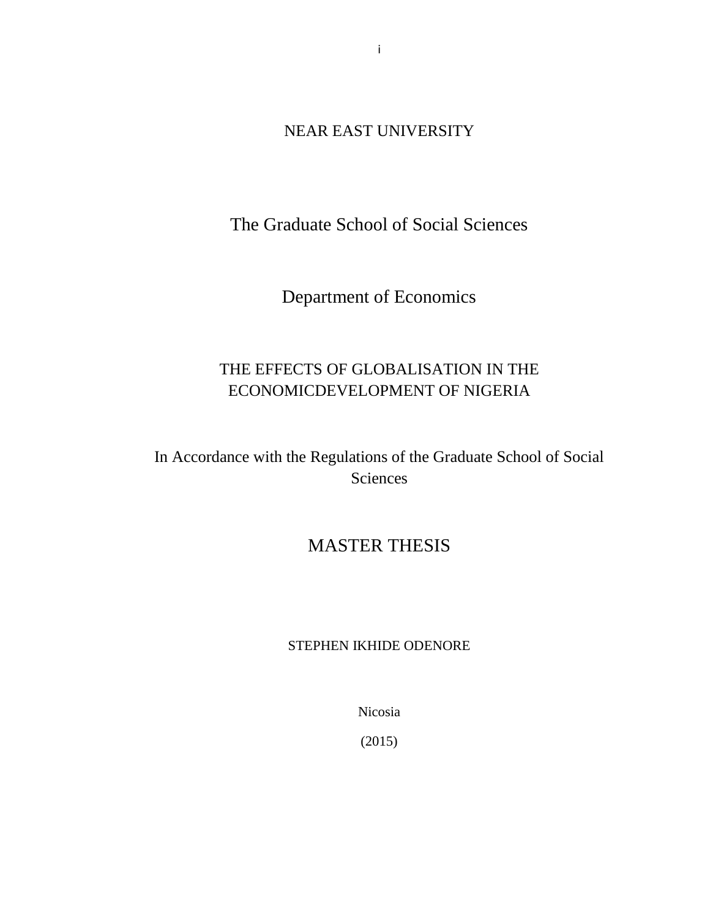NEAR EAST UNIVERSITY

The Graduate School of Social Sciences

Department of Economics

## THE EFFECTS OF GLOBALISATION IN THE ECONOMICDEVELOPMENT OF NIGERIA

In Accordance with the Regulations of the Graduate School of Social Sciences

## MASTER THESIS

## STEPHEN IKHIDE ODENORE

Nicosia

(2015)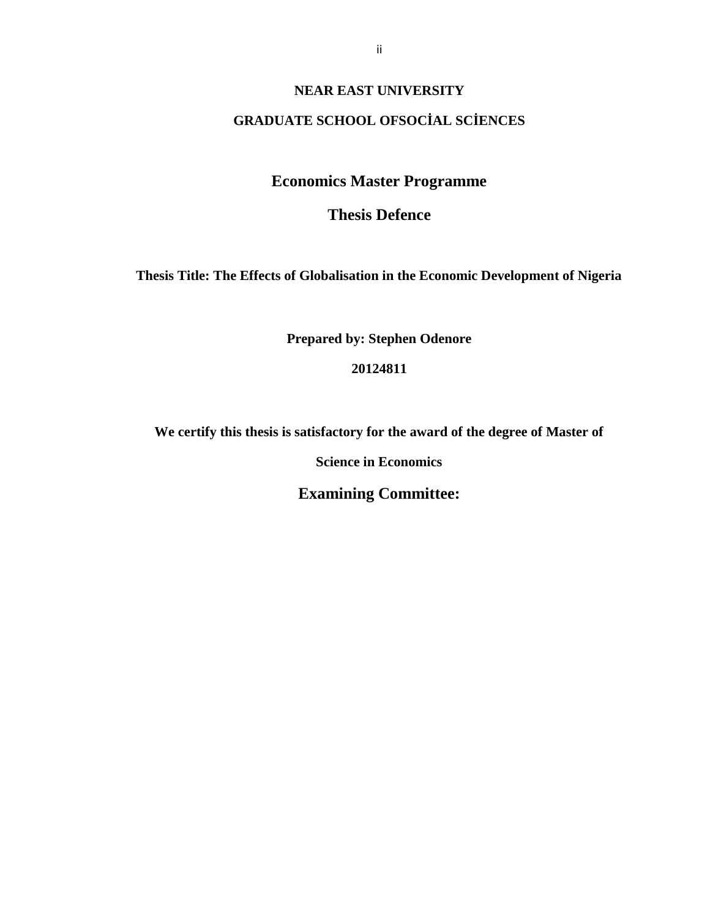#### **NEAR EAST UNIVERSITY**

#### **GRADUATE SCHOOL OFSOC AL SC ENCES**

## **Economics Master Programme**

## **Thesis Defence**

**Thesis Title: The Effects of Globalisation in the Economic Development of Nigeria**

**Prepared by: Stephen Odenore**

#### **20124811**

**We certify this thesis is satisfactory for the award of the degree of Master of**

**Science in Economics**

**Examining Committee:**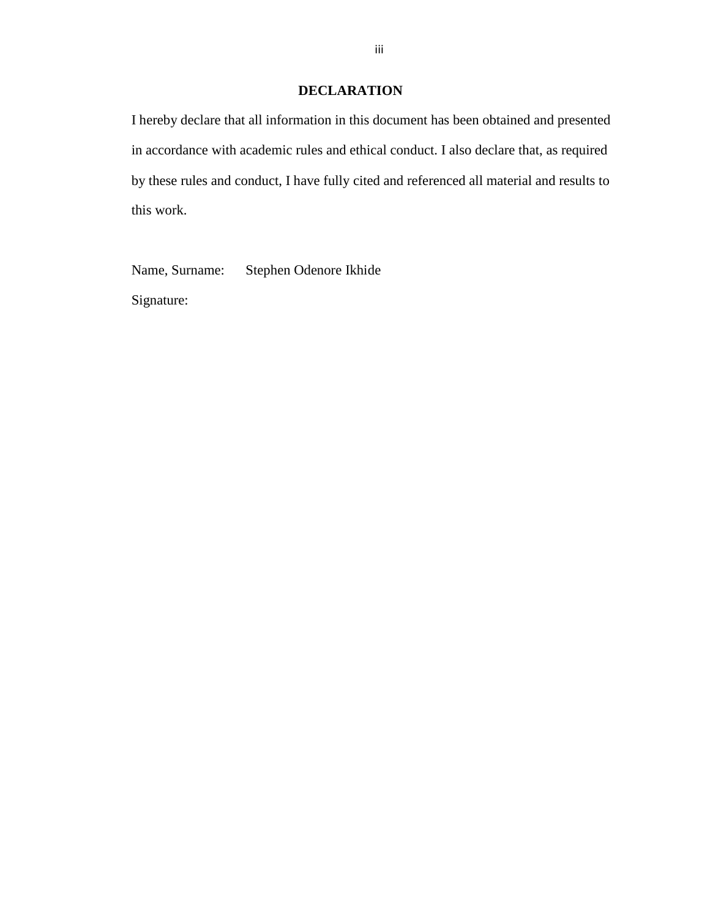#### **DECLARATION**

I hereby declare that all information in this document has been obtained and presented in accordance with academic rules and ethical conduct. I also declare that, as required by these rules and conduct, I have fully cited and referenced all material and results to this work.

Name, Surname: Stephen Odenore Ikhide

Signature: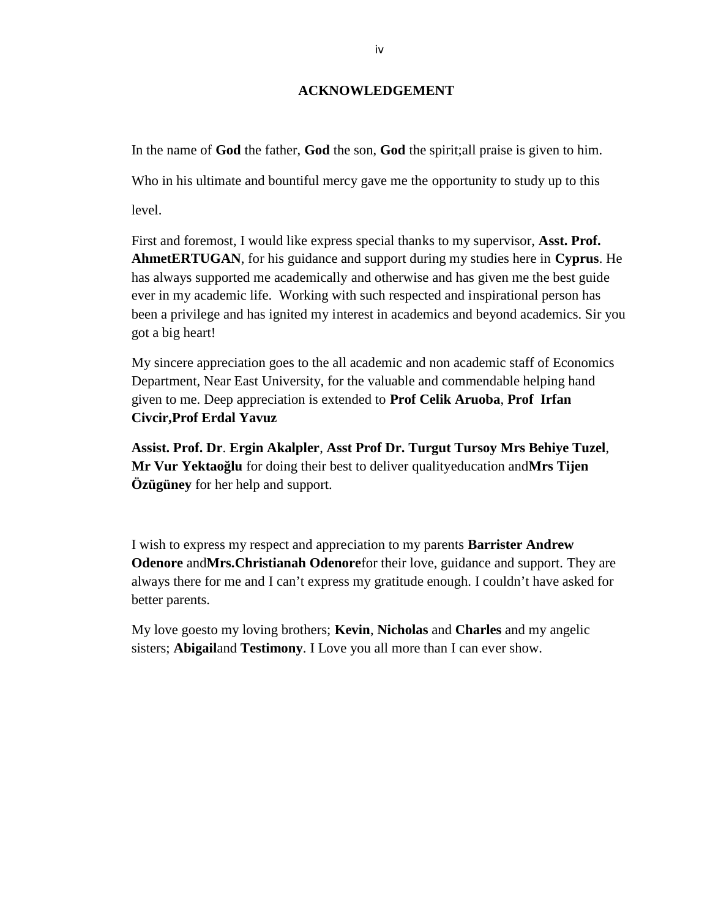#### **ACKNOWLEDGEMENT**

In the name of **God** the father, **God** the son, **God** the spirit;all praise is given to him.

Who in his ultimate and bountiful mercy gave me the opportunity to study up to this

level.

First and foremost, I would like express special thanks to my supervisor, **Asst. Prof. AhmetERTUGAN**, for his guidance and support during my studies here in **Cyprus**. He has always supported me academically and otherwise and has given me the best guide ever in my academic life. Working with such respected and inspirational person has been a privilege and has ignited my interest in academics and beyond academics. Sir you got a big heart!

My sincere appreciation goes to the all academic and non academic staff of Economics Department, Near East University, for the valuable and commendable helping hand given to me. Deep appreciation is extended to **Prof Celik Aruoba**, **Prof Irfan Civcir,Prof Erdal Yavuz**

**Assist. Prof. Dr**. **Ergin Akalpler**, **Asst Prof Dr. Turgut Tursoy Mrs Behiye Tuzel**, **Mr Vur Yektao lu** for doing their best to deliver qualityeducation and **Mrs Tijen Özügüney** for her help and support.

I wish to express my respect and appreciation to my parents **Barrister Andrew Odenore** and**Mrs.Christianah Odenore**for their love, guidance and support. They are always there for me and I can't express my gratitude enough. I couldn't have asked for better parents.

My love goesto my loving brothers; **Kevin**, **Nicholas** and **Charles** and my angelic sisters; **Abigail**and **Testimony**. I Love you all more than I can ever show.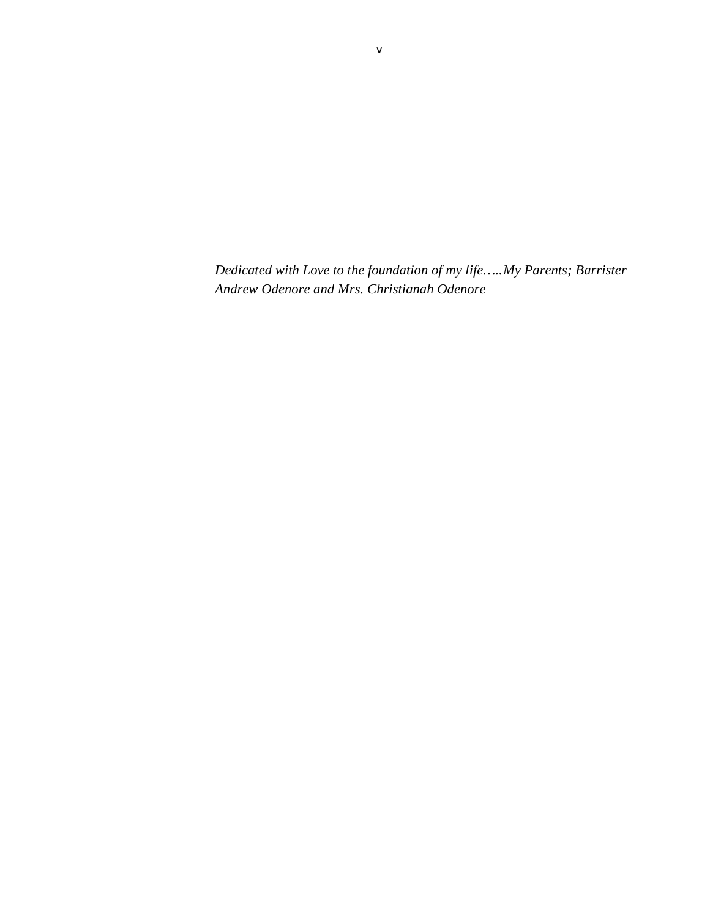*Dedicated with Love to the foundation of my life…..My Parents; Barrister Andrew Odenore and Mrs. Christianah Odenore*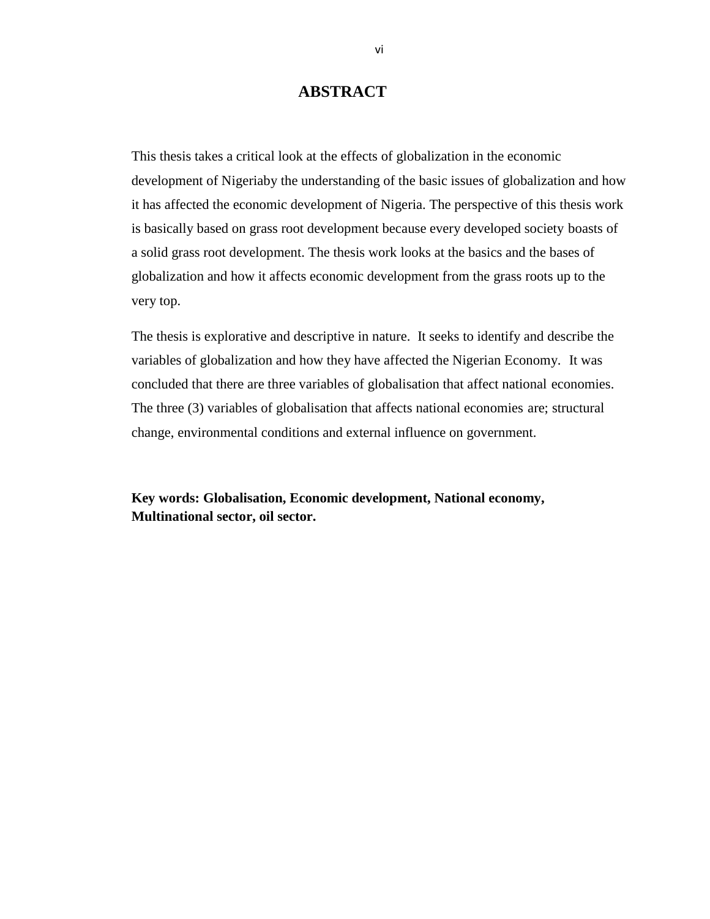## **ABSTRACT**

This thesis takes a critical look at the effects of globalization in the economic development of Nigeriaby the understanding of the basic issues of globalization and how it has affected the economic development of Nigeria. The perspective of this thesis work is basically based on grass root development because every developed society boasts of a solid grass root development. The thesis work looks at the basics and the bases of globalization and how it affects economic development from the grass roots up to the very top.

The thesis is explorative and descriptive in nature. It seeks to identify and describe the variables of globalization and how they have affected the Nigerian Economy. It was concluded that there are three variables of globalisation that affect national economies. The three (3) variables of globalisation that affects national economies are; structural change, environmental conditions and external influence on government.

**Key words: Globalisation, Economic development, National economy, Multinational sector, oil sector.**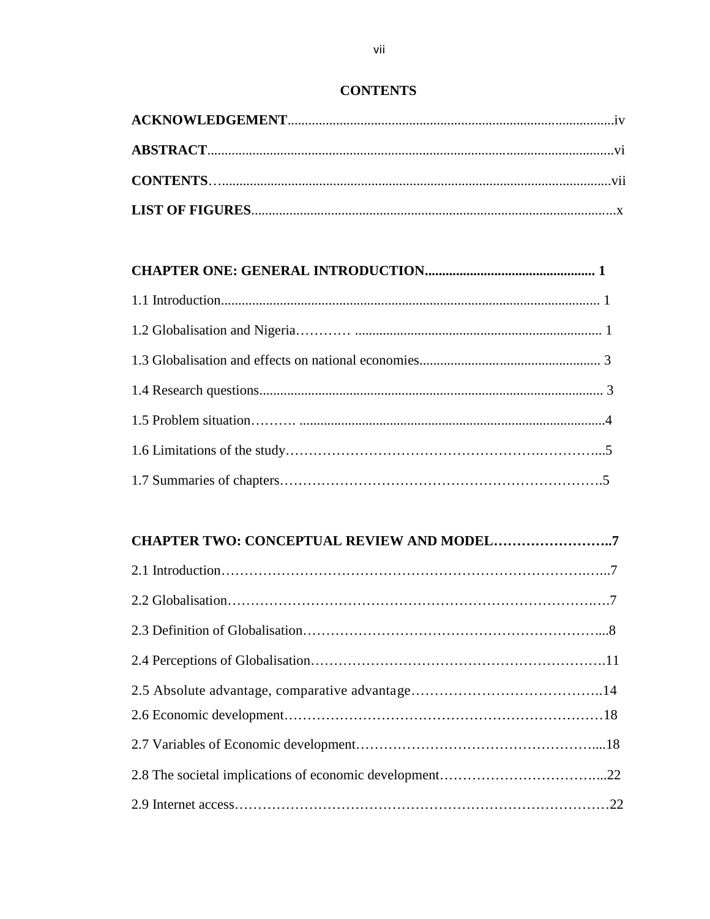#### **CONTENTS**

## **CHAPTER ONE: GENERAL INTRODUCTION................................................. 1**

# **CHAPTER TWO: CONCEPTUAL REVIEW AND MODEL……………………..7** 2.1 Introduction…………………………………………………………………….…...7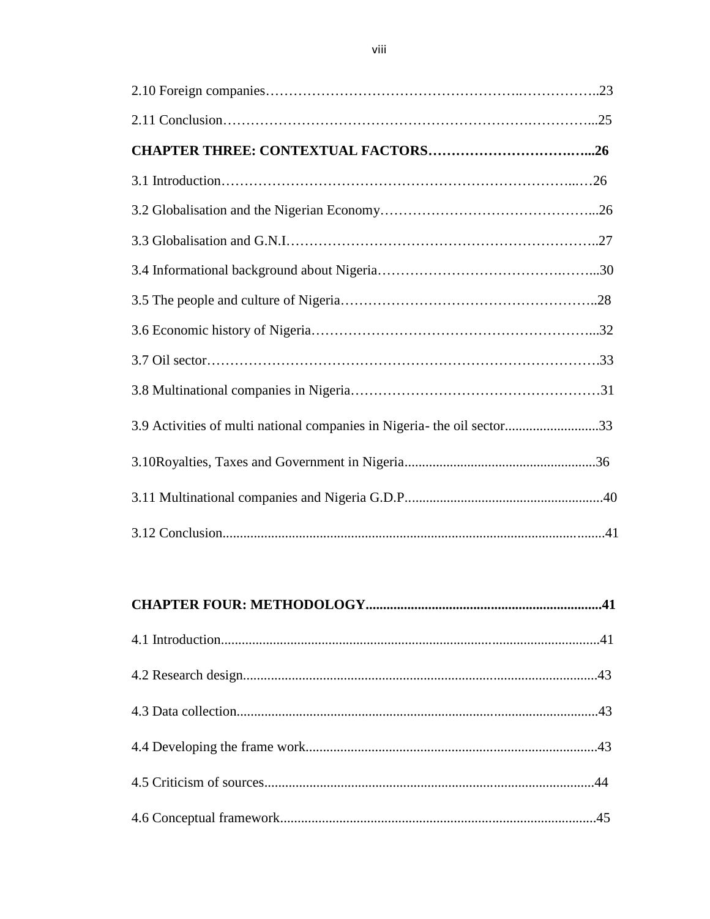| 3.9 Activities of multi national companies in Nigeria- the oil sector33 |  |
|-------------------------------------------------------------------------|--|
|                                                                         |  |
|                                                                         |  |
|                                                                         |  |

# **CHAPTER FOUR: METHODOLOGY....................................................................41**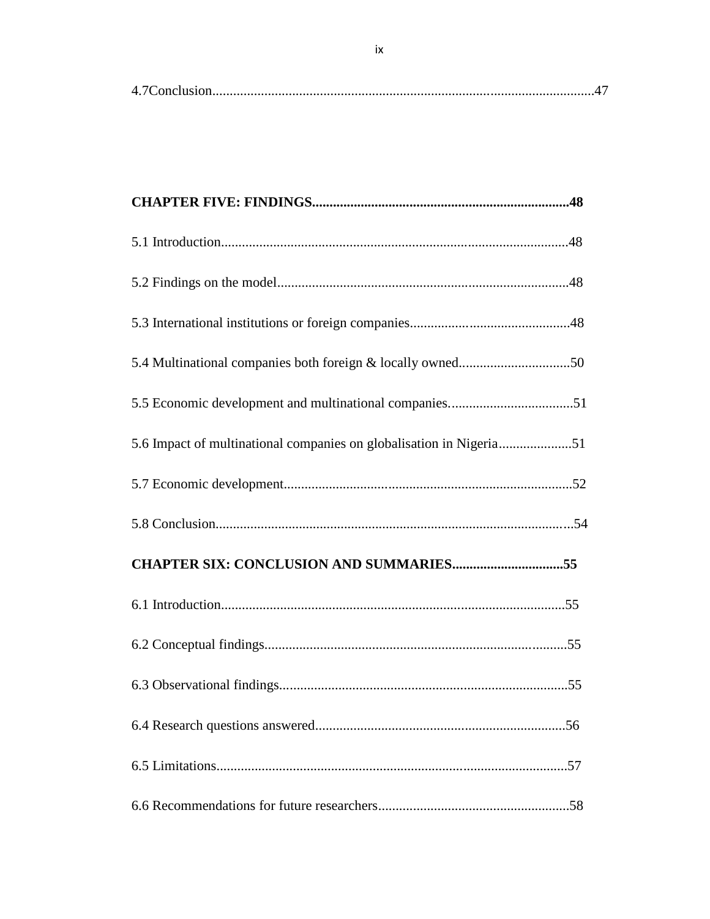| 5.4 Multinational companies both foreign & locally owned50          |  |
|---------------------------------------------------------------------|--|
| 5.5 Economic development and multinational companies51              |  |
| 5.6 Impact of multinational companies on globalisation in Nigeria51 |  |
|                                                                     |  |
|                                                                     |  |
| <b>CHAPTER SIX: CONCLUSION AND SUMMARIES55</b>                      |  |
|                                                                     |  |
|                                                                     |  |
|                                                                     |  |
|                                                                     |  |
|                                                                     |  |
|                                                                     |  |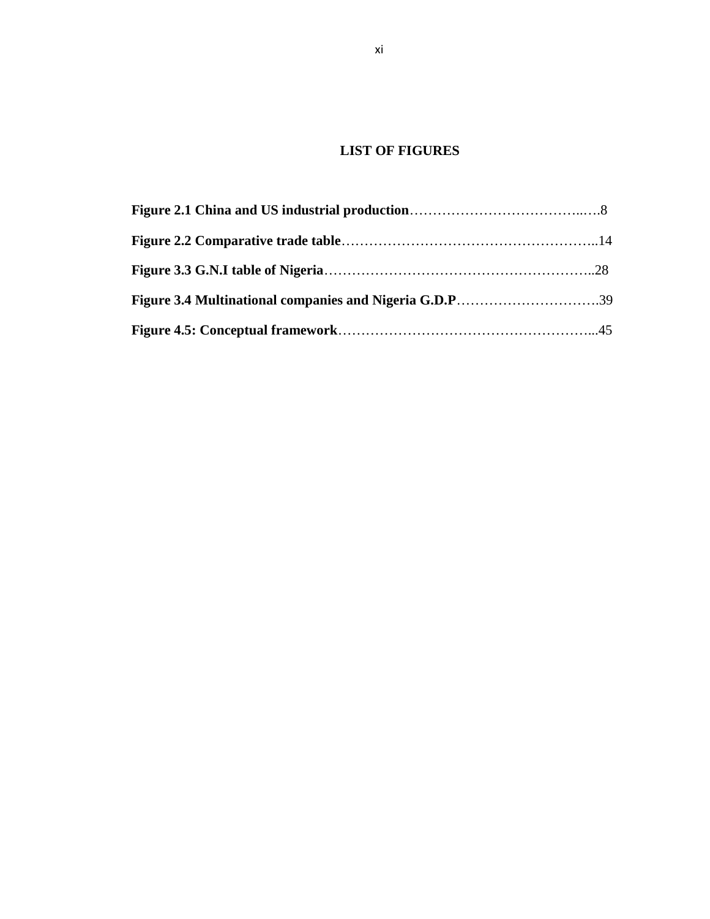## **LIST OF FIGURES**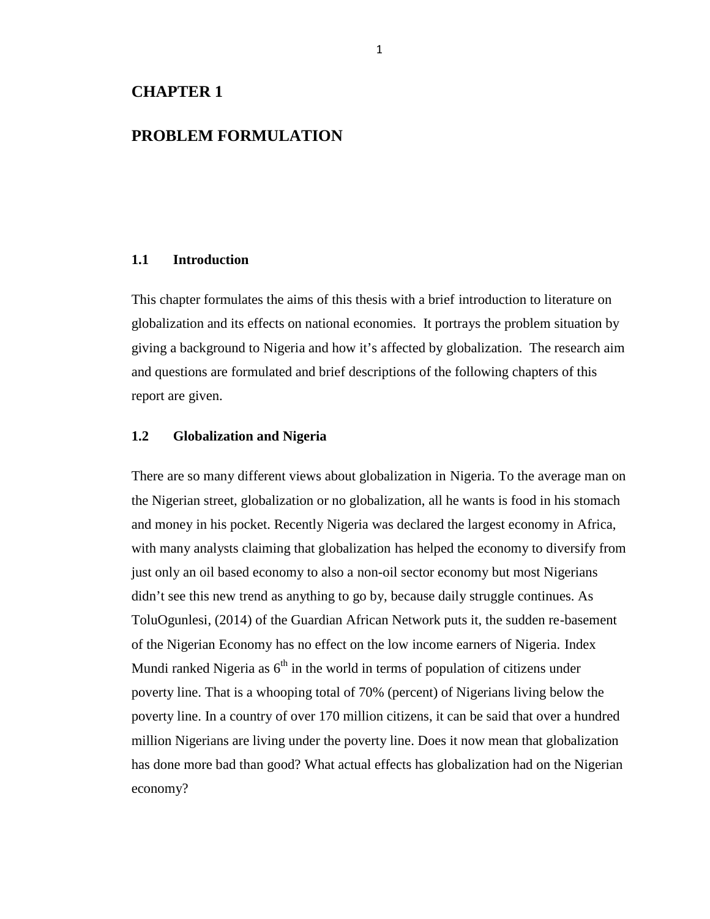### **CHAPTER 1**

## **PROBLEM FORMULATION**

#### **1.1 Introduction**

This chapter formulates the aims of this thesis with a brief introduction to literature on globalization and its effects on national economies. It portrays the problem situation by giving a background to Nigeria and how it's affected by globalization. The research aim and questions are formulated and brief descriptions of the following chapters of this report are given.

#### **1.2 Globalization and Nigeria**

There are so many different views about globalization in Nigeria. To the average man on the Nigerian street, globalization or no globalization, all he wants is food in his stomach and money in his pocket. Recently Nigeria was declared the largest economy in Africa, with many analysts claiming that globalization has helped the economy to diversify from just only an oil based economy to also a non-oil sector economy but most Nigerians didn't see this new trend as anything to go by, because daily struggle continues. As ToluOgunlesi, (2014) of the Guardian African Network puts it, the sudden re-basement of the Nigerian Economy has no effect on the low income earners of Nigeria. Index Mundi ranked Nigeria as  $6<sup>th</sup>$  in the world in terms of population of citizens under poverty line. That is a whooping total of 70% (percent) of Nigerians living below the poverty line. In a country of over 170 million citizens, it can be said that over a hundred million Nigerians are living under the poverty line. Does it now mean that globalization has done more bad than good? What actual effects has globalization had on the Nigerian economy?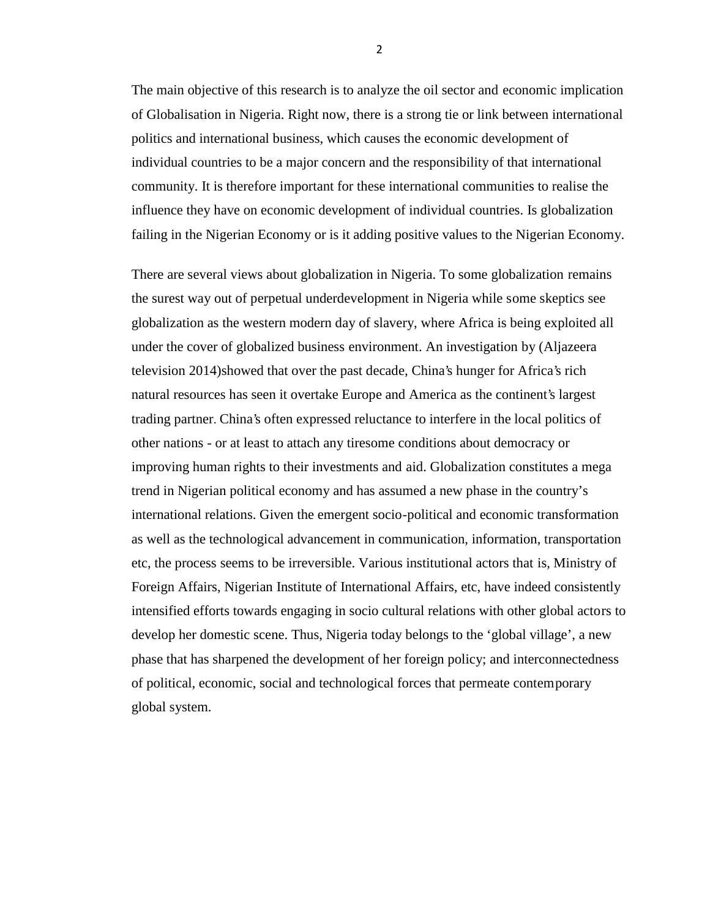The main objective of this research is to analyze the oil sector and economic implication of Globalisation in Nigeria. Right now, there is a strong tie or link between international politics and international business, which causes the economic development of individual countries to be a major concern and the responsibility of that international community. It is therefore important for these international communities to realise the influence they have on economic development of individual countries. Is globalization failing in the Nigerian Economy or is it adding positive values to the Nigerian Economy.

There are several views about globalization in Nigeria. To some globalization remains the surest way out of perpetual underdevelopment in Nigeria while some skeptics see globalization as the western modern day of slavery, where Africa is being exploited all under the cover of globalized business environment. An investigation by (Aljazeera television 2014)showed that over the past decade, China's hunger for Africa's rich natural resources has seen it overtake Europe and America as the continent's largest trading partner. China's often expressed reluctance to interfere in the local politics of other nations - or at least to attach any tiresome conditions about democracy or improving human rights to their investments and aid. Globalization constitutes a mega trend in Nigerian political economy and has assumed a new phase in the country's international relations. Given the emergent socio-political and economic transformation as well as the technological advancement in communication, information, transportation etc, the process seems to be irreversible. Various institutional actors that is, Ministry of Foreign Affairs, Nigerian Institute of International Affairs, etc, have indeed consistently intensified efforts towards engaging in socio cultural relations with other global actors to develop her domestic scene. Thus, Nigeria today belongs to the 'global village', a new phase that has sharpened the development of her foreign policy; and interconnectedness of political, economic, social and technological forces that permeate contemporary global system.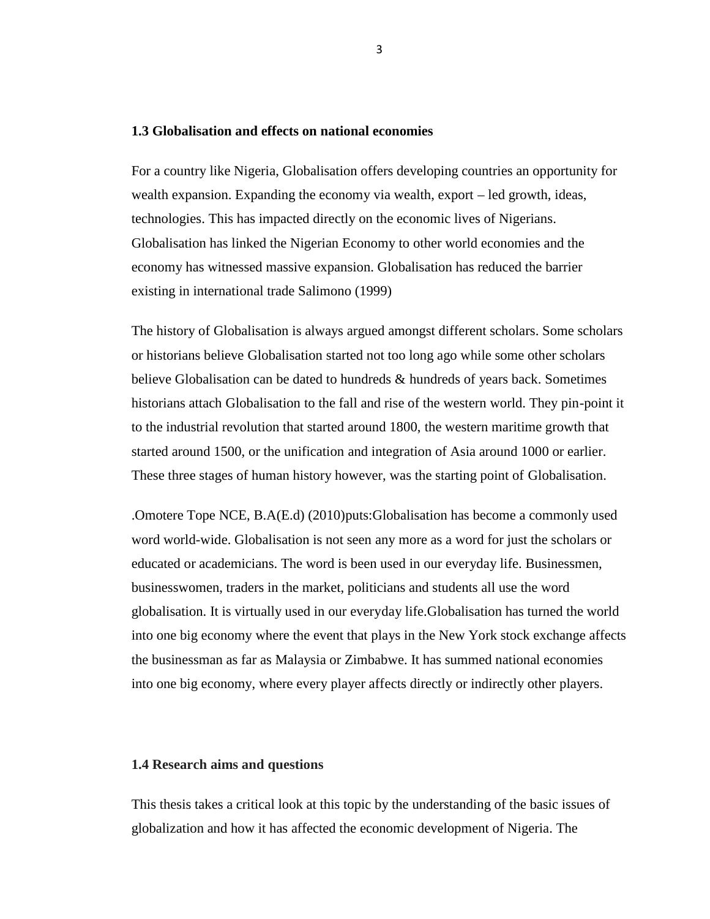#### **1.3 Globalisation and effects on national economies**

For a country like Nigeria, Globalisation offers developing countries an opportunity for wealth expansion. Expanding the economy via wealth, export – led growth, ideas, technologies. This has impacted directly on the economic lives of Nigerians. Globalisation has linked the Nigerian Economy to other world economies and the economy has witnessed massive expansion. Globalisation has reduced the barrier existing in international trade Salimono (1999)

The history of Globalisation is always argued amongst different scholars. Some scholars or historians believe Globalisation started not too long ago while some other scholars believe Globalisation can be dated to hundreds & hundreds of years back. Sometimes historians attach Globalisation to the fall and rise of the western world. They pin-point it to the industrial revolution that started around 1800, the western maritime growth that started around 1500, or the unification and integration of Asia around 1000 or earlier. These three stages of human history however, was the starting point of Globalisation.

.Omotere Tope NCE, B.A(E.d) (2010)puts:Globalisation has become a commonly used word world-wide. Globalisation is not seen any more as a word for just the scholars or educated or academicians. The word is been used in our everyday life. Businessmen, businesswomen, traders in the market, politicians and students all use the word globalisation. It is virtually used in our everyday life.Globalisation has turned the world into one big economy where the event that plays in the New York stock exchange affects the businessman as far as Malaysia or Zimbabwe. It has summed national economies into one big economy, where every player affects directly or indirectly other players.

#### **1.4 Research aims and questions**

This thesis takes a critical look at this topic by the understanding of the basic issues of globalization and how it has affected the economic development of Nigeria. The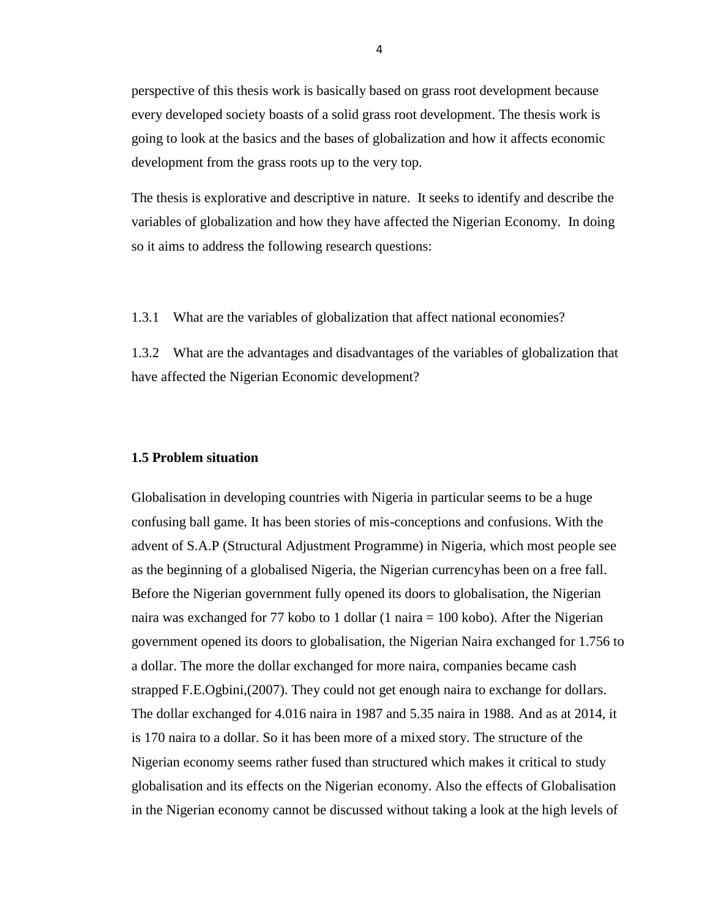perspective of this thesis work is basically based on grass root development because every developed society boasts of a solid grass root development. The thesis work is going to look at the basics and the bases of globalization and how it affects economic development from the grass roots up to the very top.

The thesis is explorative and descriptive in nature. It seeks to identify and describe the variables of globalization and how they have affected the Nigerian Economy. In doing so it aims to address the following research questions:

1.3.1 What are the variables of globalization that affect national economies?

1.3.2 What are the advantages and disadvantages of the variables of globalization that have affected the Nigerian Economic development?

#### **1.5 Problem situation**

Globalisation in developing countries with Nigeria in particular seems to be a huge confusing ball game. It has been stories of mis-conceptions and confusions. With the advent of S.A.P (Structural Adjustment Programme) in Nigeria, which most people see as the beginning of a globalised Nigeria, the Nigerian currencyhas been on a free fall. Before the Nigerian government fully opened its doors to globalisation, the Nigerian naira was exchanged for 77 kobo to 1 dollar (1 naira = 100 kobo). After the Nigerian government opened its doors to globalisation, the Nigerian Naira exchanged for 1.756 to a dollar. The more the dollar exchanged for more naira, companies became cash strapped F.E.Ogbini,(2007). They could not get enough naira to exchange for dollars. The dollar exchanged for 4.016 naira in 1987 and 5.35 naira in 1988. And as at 2014, it is 170 naira to a dollar. So it has been more of a mixed story. The structure of the Nigerian economy seems rather fused than structured which makes it critical to study globalisation and its effects on the Nigerian economy. Also the effects of Globalisation in the Nigerian economy cannot be discussed without taking a look at the high levels of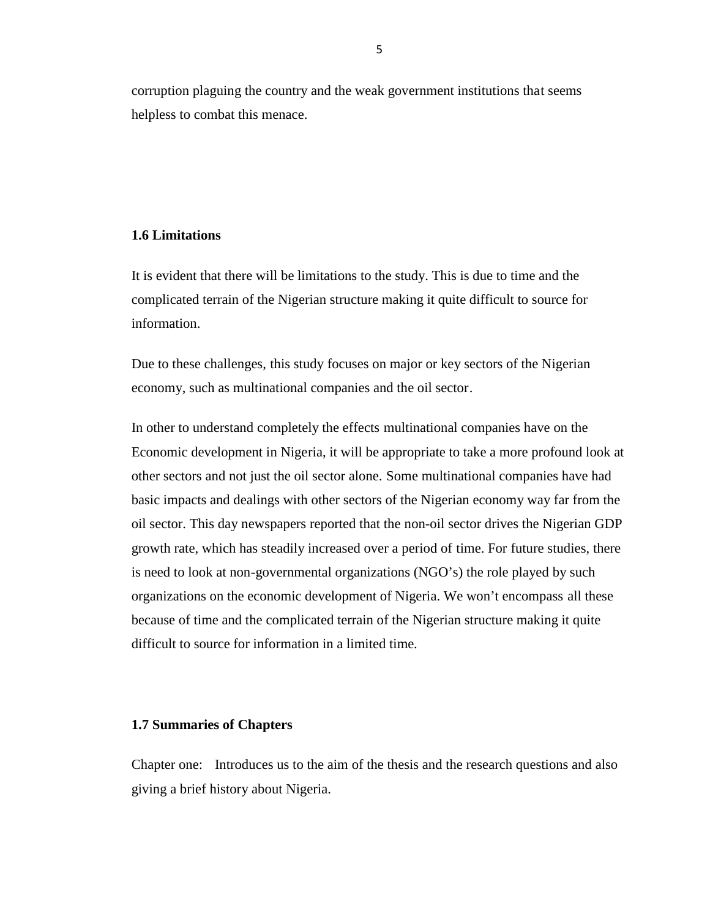corruption plaguing the country and the weak government institutions that seems helpless to combat this menace.

#### **1.6 Limitations**

It is evident that there will be limitations to the study. This is due to time and the complicated terrain of the Nigerian structure making it quite difficult to source for information.

Due to these challenges, this study focuses on major or key sectors of the Nigerian economy, such as multinational companies and the oil sector.

In other to understand completely the effects multinational companies have on the Economic development in Nigeria, it will be appropriate to take a more profound look at other sectors and not just the oil sector alone. Some multinational companies have had basic impacts and dealings with other sectors of the Nigerian economy way far from the oil sector. This day newspapers reported that the non-oil sector drives the Nigerian GDP growth rate, which has steadily increased over a period of time. For future studies, there is need to look at non-governmental organizations (NGO's) the role played by such organizations on the economic development of Nigeria. We won't encompass all these because of time and the complicated terrain of the Nigerian structure making it quite difficult to source for information in a limited time.

#### **1.7 Summaries of Chapters**

Chapter one: Introduces us to the aim of the thesis and the research questions and also giving a brief history about Nigeria.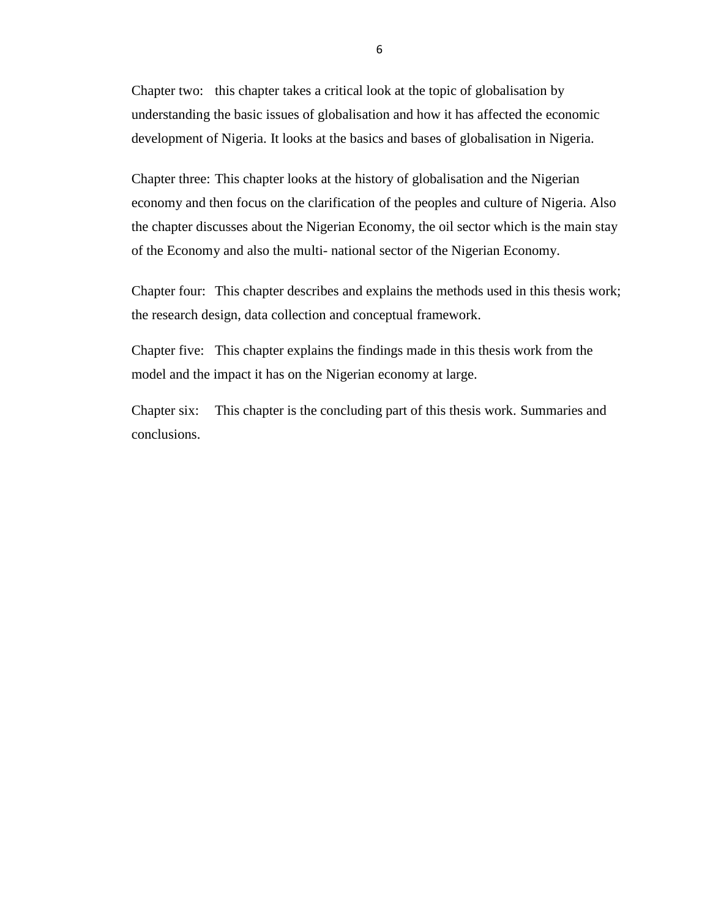Chapter two: this chapter takes a critical look at the topic of globalisation by understanding the basic issues of globalisation and how it has affected the economic development of Nigeria. It looks at the basics and bases of globalisation in Nigeria.

Chapter three: This chapter looks at the history of globalisation and the Nigerian economy and then focus on the clarification of the peoples and culture of Nigeria. Also the chapter discusses about the Nigerian Economy, the oil sector which is the main stay of the Economy and also the multi- national sector of the Nigerian Economy.

Chapter four: This chapter describes and explains the methods used in this thesis work; the research design, data collection and conceptual framework.

Chapter five: This chapter explains the findings made in this thesis work from the model and the impact it has on the Nigerian economy at large.

Chapter six: This chapter is the concluding part of this thesis work. Summaries and conclusions.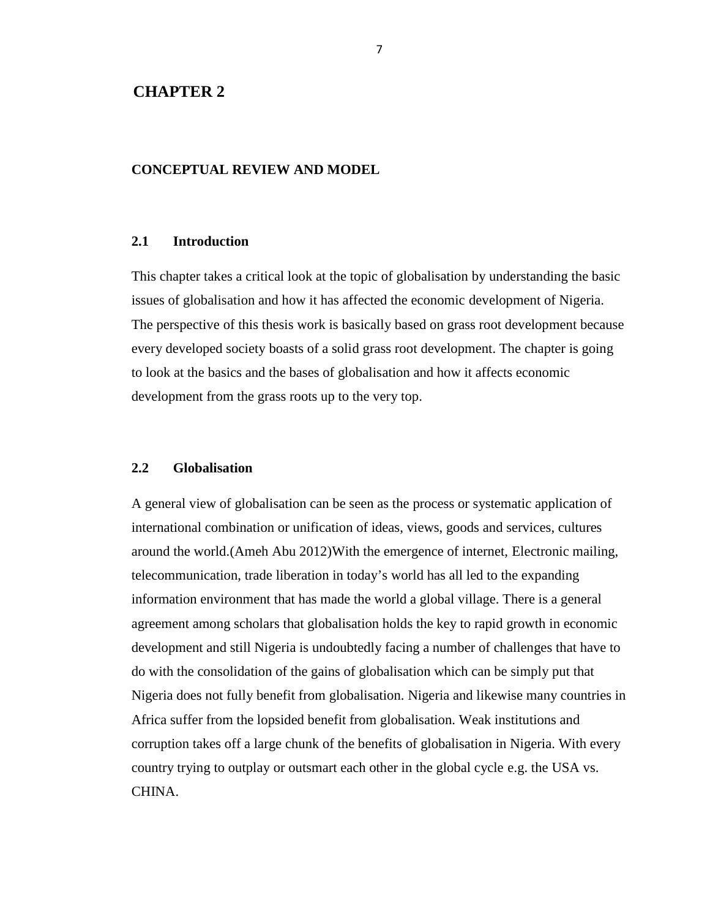#### **CHAPTER 2**

#### **CONCEPTUAL REVIEW AND MODEL**

#### **2.1 Introduction**

This chapter takes a critical look at the topic of globalisation by understanding the basic issues of globalisation and how it has affected the economic development of Nigeria. The perspective of this thesis work is basically based on grass root development because every developed society boasts of a solid grass root development. The chapter is going to look at the basics and the bases of globalisation and how it affects economic development from the grass roots up to the very top.

#### **2.2 Globalisation**

A general view of globalisation can be seen as the process or systematic application of international combination or unification of ideas, views, goods and services, cultures around the world.(Ameh Abu 2012)With the emergence of internet, Electronic mailing, telecommunication, trade liberation in today's world has all led to the expanding information environment that has made the world a global village. There is a general agreement among scholars that globalisation holds the key to rapid growth in economic development and still Nigeria is undoubtedly facing a number of challenges that have to do with the consolidation of the gains of globalisation which can be simply put that Nigeria does not fully benefit from globalisation. Nigeria and likewise many countries in Africa suffer from the lopsided benefit from globalisation. Weak institutions and corruption takes off a large chunk of the benefits of globalisation in Nigeria. With every country trying to outplay or outsmart each other in the global cycle e.g. the USA vs. CHINA.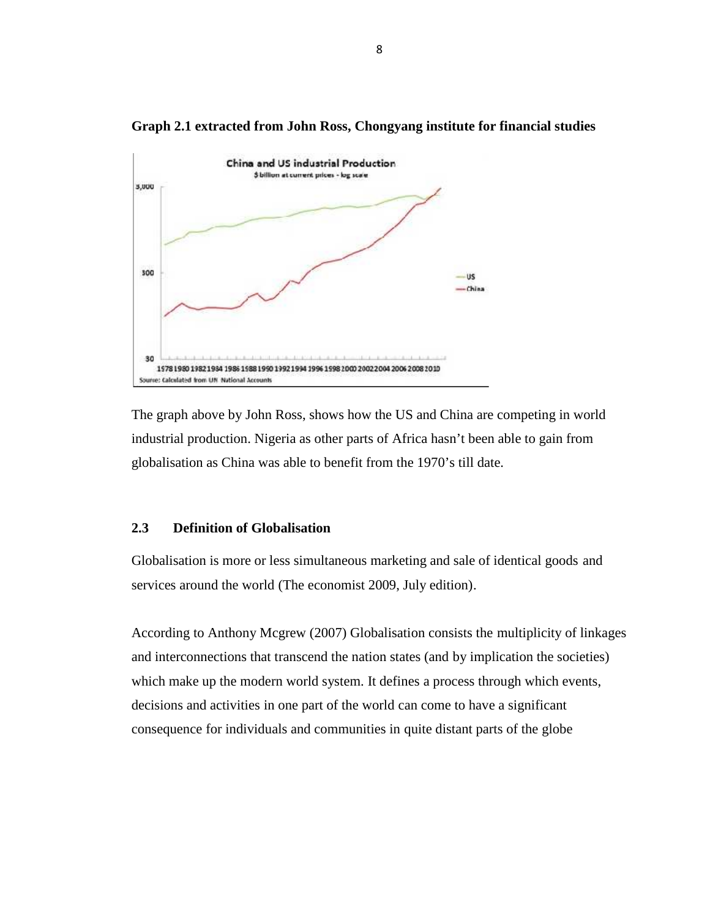

**Graph 2.1 extracted from John Ross, Chongyang institute for financial studies**

The graph above by John Ross, shows how the US and China are competing in world industrial production. Nigeria as other parts of Africa hasn't been able to gain from globalisation as China was able to benefit from the 1970's till date.

#### **2.3 Definition of Globalisation**

Globalisation is more or less simultaneous marketing and sale of identical goods and services around the world (The economist 2009, July edition).

According to Anthony Mcgrew (2007) Globalisation consists the multiplicity of linkages and interconnections that transcend the nation states (and by implication the societies) which make up the modern world system. It defines a process through which events, decisions and activities in one part of the world can come to have a significant consequence for individuals and communities in quite distant parts of the globe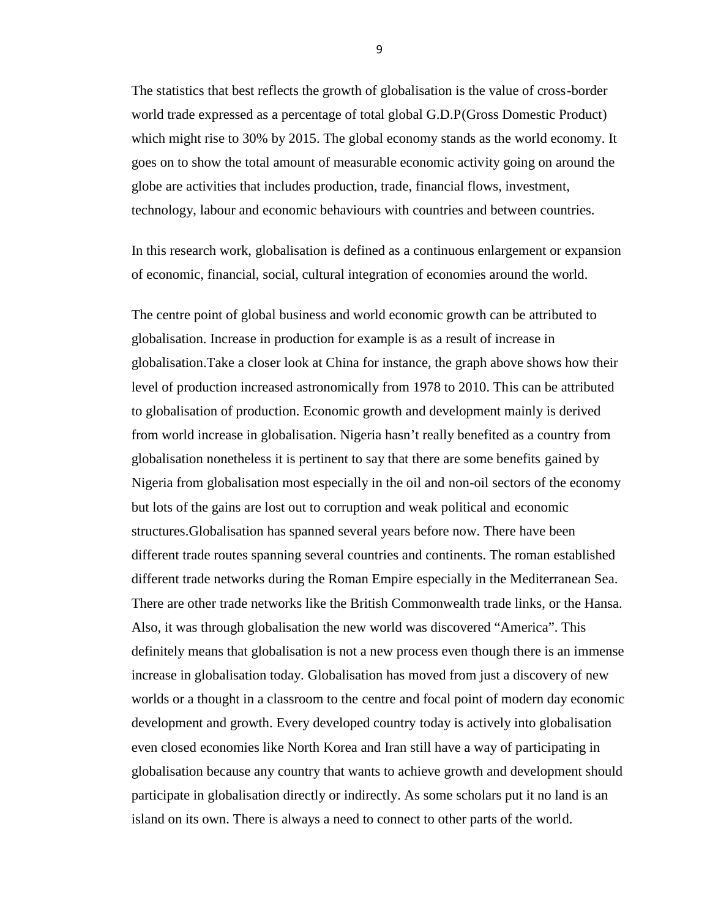The statistics that best reflects the growth of globalisation is the value of cross-border world trade expressed as a percentage of total global G.D.P(Gross Domestic Product) which might rise to 30% by 2015. The global economy stands as the world economy. It goes on to show the total amount of measurable economic activity going on around the globe are activities that includes production, trade, financial flows, investment, technology, labour and economic behaviours with countries and between countries.

In this research work, globalisation is defined as a continuous enlargement or expansion of economic, financial, social, cultural integration of economies around the world.

The centre point of global business and world economic growth can be attributed to globalisation. Increase in production for example is as a result of increase in globalisation.Take a closer look at China for instance, the graph above shows how their level of production increased astronomically from 1978 to 2010. This can be attributed to globalisation of production. Economic growth and development mainly is derived from world increase in globalisation. Nigeria hasn't really benefited as a country from globalisation nonetheless it is pertinent to say that there are some benefits gained by Nigeria from globalisation most especially in the oil and non-oil sectors of the economy but lots of the gains are lost out to corruption and weak political and economic structures.Globalisation has spanned several years before now. There have been different trade routes spanning several countries and continents. The roman established different trade networks during the Roman Empire especially in the Mediterranean Sea. There are other trade networks like the British Commonwealth trade links, or the Hansa. Also, it was through globalisation the new world was discovered "America". This definitely means that globalisation is not a new process even though there is an immense increase in globalisation today. Globalisation has moved from just a discovery of new worlds or a thought in a classroom to the centre and focal point of modern day economic development and growth. Every developed country today is actively into globalisation even closed economies like North Korea and Iran still have a way of participating in globalisation because any country that wants to achieve growth and development should participate in globalisation directly or indirectly. As some scholars put it no land is an island on its own. There is always a need to connect to other parts of the world.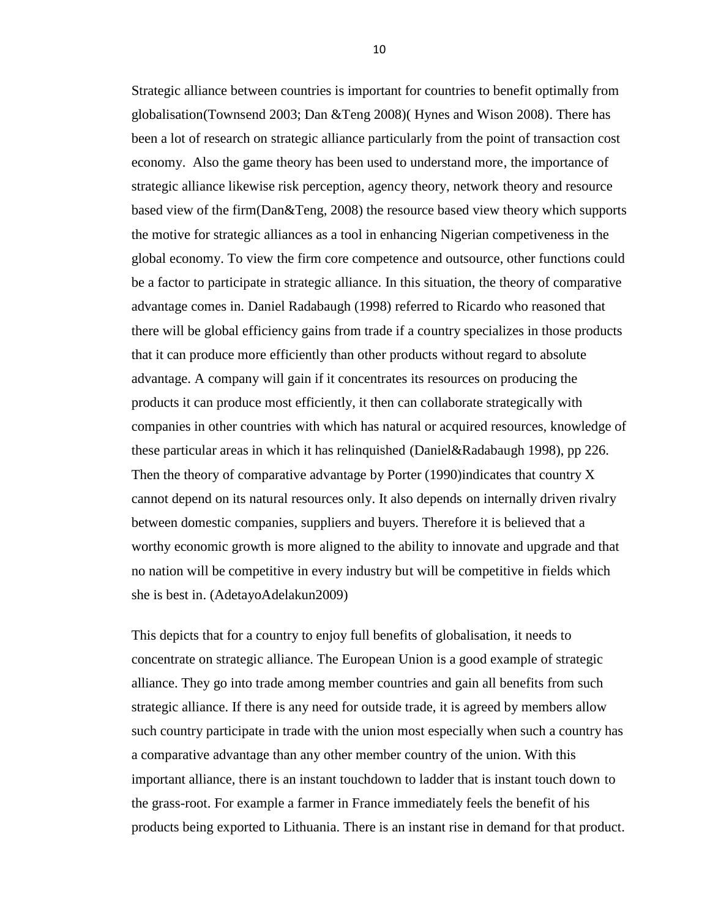Strategic alliance between countries is important for countries to benefit optimally from globalisation(Townsend 2003; Dan &Teng 2008)( Hynes and Wison 2008). There has been a lot of research on strategic alliance particularly from the point of transaction cost economy. Also the game theory has been used to understand more, the importance of strategic alliance likewise risk perception, agency theory, network theory and resource based view of the firm(Dan&Teng, 2008) the resource based view theory which supports the motive for strategic alliances as a tool in enhancing Nigerian competiveness in the global economy. To view the firm core competence and outsource, other functions could be a factor to participate in strategic alliance. In this situation, the theory of comparative advantage comes in*.* Daniel Radabaugh (1998) referred to Ricardo who reasoned that there will be global efficiency gains from trade if a country specializes in those products that it can produce more efficiently than other products without regard to absolute advantage. A company will gain if it concentrates its resources on producing the products it can produce most efficiently, it then can collaborate strategically with companies in other countries with which has natural or acquired resources, knowledge of these particular areas in which it has relinquished (Daniel&Radabaugh 1998), pp 226. Then the theory of comparative advantage by Porter (1990)indicates that country X cannot depend on its natural resources only. It also depends on internally driven rivalry between domestic companies, suppliers and buyers. Therefore it is believed that a worthy economic growth is more aligned to the ability to innovate and upgrade and that no nation will be competitive in every industry but will be competitive in fields which she is best in. (AdetayoAdelakun2009)

This depicts that for a country to enjoy full benefits of globalisation, it needs to concentrate on strategic alliance. The European Union is a good example of strategic alliance. They go into trade among member countries and gain all benefits from such strategic alliance. If there is any need for outside trade, it is agreed by members allow such country participate in trade with the union most especially when such a country has a comparative advantage than any other member country of the union. With this important alliance, there is an instant touchdown to ladder that is instant touch down to the grass-root. For example a farmer in France immediately feels the benefit of his products being exported to Lithuania. There is an instant rise in demand for that product.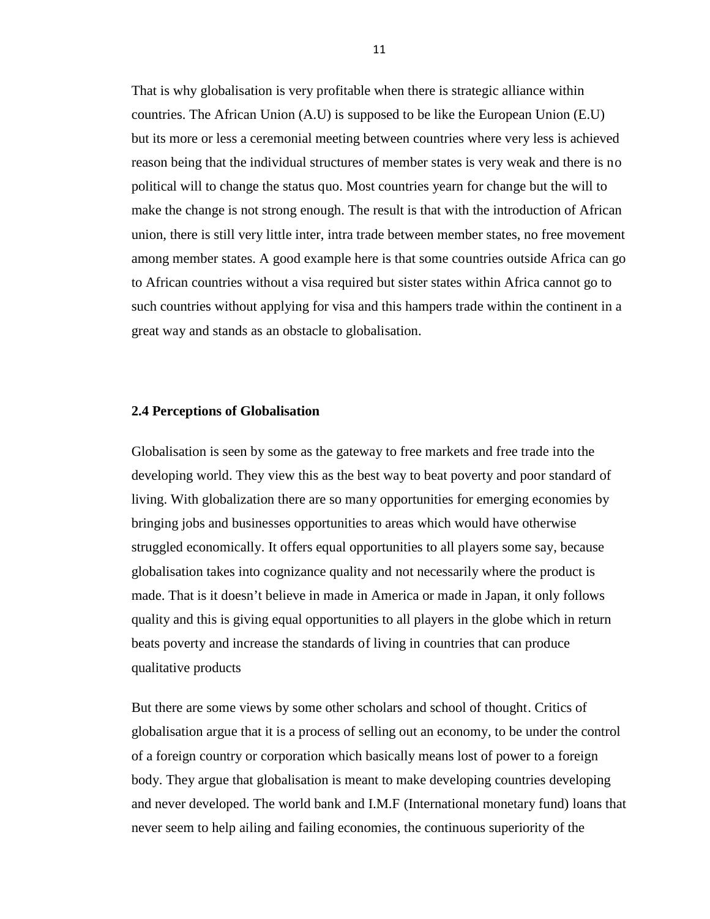That is why globalisation is very profitable when there is strategic alliance within countries. The African Union (A.U) is supposed to be like the European Union (E.U) but its more or less a ceremonial meeting between countries where very less is achieved reason being that the individual structures of member states is very weak and there is no political will to change the status quo. Most countries yearn for change but the will to make the change is not strong enough. The result is that with the introduction of African union, there is still very little inter, intra trade between member states, no free movement among member states. A good example here is that some countries outside Africa can go to African countries without a visa required but sister states within Africa cannot go to such countries without applying for visa and this hampers trade within the continent in a great way and stands as an obstacle to globalisation.

#### **2.4 Perceptions of Globalisation**

Globalisation is seen by some as the gateway to free markets and free trade into the developing world. They view this as the best way to beat poverty and poor standard of living. With globalization there are so many opportunities for emerging economies by bringing jobs and businesses opportunities to areas which would have otherwise struggled economically. It offers equal opportunities to all players some say, because globalisation takes into cognizance quality and not necessarily where the product is made. That is it doesn't believe in made in America or made in Japan, it only follows quality and this is giving equal opportunities to all players in the globe which in return beats poverty and increase the standards of living in countries that can produce qualitative products

But there are some views by some other scholars and school of thought. Critics of globalisation argue that it is a process of selling out an economy, to be under the control of a foreign country or corporation which basically means lost of power to a foreign body. They argue that globalisation is meant to make developing countries developing and never developed. The world bank and I.M.F (International monetary fund) loans that never seem to help ailing and failing economies, the continuous superiority of the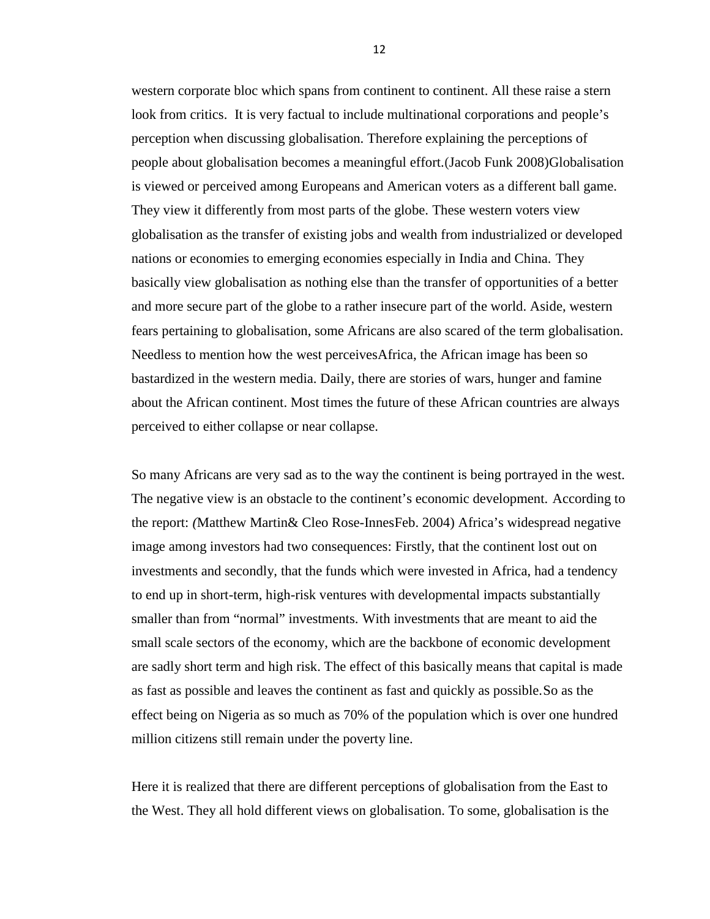western corporate bloc which spans from continent to continent. All these raise a stern look from critics. It is very factual to include multinational corporations and people's perception when discussing globalisation. Therefore explaining the perceptions of people about globalisation becomes a meaningful effort.(Jacob Funk 2008)Globalisation is viewed or perceived among Europeans and American voters as a different ball game. They view it differently from most parts of the globe. These western voters view globalisation as the transfer of existing jobs and wealth from industrialized or developed nations or economies to emerging economies especially in India and China. They basically view globalisation as nothing else than the transfer of opportunities of a better and more secure part of the globe to a rather insecure part of the world. Aside, western fears pertaining to globalisation, some Africans are also scared of the term globalisation. Needless to mention how the west perceivesAfrica, the African image has been so bastardized in the western media. Daily, there are stories of wars, hunger and famine about the African continent. Most times the future of these African countries are always perceived to either collapse or near collapse.

So many Africans are very sad as to the way the continent is being portrayed in the west. The negative view is an obstacle to the continent's economic development. According to the report: *(*Matthew Martin& Cleo Rose-InnesFeb. 2004) Africa's widespread negative image among investors had two consequences: Firstly, that the continent lost out on investments and secondly, that the funds which were invested in Africa, had a tendency to end up in short-term, high-risk ventures with developmental impacts substantially smaller than from "normal" investments. With investments that are meant to aid the small scale sectors of the economy, which are the backbone of economic development are sadly short term and high risk. The effect of this basically means that capital is made as fast as possible and leaves the continent as fast and quickly as possible.So as the effect being on Nigeria as so much as 70% of the population which is over one hundred million citizens still remain under the poverty line.

Here it is realized that there are different perceptions of globalisation from the East to the West. They all hold different views on globalisation. To some, globalisation is the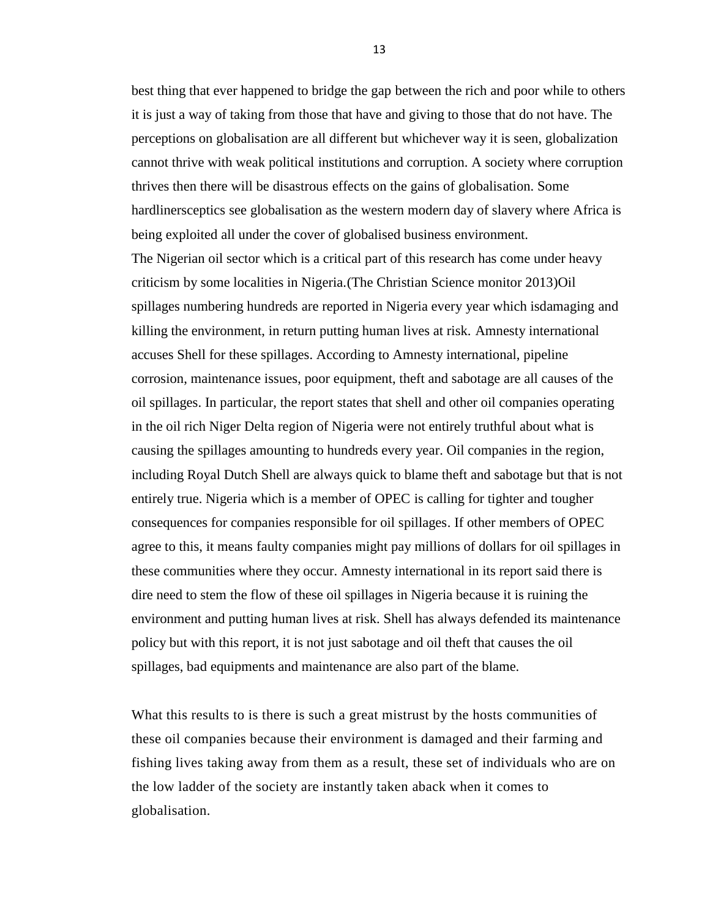best thing that ever happened to bridge the gap between the rich and poor while to others it is just a way of taking from those that have and giving to those that do not have. The perceptions on globalisation are all different but whichever way it is seen, globalization cannot thrive with weak political institutions and corruption. A society where corruption thrives then there will be disastrous effects on the gains of globalisation. Some hardlinersceptics see globalisation as the western modern day of slavery where Africa is being exploited all under the cover of globalised business environment.

The Nigerian oil sector which is a critical part of this research has come under heavy criticism by some localities in Nigeria.(The Christian Science monitor 2013)Oil spillages numbering hundreds are reported in Nigeria every year which isdamaging and killing the environment, in return putting human lives at risk. Amnesty international accuses Shell for these spillages. According to Amnesty international, pipeline corrosion, maintenance issues, poor equipment, theft and sabotage are all causes of the oil spillages. In particular, the report states that shell and other oil companies operating in the oil rich Niger Delta region of Nigeria were not entirely truthful about what is causing the spillages amounting to hundreds every year. Oil companies in the region, including Royal Dutch Shell are always quick to blame theft and sabotage but that is not entirely true. Nigeria which is a member of OPEC is calling for tighter and tougher consequences for companies responsible for oil spillages. If other members of OPEC agree to this, it means faulty companies might pay millions of dollars for oil spillages in these communities where they occur. Amnesty international in its report said there is dire need to stem the flow of these oil spillages in Nigeria because it is ruining the environment and putting human lives at risk. Shell has always defended its maintenance policy but with this report, it is not just sabotage and oil theft that causes the oil spillages, bad equipments and maintenance are also part of the blame.

What this results to is there is such a great mistrust by the hosts communities of these oil companies because their environment is damaged and their farming and fishing lives taking away from them as a result, these set of individuals who are on the low ladder of the society are instantly taken aback when it comes to globalisation.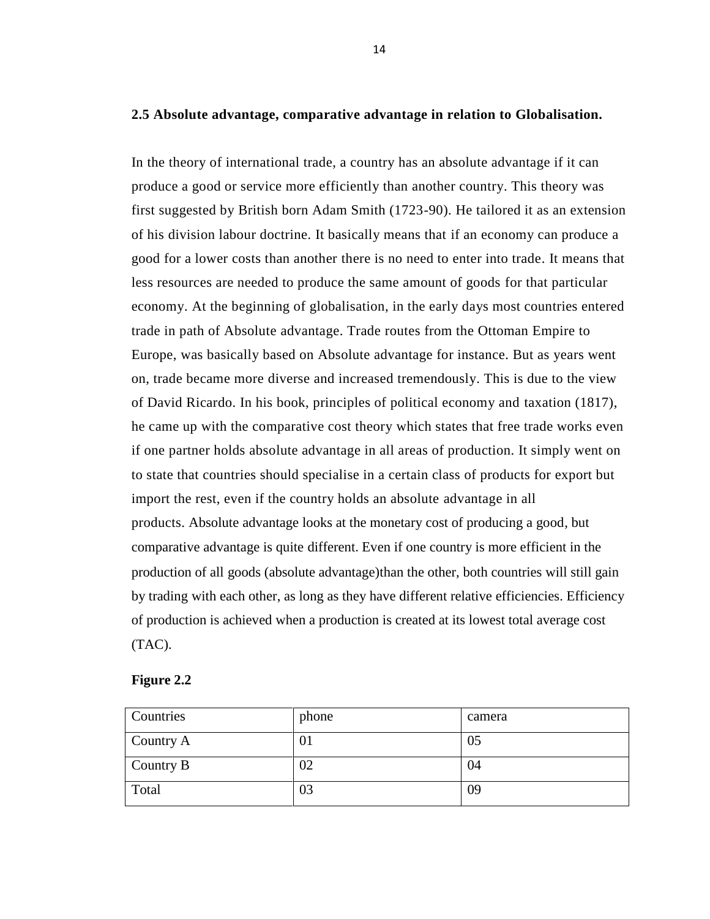#### **2.5 Absolute advantage, comparative advantage in relation to Globalisation.**

In the theory of international trade, a country has an absolute advantage if it can produce a good or service more efficiently than another country. This theory was first suggested by British born Adam Smith (1723-90). He tailored it as an extension of his division labour doctrine. It basically means that if an economy can produce a good for a lower costs than another there is no need to enter into trade. It means that less resources are needed to produce the same amount of goods for that particular economy. At the beginning of globalisation, in the early days most countries entered trade in path of Absolute advantage. Trade routes from the Ottoman Empire to Europe, was basically based on Absolute advantage for instance. But as years went on, trade became more diverse and increased tremendously. This is due to the view of David Ricardo. In his book, principles of political economy and taxation (1817), he came up with the comparative cost theory which states that free trade works even if one partner holds absolute advantage in all areas of production. It simply went on to state that countries should specialise in a certain class of products for export but import the rest, even if the country holds an absolute advantage in all products. Absolute advantage looks at the monetary cost of producing a good, but comparative advantage is quite different. Even if one country is more efficient in the production of all goods (absolute advantage)than the other, both countries will still gain by trading with each other, as long as they have different relative efficiencies. Efficiency of production is achieved when a production is created at its lowest total average cost (TAC).

| Countries           | phone          | camera |
|---------------------|----------------|--------|
| $\subset$ Country A | 0 <sub>1</sub> | 05     |
| Country B           | 02             | 04     |
| Total               | 03             | 09     |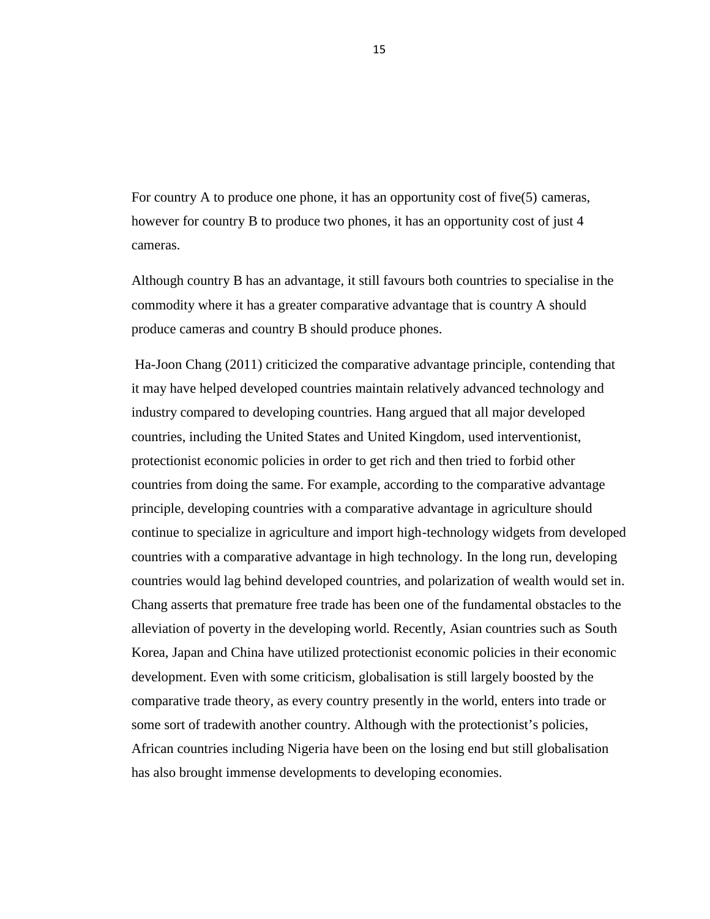For country A to produce one phone, it has an opportunity cost of five(5) cameras, however for country B to produce two phones, it has an opportunity cost of just 4 cameras.

Although country B has an advantage, it still favours both countries to specialise in the commodity where it has a greater comparative advantage that is country A should produce cameras and country B should produce phones.

Ha-Joon Chang (2011) criticized the comparative advantage principle, contending that it may have helped developed countries maintain relatively advanced technology and industry compared to developing countries. Hang argued that all major developed countries, including the United States and United Kingdom, used interventionist, protectionist economic policies in order to get rich and then tried to forbid other countries from doing the same. For example, according to the comparative advantage principle, developing countries with a comparative advantage in agriculture should continue to specialize in agriculture and import high-technology widgets from developed countries with a comparative advantage in high technology. In the long run, developing countries would lag behind developed countries, and polarization of wealth would set in. Chang asserts that premature free trade has been one of the fundamental obstacles to the alleviation of poverty in the developing world. Recently, Asian countries such as South Korea, Japan and China have utilized protectionist economic policies in their economic development. Even with some criticism, globalisation is still largely boosted by the comparative trade theory, as every country presently in the world, enters into trade or some sort of tradewith another country. Although with the protectionist's policies, African countries including Nigeria have been on the losing end but still globalisation has also brought immense developments to developing economies.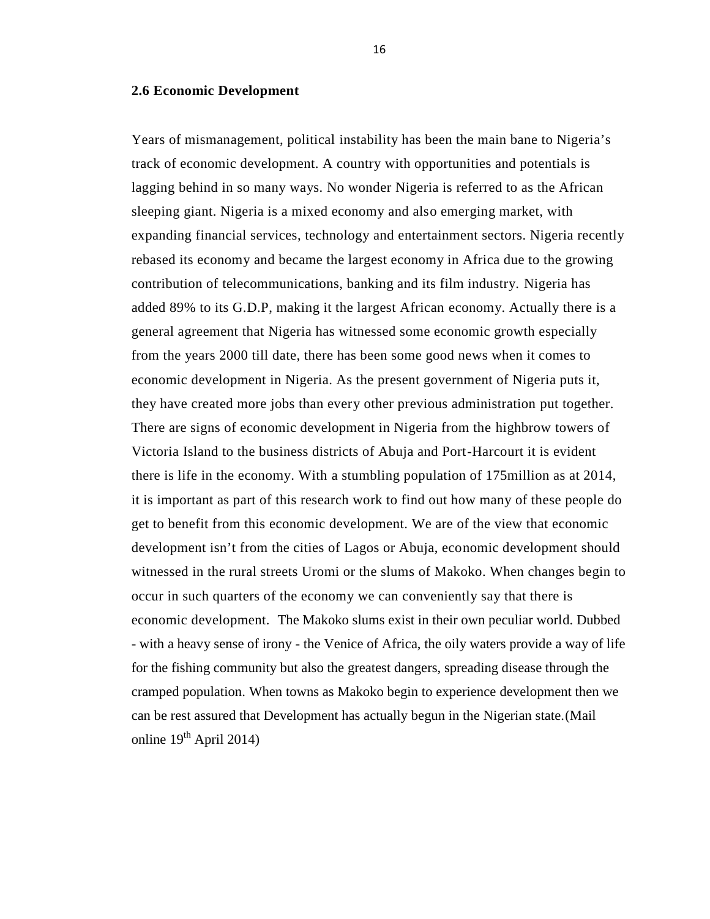#### **2.6 Economic Development**

Years of mismanagement, political instability has been the main bane to Nigeria's track of economic development. A country with opportunities and potentials is lagging behind in so many ways. No wonder Nigeria is referred to as the African sleeping giant. Nigeria is a mixed economy and also emerging market, with expanding financial services, technology and entertainment sectors. Nigeria recently rebased its economy and became the largest economy in Africa due to the growing contribution of telecommunications, banking and its film industry. Nigeria has added 89% to its G.D.P, making it the largest African economy. Actually there is a general agreement that Nigeria has witnessed some economic growth especially from the years 2000 till date, there has been some good news when it comes to economic development in Nigeria. As the present government of Nigeria puts it, they have created more jobs than every other previous administration put together. There are signs of economic development in Nigeria from the highbrow towers of Victoria Island to the business districts of Abuja and Port-Harcourt it is evident there is life in the economy. With a stumbling population of 175million as at 2014, it is important as part of this research work to find out how many of these people do get to benefit from this economic development. We are of the view that economic development isn't from the cities of Lagos or Abuja, economic development should witnessed in the rural streets Uromi or the slums of Makoko. When changes begin to occur in such quarters of the economy we can conveniently say that there is economic development. The Makoko slums exist in their own peculiar world. Dubbed - with a heavy sense of irony - the Venice of Africa, the oily waters provide a way of life for the fishing community but also the greatest dangers, spreading disease through the cramped population. When towns as Makoko begin to experience development then we can be rest assured that Development has actually begun in the Nigerian state.(Mail online  $19^{th}$  April 2014)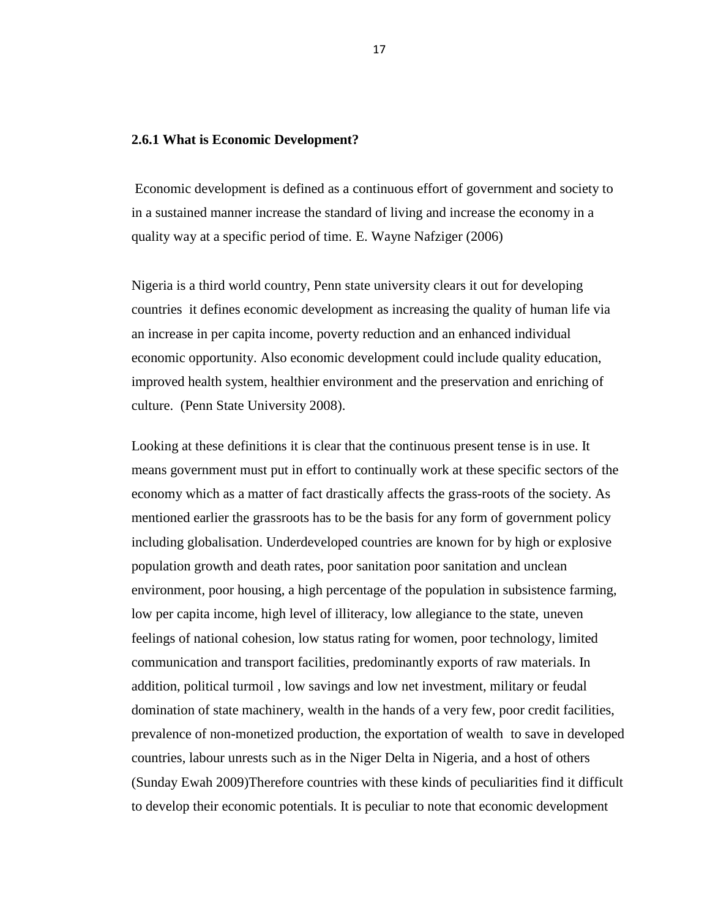#### **2.6.1 What is Economic Development?**

Economic development is defined as a continuous effort of government and society to in a sustained manner increase the standard of living and increase the economy in a quality way at a specific period of time. E. Wayne Nafziger (2006)

Nigeria is a third world country, Penn state university clears it out for developing countries it defines economic development as increasing the quality of human life via an increase in per capita income, poverty reduction and an enhanced individual economic opportunity. Also economic development could include quality education, improved health system, healthier environment and the preservation and enriching of culture. (Penn State University 2008).

Looking at these definitions it is clear that the continuous present tense is in use. It means government must put in effort to continually work at these specific sectors of the economy which as a matter of fact drastically affects the grass-roots of the society. As mentioned earlier the grassroots has to be the basis for any form of government policy including globalisation. Underdeveloped countries are known for by high or explosive population growth and death rates, poor sanitation poor sanitation and unclean environment, poor housing, a high percentage of the population in subsistence farming, low per capita income, high level of illiteracy, low allegiance to the state, uneven feelings of national cohesion, low status rating for women, poor technology, limited communication and transport facilities, predominantly exports of raw materials. In addition, political turmoil , low savings and low net investment, military or feudal domination of state machinery, wealth in the hands of a very few, poor credit facilities, prevalence of non-monetized production, the exportation of wealth to save in developed countries, labour unrests such as in the Niger Delta in Nigeria, and a host of others (Sunday Ewah 2009)Therefore countries with these kinds of peculiarities find it difficult to develop their economic potentials. It is peculiar to note that economic development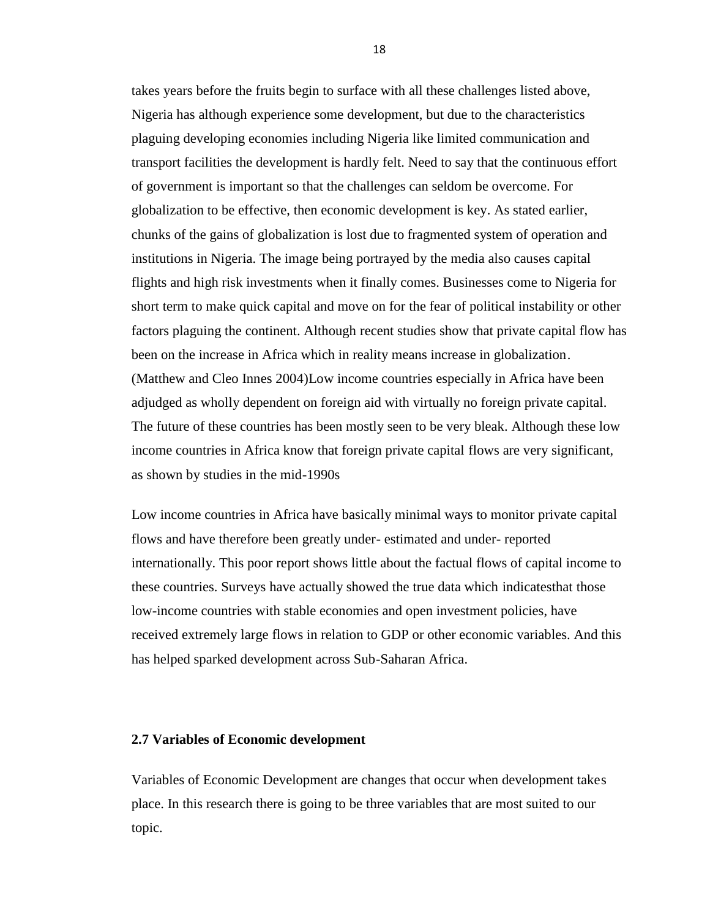takes years before the fruits begin to surface with all these challenges listed above, Nigeria has although experience some development, but due to the characteristics plaguing developing economies including Nigeria like limited communication and transport facilities the development is hardly felt. Need to say that the continuous effort of government is important so that the challenges can seldom be overcome. For globalization to be effective, then economic development is key. As stated earlier, chunks of the gains of globalization is lost due to fragmented system of operation and institutions in Nigeria. The image being portrayed by the media also causes capital flights and high risk investments when it finally comes. Businesses come to Nigeria for short term to make quick capital and move on for the fear of political instability or other factors plaguing the continent. Although recent studies show that private capital flow has been on the increase in Africa which in reality means increase in globalization. (Matthew and Cleo Innes 2004)Low income countries especially in Africa have been adjudged as wholly dependent on foreign aid with virtually no foreign private capital. The future of these countries has been mostly seen to be very bleak. Although these low income countries in Africa know that foreign private capital flows are very significant, as shown by studies in the mid-1990s

Low income countries in Africa have basically minimal ways to monitor private capital flows and have therefore been greatly under- estimated and under- reported internationally. This poor report shows little about the factual flows of capital income to these countries. Surveys have actually showed the true data which indicatesthat those low-income countries with stable economies and open investment policies, have received extremely large flows in relation to GDP or other economic variables. And this has helped sparked development across Sub-Saharan Africa.

#### **2.7 Variables of Economic development**

Variables of Economic Development are changes that occur when development takes place. In this research there is going to be three variables that are most suited to our topic.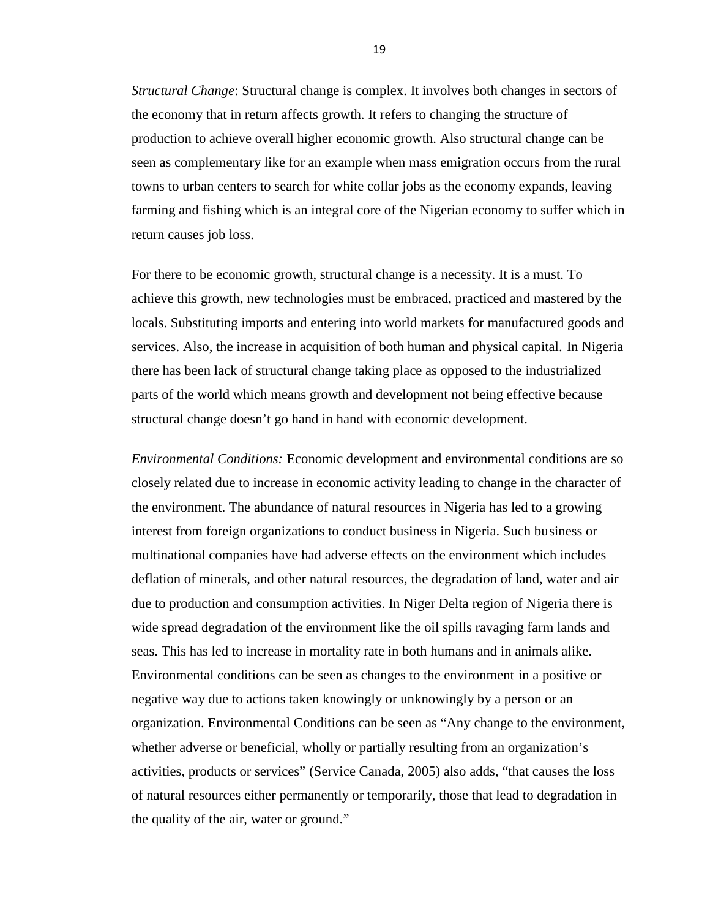*Structural Change*: Structural change is complex. It involves both changes in sectors of the economy that in return affects growth. It refers to changing the structure of production to achieve overall higher economic growth. Also structural change can be seen as complementary like for an example when mass emigration occurs from the rural towns to urban centers to search for white collar jobs as the economy expands, leaving farming and fishing which is an integral core of the Nigerian economy to suffer which in return causes job loss.

For there to be economic growth, structural change is a necessity. It is a must. To achieve this growth, new technologies must be embraced, practiced and mastered by the locals. Substituting imports and entering into world markets for manufactured goods and services. Also, the increase in acquisition of both human and physical capital. In Nigeria there has been lack of structural change taking place as opposed to the industrialized parts of the world which means growth and development not being effective because structural change doesn't go hand in hand with economic development.

*Environmental Conditions:* Economic development and environmental conditions are so closely related due to increase in economic activity leading to change in the character of the environment. The abundance of natural resources in Nigeria has led to a growing interest from foreign organizations to conduct business in Nigeria. Such business or multinational companies have had adverse effects on the environment which includes deflation of minerals, and other natural resources, the degradation of land, water and air due to production and consumption activities. In Niger Delta region of Nigeria there is wide spread degradation of the environment like the oil spills ravaging farm lands and seas. This has led to increase in mortality rate in both humans and in animals alike. Environmental conditions can be seen as changes to the environment in a positive or negative way due to actions taken knowingly or unknowingly by a person or an organization. Environmental Conditions can be seen as "Any change to the environment, whether adverse or beneficial, wholly or partially resulting from an organization's activities, products or services" (Service Canada, 2005) also adds, "that causes the loss of natural resources either permanently or temporarily, those that lead to degradation in the quality of the air, water or ground."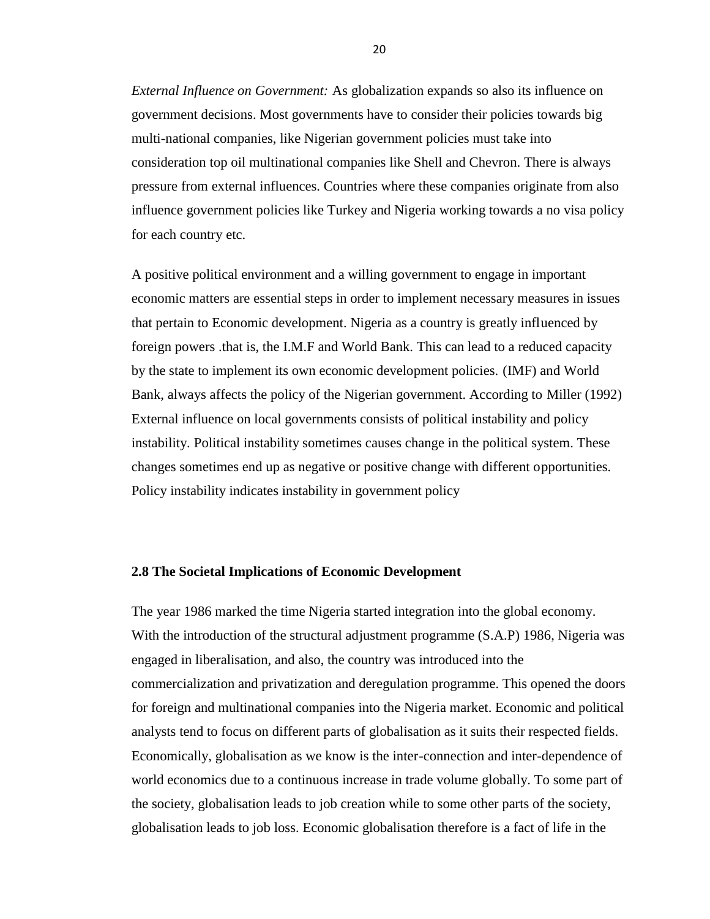*External Influence on Government:* As globalization expands so also its influence on government decisions. Most governments have to consider their policies towards big multi-national companies, like Nigerian government policies must take into consideration top oil multinational companies like Shell and Chevron. There is always pressure from external influences. Countries where these companies originate from also influence government policies like Turkey and Nigeria working towards a no visa policy for each country etc.

A positive political environment and a willing government to engage in important economic matters are essential steps in order to implement necessary measures in issues that pertain to Economic development. Nigeria as a country is greatly influenced by foreign powers .that is, the I.M.F and World Bank. This can lead to a reduced capacity by the state to implement its own economic development policies. (IMF) and World Bank, always affects the policy of the Nigerian government. According to Miller (1992) External influence on local governments consists of political instability and policy instability. Political instability sometimes causes change in the political system. These changes sometimes end up as negative or positive change with different opportunities. Policy instability indicates instability in government policy

#### **2.8 The Societal Implications of Economic Development**

The year 1986 marked the time Nigeria started integration into the global economy. With the introduction of the structural adjustment programme (S.A.P) 1986, Nigeria was engaged in liberalisation, and also, the country was introduced into the commercialization and privatization and deregulation programme. This opened the doors for foreign and multinational companies into the Nigeria market. Economic and political analysts tend to focus on different parts of globalisation as it suits their respected fields. Economically, globalisation as we know is the inter-connection and inter-dependence of world economics due to a continuous increase in trade volume globally. To some part of the society, globalisation leads to job creation while to some other parts of the society, globalisation leads to job loss. Economic globalisation therefore is a fact of life in the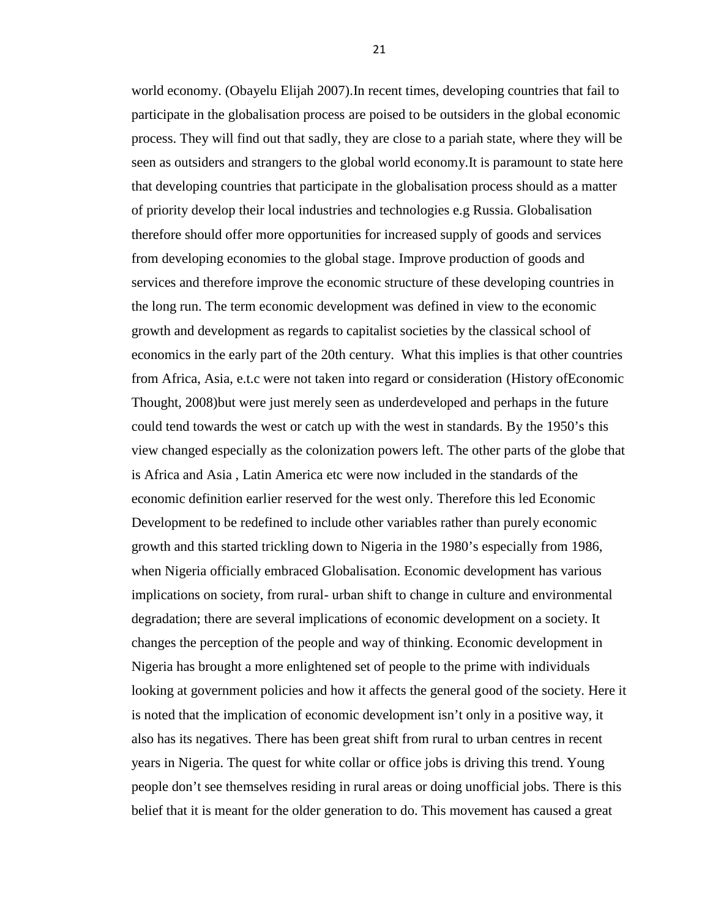world economy. (Obayelu Elijah 2007).In recent times, developing countries that fail to participate in the globalisation process are poised to be outsiders in the global economic process. They will find out that sadly, they are close to a pariah state, where they will be seen as outsiders and strangers to the global world economy.It is paramount to state here that developing countries that participate in the globalisation process should as a matter of priority develop their local industries and technologies e.g Russia. Globalisation therefore should offer more opportunities for increased supply of goods and services from developing economies to the global stage. Improve production of goods and services and therefore improve the economic structure of these developing countries in the long run. The term economic development was defined in view to the economic growth and development as regards to capitalist societies by the classical school of economics in the early part of the 20th century. What this implies is that other countries from Africa, Asia, e.t.c were not taken into regard or consideration (History ofEconomic Thought, 2008)but were just merely seen as underdeveloped and perhaps in the future could tend towards the west or catch up with the west in standards. By the 1950's this view changed especially as the colonization powers left. The other parts of the globe that is Africa and Asia , Latin America etc were now included in the standards of the economic definition earlier reserved for the west only. Therefore this led Economic Development to be redefined to include other variables rather than purely economic growth and this started trickling down to Nigeria in the 1980's especially from 1986, when Nigeria officially embraced Globalisation. Economic development has various implications on society, from rural- urban shift to change in culture and environmental degradation; there are several implications of economic development on a society. It changes the perception of the people and way of thinking. Economic development in Nigeria has brought a more enlightened set of people to the prime with individuals looking at government policies and how it affects the general good of the society. Here it is noted that the implication of economic development isn't only in a positive way, it also has its negatives. There has been great shift from rural to urban centres in recent years in Nigeria. The quest for white collar or office jobs is driving this trend. Young people don't see themselves residing in rural areas or doing unofficial jobs. There is this belief that it is meant for the older generation to do. This movement has caused a great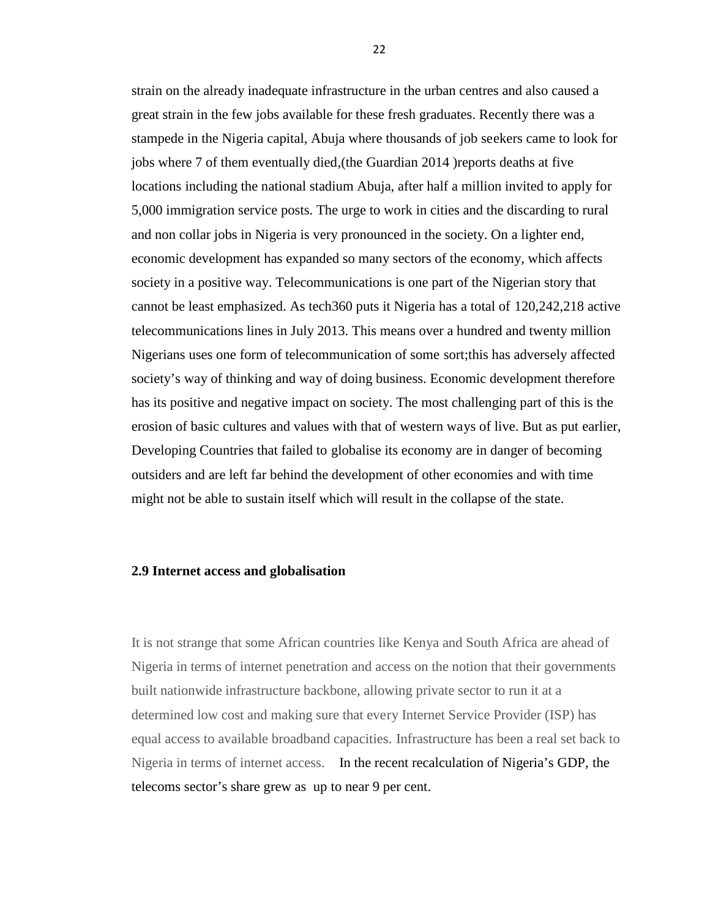strain on the already inadequate infrastructure in the urban centres and also caused a great strain in the few jobs available for these fresh graduates. Recently there was a stampede in the Nigeria capital, Abuja where thousands of job seekers came to look for jobs where 7 of them eventually died,(the Guardian 2014 )reports deaths at five locations including the national stadium Abuja, after half a million invited to apply for 5,000 immigration service posts. The urge to work in cities and the discarding to rural and non collar jobs in Nigeria is very pronounced in the society. On a lighter end, economic development has expanded so many sectors of the economy, which affects society in a positive way. Telecommunications is one part of the Nigerian story that cannot be least emphasized. As tech360 puts it Nigeria has a total of 120,242,218 active telecommunications lines in July 2013. This means over a hundred and twenty million Nigerians uses one form of telecommunication of some sort;this has adversely affected society's way of thinking and way of doing business. Economic development therefore has its positive and negative impact on society. The most challenging part of this is the erosion of basic cultures and values with that of western ways of live. But as put earlier, Developing Countries that failed to globalise its economy are in danger of becoming outsiders and are left far behind the development of other economies and with time might not be able to sustain itself which will result in the collapse of the state.

#### **2.9 Internet access and globalisation**

It is not strange that some African countries like Kenya and South Africa are ahead of Nigeria in terms of internet penetration and access on the notion that their governments built nationwide infrastructure backbone, allowing private sector to run it at a determined low cost and making sure that every Internet Service Provider (ISP) has equal access to available broadband capacities. Infrastructure has been a real set back to Nigeria in terms of internet access. In the recent recalculation of Nigeria's GDP, the telecoms sector's share grew as up to near 9 per cent.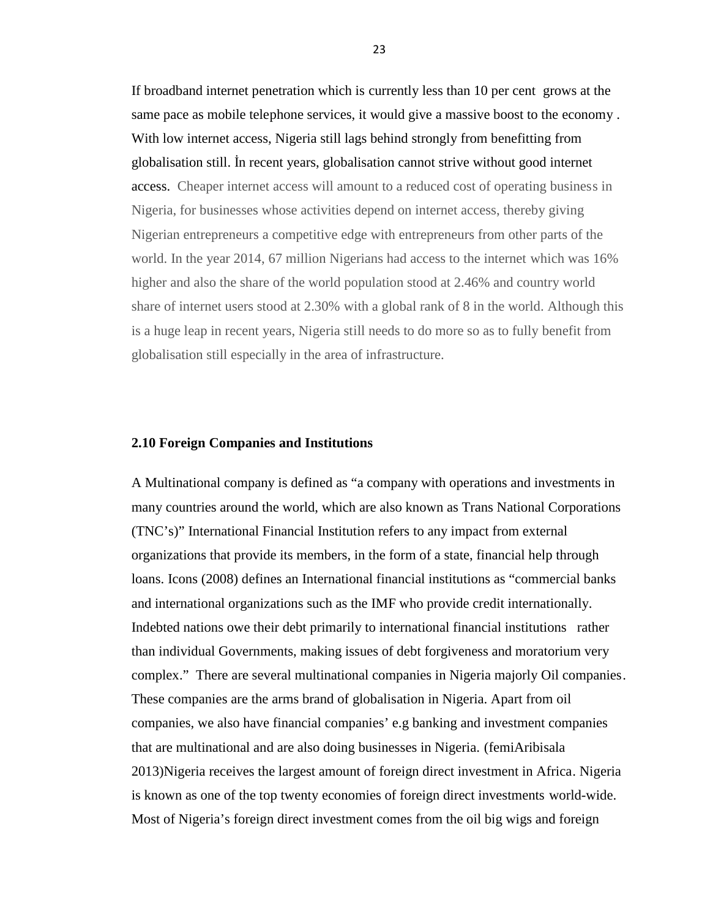If broadband internet penetration which is currently less than 10 per cent grows at the same pace as mobile telephone services, it would give a massive boost to the economy . With low internet access, Nigeria still lags behind strongly from benefitting from globalisation still. İn recent years, globalisation cannot strive without good internet access. Cheaper internet access will amount to a reduced cost of operating business in Nigeria, for businesses whose activities depend on internet access, thereby giving Nigerian entrepreneurs a competitive edge with entrepreneurs from other parts of the world. In the year 2014, 67 million Nigerians had access to the internet which was 16% higher and also the share of the world population stood at 2.46% and country world share of internet users stood at 2.30% with a global rank of 8 in the world. Although this is a huge leap in recent years, Nigeria still needs to do more so as to fully benefit from globalisation still especially in the area of infrastructure.

#### **2.10 Foreign Companies and Institutions**

A Multinational company is defined as "a company with operations and investments in many countries around the world, which are also known as Trans National Corporations (TNC's)" International Financial Institution refers to any impact from external organizations that provide its members, in the form of a state, financial help through loans. Icons (2008) defines an International financial institutions as "commercial banks and international organizations such as the IMF who provide credit internationally. Indebted nations owe their debt primarily to international financial institutions rather than individual Governments, making issues of debt forgiveness and moratorium very complex." There are several multinational companies in Nigeria majorly Oil companies. These companies are the arms brand of globalisation in Nigeria. Apart from oil companies, we also have financial companies' e.g banking and investment companies that are multinational and are also doing businesses in Nigeria. (femiAribisala 2013)Nigeria receives the largest amount of foreign direct investment in Africa. Nigeria is known as one of the top twenty economies of foreign direct investments world-wide. Most of Nigeria's foreign direct investment comes from the oil big wigs and foreign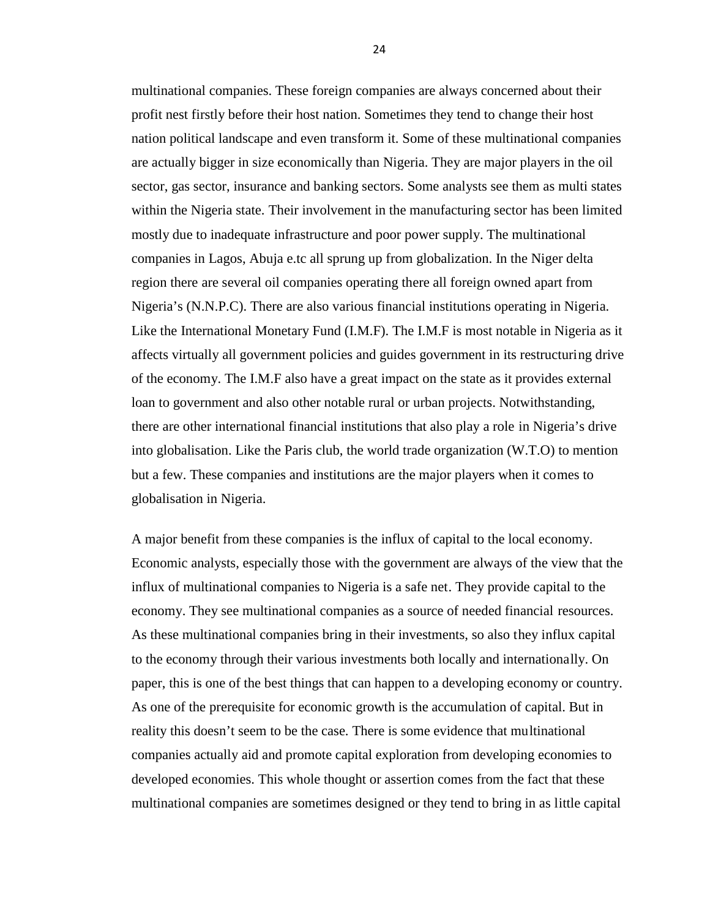multinational companies. These foreign companies are always concerned about their profit nest firstly before their host nation. Sometimes they tend to change their host nation political landscape and even transform it. Some of these multinational companies are actually bigger in size economically than Nigeria. They are major players in the oil sector, gas sector, insurance and banking sectors. Some analysts see them as multi states within the Nigeria state. Their involvement in the manufacturing sector has been limited mostly due to inadequate infrastructure and poor power supply. The multinational companies in Lagos, Abuja e.tc all sprung up from globalization. In the Niger delta region there are several oil companies operating there all foreign owned apart from Nigeria's (N.N.P.C). There are also various financial institutions operating in Nigeria. Like the International Monetary Fund (I.M.F). The I.M.F is most notable in Nigeria as it affects virtually all government policies and guides government in its restructuring drive of the economy. The I.M.F also have a great impact on the state as it provides external loan to government and also other notable rural or urban projects. Notwithstanding, there are other international financial institutions that also play a role in Nigeria's drive into globalisation. Like the Paris club, the world trade organization (W.T.O) to mention but a few. These companies and institutions are the major players when it comes to globalisation in Nigeria.

A major benefit from these companies is the influx of capital to the local economy. Economic analysts, especially those with the government are always of the view that the influx of multinational companies to Nigeria is a safe net. They provide capital to the economy. They see multinational companies as a source of needed financial resources. As these multinational companies bring in their investments, so also they influx capital to the economy through their various investments both locally and internationally. On paper, this is one of the best things that can happen to a developing economy or country. As one of the prerequisite for economic growth is the accumulation of capital. But in reality this doesn't seem to be the case. There is some evidence that multinational companies actually aid and promote capital exploration from developing economies to developed economies. This whole thought or assertion comes from the fact that these multinational companies are sometimes designed or they tend to bring in as little capital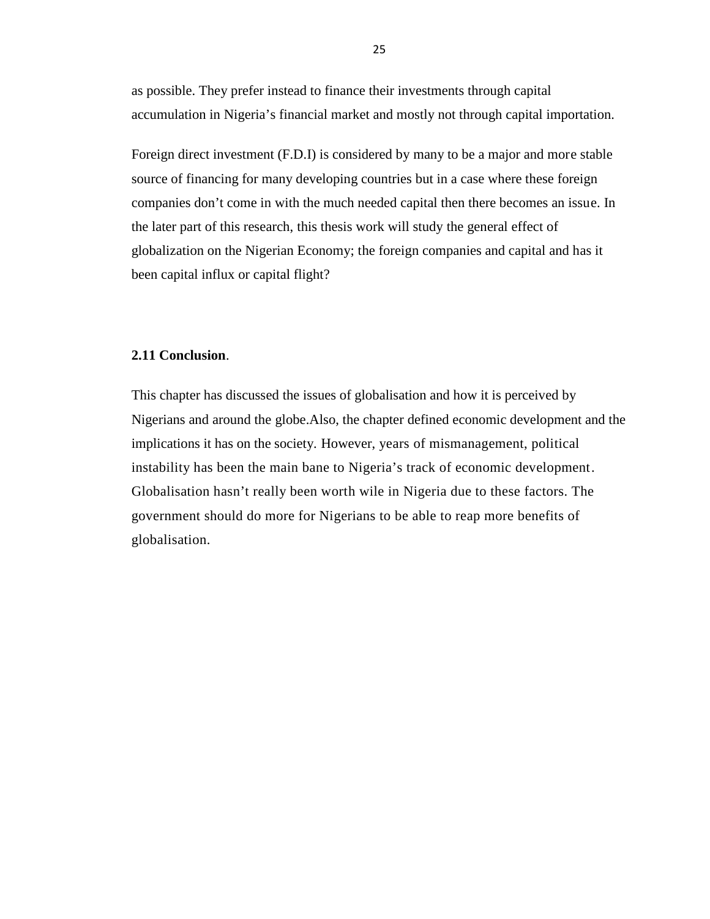as possible. They prefer instead to finance their investments through capital accumulation in Nigeria's financial market and mostly not through capital importation.

Foreign direct investment (F.D.I) is considered by many to be a major and more stable source of financing for many developing countries but in a case where these foreign companies don't come in with the much needed capital then there becomes an issue. In the later part of this research, this thesis work will study the general effect of globalization on the Nigerian Economy; the foreign companies and capital and has it been capital influx or capital flight?

#### **2.11 Conclusion**.

This chapter has discussed the issues of globalisation and how it is perceived by Nigerians and around the globe.Also, the chapter defined economic development and the implications it has on the society. However, years of mismanagement, political instability has been the main bane to Nigeria's track of economic development. Globalisation hasn't really been worth wile in Nigeria due to these factors. The government should do more for Nigerians to be able to reap more benefits of globalisation.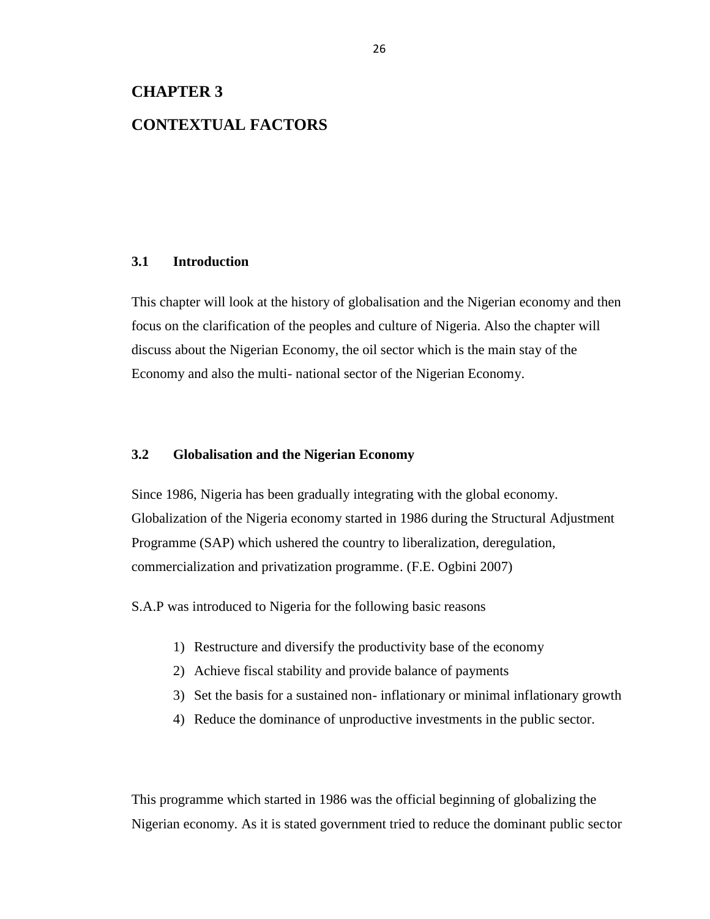# **CHAPTER 3**

# **CONTEXTUAL FACTORS**

# **3.1 Introduction**

This chapter will look at the history of globalisation and the Nigerian economy and then focus on the clarification of the peoples and culture of Nigeria. Also the chapter will discuss about the Nigerian Economy, the oil sector which is the main stay of the Economy and also the multi- national sector of the Nigerian Economy.

# **3.2 Globalisation and the Nigerian Economy**

Since 1986, Nigeria has been gradually integrating with the global economy. Globalization of the Nigeria economy started in 1986 during the Structural Adjustment Programme (SAP) which ushered the country to liberalization, deregulation, commercialization and privatization programme. (F.E. Ogbini 2007)

S.A.P was introduced to Nigeria for the following basic reasons

- 1) Restructure and diversify the productivity base of the economy
- 2) Achieve fiscal stability and provide balance of payments
- 3) Set the basis for a sustained non- inflationary or minimal inflationary growth
- 4) Reduce the dominance of unproductive investments in the public sector.

This programme which started in 1986 was the official beginning of globalizing the Nigerian economy. As it is stated government tried to reduce the dominant public sector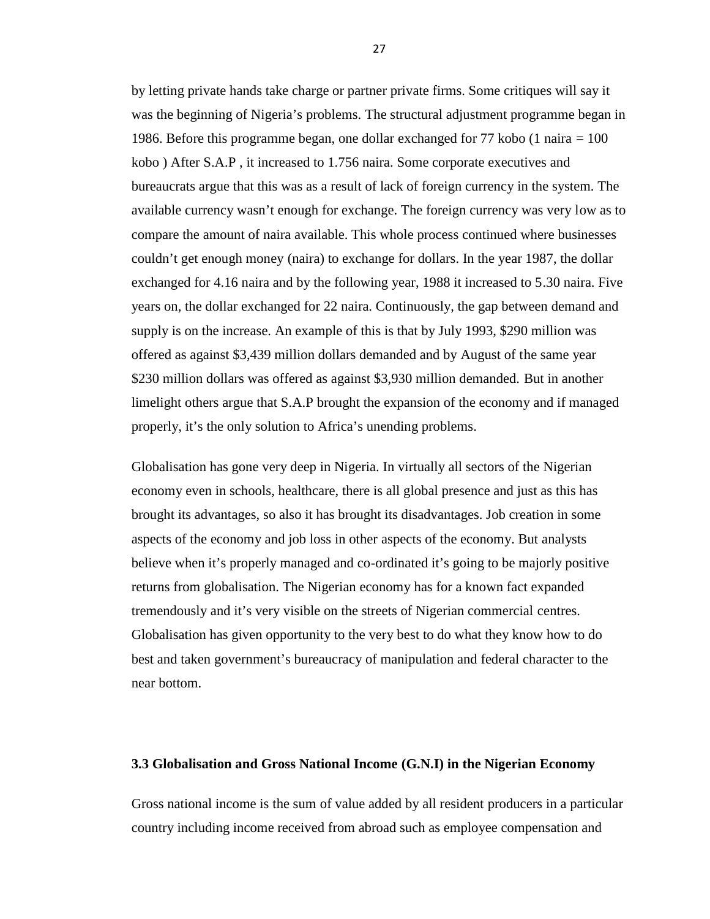by letting private hands take charge or partner private firms. Some critiques will say it was the beginning of Nigeria's problems. The structural adjustment programme began in 1986. Before this programme began, one dollar exchanged for 77 kobo (1 naira = 100 kobo ) After S.A.P , it increased to 1.756 naira. Some corporate executives and bureaucrats argue that this was as a result of lack of foreign currency in the system. The available currency wasn't enough for exchange. The foreign currency was very low as to compare the amount of naira available. This whole process continued where businesses couldn't get enough money (naira) to exchange for dollars. In the year 1987, the dollar exchanged for 4.16 naira and by the following year, 1988 it increased to 5.30 naira. Five years on, the dollar exchanged for 22 naira. Continuously, the gap between demand and supply is on the increase. An example of this is that by July 1993, \$290 million was offered as against \$3,439 million dollars demanded and by August of the same year \$230 million dollars was offered as against \$3,930 million demanded. But in another limelight others argue that S.A.P brought the expansion of the economy and if managed properly, it's the only solution to Africa's unending problems.

Globalisation has gone very deep in Nigeria. In virtually all sectors of the Nigerian economy even in schools, healthcare, there is all global presence and just as this has brought its advantages, so also it has brought its disadvantages. Job creation in some aspects of the economy and job loss in other aspects of the economy. But analysts believe when it's properly managed and co-ordinated it's going to be majorly positive returns from globalisation. The Nigerian economy has for a known fact expanded tremendously and it's very visible on the streets of Nigerian commercial centres. Globalisation has given opportunity to the very best to do what they know how to do best and taken government's bureaucracy of manipulation and federal character to the near bottom.

# **3.3 Globalisation and Gross National Income (G.N.I) in the Nigerian Economy**

Gross national income is the sum of value added by all resident producers in a particular country including income received from abroad such as employee compensation and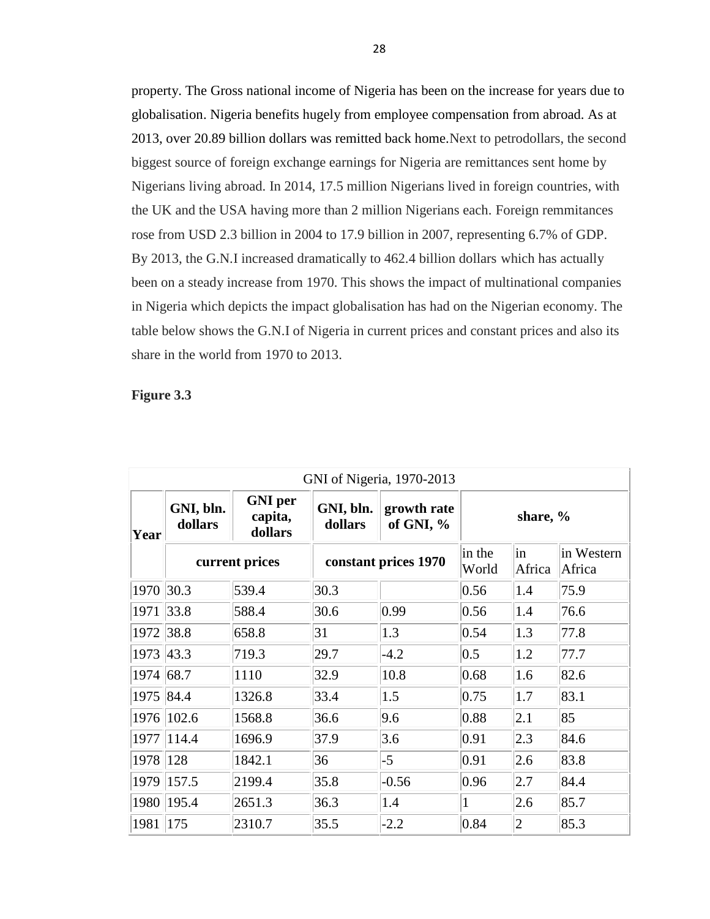property. The Gross national income of Nigeria has been on the increase for years due to globalisation. Nigeria benefits hugely from employee compensation from abroad. As at 2013, over 20.89 billion dollars was remitted back home.Next to petrodollars, the second biggest source of foreign exchange earnings for Nigeria are remittances sent home by Nigerians living abroad. In 2014, 17.5 million Nigerians lived in foreign countries, with the UK and the USA having more than 2 million Nigerians each. Foreign remmitances rose from USD 2.3 billion in 2004 to 17.9 billion in 2007, representing 6.7% of GDP. By 2013, the G.N.I increased dramatically to 462.4 billion dollars which has actually been on a steady increase from 1970. This shows the impact of multinational companies in Nigeria which depicts the impact globalisation has had on the Nigerian economy. The table below shows the G.N.I of Nigeria in current prices and constant prices and also its share in the world from 1970 to 2013.

### **Figure 3.3**

| GNI of Nigeria, 1970-2013 |                      |                                      |                      |                            |                 |              |                      |
|---------------------------|----------------------|--------------------------------------|----------------------|----------------------------|-----------------|--------------|----------------------|
| Year                      | GNI, bln.<br>dollars | <b>GNI</b> per<br>capita,<br>dollars | GNI, bln.<br>dollars | growth rate<br>of GNI, $%$ | share, %        |              |                      |
|                           | current prices       |                                      | constant prices 1970 |                            | in the<br>World | in<br>Africa | in Western<br>Africa |
| 1970                      | 30.3                 | 539.4                                | 30.3                 |                            | 0.56            | 1.4          | 75.9                 |
| 1971                      | 33.8                 | 588.4                                | 30.6                 | $ 0.99\rangle$             | 0.56            | 1.4          | 76.6                 |
| 1972                      | 38.8                 | 658.8                                | 31                   | 1.3                        | 0.54            | 1.3          | 77.8                 |
| 1973                      | 43.3                 | 719.3                                | 29.7                 | $-4.2$                     | 0.5             | 1.2          | 77.7                 |
| 1974                      | 68.7                 | 1110                                 | 32.9                 | 10.8                       | 0.68            | 1.6          | 82.6                 |
| 1975 84.4                 |                      | 1326.8                               | 33.4                 | 1.5                        | 0.75            | 1.7          | 83.1                 |
| 1976                      | 102.6                | 1568.8                               | 36.6                 | 9.6                        | 0.88            | 2.1          | 85                   |
| 1977                      | 114.4                | 1696.9                               | 37.9                 | 3.6                        | $ 0.91\rangle$  | 2.3          | 84.6                 |
| 1978                      | 128                  | 1842.1                               | 36                   | $-5$                       | 0.91            | 2.6          | 83.8                 |
| 1979                      | 157.5                | 2199.4                               | 35.8                 | $-0.56$                    | 0.96            | 2.7          | 84.4                 |
| 1980                      | 195.4                | 2651.3                               | 36.3                 | 1.4                        | $\mathbf{1}$    | 2.6          | 85.7                 |
| 1981                      | 175                  | 2310.7                               | 35.5                 | $-2.2$                     | 0.84            | $ 2\rangle$  | 85.3                 |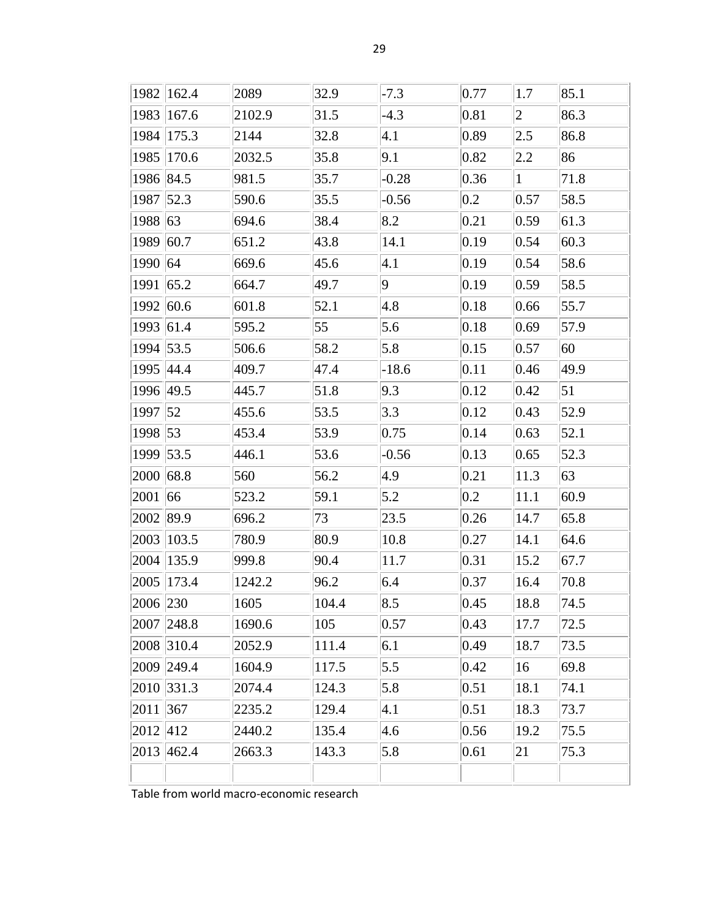|               | 1982   162.4   | 2089   | 32.9  | $-7.3$            | 0.77           | 1.7            | 85.1 |
|---------------|----------------|--------|-------|-------------------|----------------|----------------|------|
| 1983          | 167.6          | 2102.9 | 31.5  | $-4.3$            | 0.81           | $ 2\rangle$    | 86.3 |
| 1984          | 175.3          | 2144   | 32.8  | 4.1               | 0.89           | 2.5            | 86.8 |
| 1985          | 170.6          | 2032.5 | 35.8  | 9.1               | 0.82           | 2.2            | 86   |
| 1986 84.5     |                | 981.5  | 35.7  | $-0.28$           | 0.36           | $\vert$ 1      | 71.8 |
| 1987 52.3     |                | 590.6  | 35.5  | $-0.56$           | $0.2\,$        | 0.57           | 58.5 |
| 1988 63       |                | 694.6  | 38.4  | 8.2               | 0.21           | 0.59           | 61.3 |
| 1989          | 60.7           | 651.2  | 43.8  | 14.1              | 0.19           | 0.54           | 60.3 |
| 1990 64       |                | 669.6  | 45.6  | 4.1               | 0.19           | 0.54           | 58.6 |
| 1991          | 65.2           | 664.7  | 49.7  | $ 9\rangle$       | 0.19           | 0.59           | 58.5 |
| 1992          | 60.6           | 601.8  | 52.1  | 4.8               | 0.18           | 0.66           | 55.7 |
| 1993 61.4     |                | 595.2  | 55    | 5.6               | 0.18           | 0.69           | 57.9 |
| 1994 53.5     |                | 506.6  | 58.2  | 5.8               | 0.15           | 0.57           | 60   |
| 1995 44.4     |                | 409.7  | 47.4  | $-18.6$           | 0.11           | 0.46           | 49.9 |
| 1996 49.5     |                | 445.7  | 51.8  | 9.3               | 0.12           | $ 0.42\rangle$ | 51   |
| 1997 52       |                | 455.6  | 53.5  | 3.3               | 0.12           | $ 0.43\rangle$ | 52.9 |
| 1998 53       |                | 453.4  | 53.9  | 0.75              | 0.14           | 0.63           | 52.1 |
| 1999          | 53.5           | 446.1  | 53.6  | $-0.56$           | 0.13           | 0.65           | 52.3 |
| $ 2000 $ 68.8 |                | 560    | 56.2  | 4.9               | 0.21           | 11.3           | 63   |
| 2001          | 66             | 523.2  | 59.1  | 5.2               | $0.2\,$        | 11.1           | 60.9 |
| 2002          | 89.9           | 696.2  | 73    | 23.5              | 0.26           | 14.7           | 65.8 |
| 2003          | 103.5          | 780.9  | 80.9  | 10.8              | 0.27           | 14.1           | 64.6 |
| 2004          | 135.9          | 999.8  | 90.4  | 11.7              | 0.31           | 15.2           | 67.7 |
|               | 2005 173.4     | 1242.2 | 96.2  | 6.4               | 0.37           | 16.4           | 70.8 |
| 2006 230      |                | 1605   | 104.4 | $\vert 8.5 \vert$ | $ 0.45\rangle$ | 18.8           | 74.5 |
|               | 2007 248.8     | 1690.6 | 105   | 0.57              | 0.43           | 17.7           | 72.5 |
|               | 2008 310.4     | 2052.9 | 111.4 | 6.1               | 0.49           | 18.7           | 73.5 |
|               | 2009 249.4     | 1604.9 | 117.5 | 5.5               | 0.42           | 16             | 69.8 |
|               | 2010 331.3     | 2074.4 | 124.3 | 5.8               | 0.51           | 18.1           | 74.1 |
| 2011   367    |                | 2235.2 | 129.4 | 4.1               | 0.51           | 18.3           | 73.7 |
| 2012 412      |                | 2440.2 | 135.4 | 4.6               | 0.56           | 19.2           | 75.5 |
|               | $ 2013 $ 462.4 | 2663.3 | 143.3 | 5.8               | 0.61           | 21             | 75.3 |
|               |                |        |       |                   |                |                |      |

Table from world macro-economic research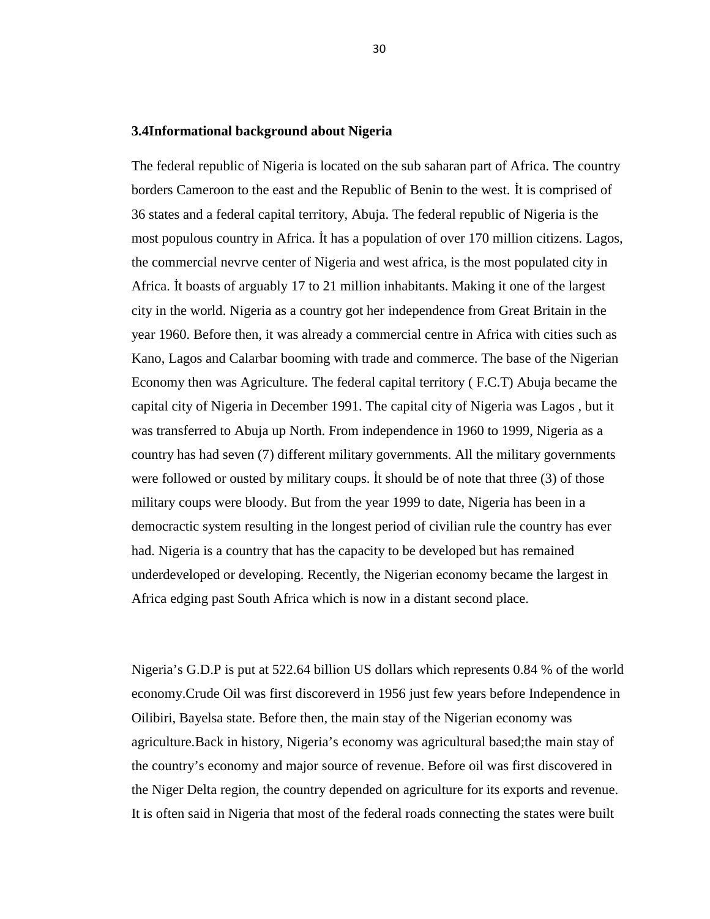## **3.4Informational background about Nigeria**

The federal republic of Nigeria is located on the sub saharan part of Africa. The country borders Cameroon to the east and the Republic of Benin to the west. t is comprised of 36 states and a federal capital territory, Abuja. The federal republic of Nigeria is the most populous country in Africa. t has a population of over 170 million citizens. Lagos, the commercial nevrve center of Nigeria and west africa, is the most populated city in Africa. t boasts of arguably 17 to 21 million inhabitants. Making it one of the largest city in the world. Nigeria as a country got her independence from Great Britain in the year 1960. Before then, it was already a commercial centre in Africa with cities such as Kano, Lagos and Calarbar booming with trade and commerce. The base of the Nigerian Economy then was Agriculture. The federal capital territory ( F.C.T) Abuja became the capital city of Nigeria in December 1991. The capital city of Nigeria was Lagos , but it was transferred to Abuja up North. From independence in 1960 to 1999, Nigeria as a country has had seven (7) different military governments. All the military governments were followed or ousted by military coups.  $t$  should be of note that three  $(3)$  of those military coups were bloody. But from the year 1999 to date, Nigeria has been in a democractic system resulting in the longest period of civilian rule the country has ever had. Nigeria is a country that has the capacity to be developed but has remained underdeveloped or developing. Recently, the Nigerian economy became the largest in Africa edging past South Africa which is now in a distant second place.

Nigeria's G.D.P is put at 522.64 billion US dollars which represents 0.84 % of the world economy.Crude Oil was first discoreverd in 1956 just few years before Independence in Oilibiri, Bayelsa state. Before then, the main stay of the Nigerian economy was agriculture.Back in history, Nigeria's economy was agricultural based;the main stay of the country's economy and major source of revenue. Before oil was first discovered in the Niger Delta region, the country depended on agriculture for its exports and revenue. It is often said in Nigeria that most of the federal roads connecting the states were built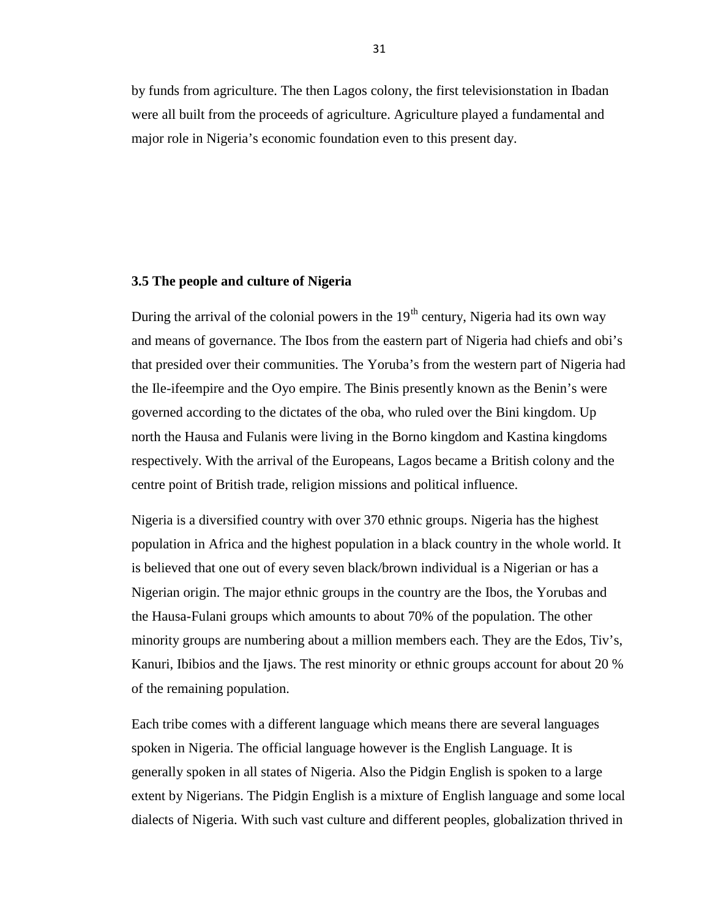by funds from agriculture. The then Lagos colony, the first televisionstation in Ibadan were all built from the proceeds of agriculture. Agriculture played a fundamental and major role in Nigeria's economic foundation even to this present day.

## **3.5 The people and culture of Nigeria**

During the arrival of the colonial powers in the  $19<sup>th</sup>$  century, Nigeria had its own way and means of governance. The Ibos from the eastern part of Nigeria had chiefs and obi's that presided over their communities. The Yoruba's from the western part of Nigeria had the Ile-ifeempire and the Oyo empire. The Binis presently known as the Benin's were governed according to the dictates of the oba, who ruled over the Bini kingdom. Up north the Hausa and Fulanis were living in the Borno kingdom and Kastina kingdoms respectively. With the arrival of the Europeans, Lagos became a British colony and the centre point of British trade, religion missions and political influence.

Nigeria is a diversified country with over 370 ethnic groups. Nigeria has the highest population in Africa and the highest population in a black country in the whole world. It is believed that one out of every seven black/brown individual is a Nigerian or has a Nigerian origin. The major ethnic groups in the country are the Ibos, the Yorubas and the Hausa-Fulani groups which amounts to about 70% of the population. The other minority groups are numbering about a million members each. They are the Edos, Tiv's, Kanuri, Ibibios and the Ijaws. The rest minority or ethnic groups account for about 20 % of the remaining population.

Each tribe comes with a different language which means there are several languages spoken in Nigeria. The official language however is the English Language. It is generally spoken in all states of Nigeria. Also the Pidgin English is spoken to a large extent by Nigerians. The Pidgin English is a mixture of English language and some local dialects of Nigeria. With such vast culture and different peoples, globalization thrived in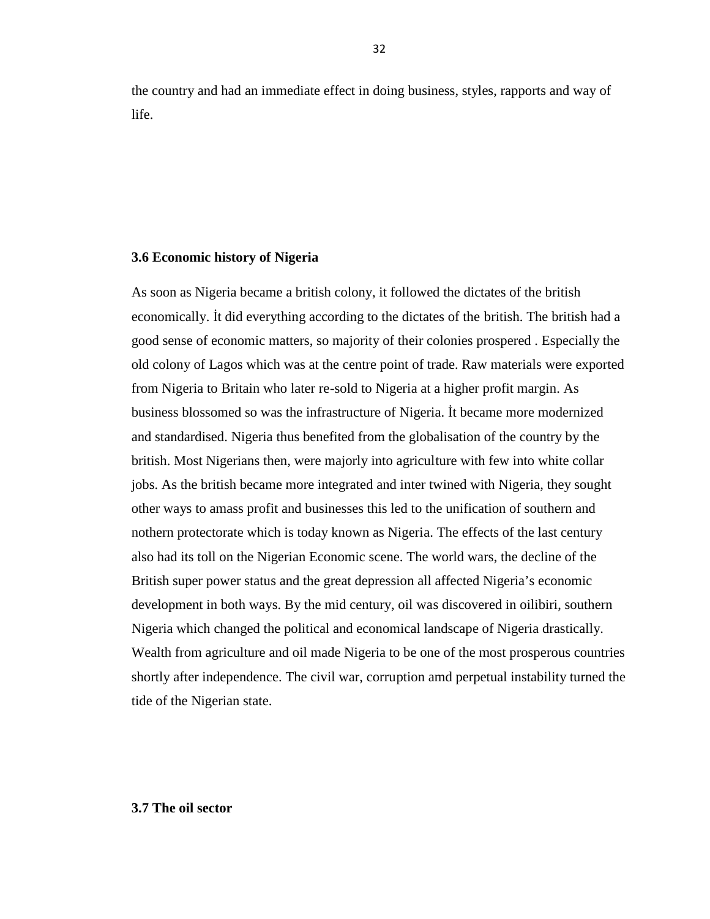the country and had an immediate effect in doing business, styles, rapports and way of life.

# **3.6 Economic history of Nigeria**

As soon as Nigeria became a british colony, it followed the dictates of the british economically. t did everything according to the dictates of the british. The british had a good sense of economic matters, so majority of their colonies prospered . Especially the old colony of Lagos which was at the centre point of trade. Raw materials were exported from Nigeria to Britain who later re-sold to Nigeria at a higher profit margin. As business blossomed so was the infrastructure of Nigeria. t became more modernized and standardised. Nigeria thus benefited from the globalisation of the country by the british. Most Nigerians then, were majorly into agriculture with few into white collar jobs. As the british became more integrated and inter twined with Nigeria, they sought other ways to amass profit and businesses this led to the unification of southern and nothern protectorate which is today known as Nigeria. The effects of the last century also had its toll on the Nigerian Economic scene. The world wars, the decline of the British super power status and the great depression all affected Nigeria's economic development in both ways. By the mid century, oil was discovered in oilibiri, southern Nigeria which changed the political and economical landscape of Nigeria drastically. Wealth from agriculture and oil made Nigeria to be one of the most prosperous countries shortly after independence. The civil war, corruption amd perpetual instability turned the tide of the Nigerian state.

### **3.7 The oil sector**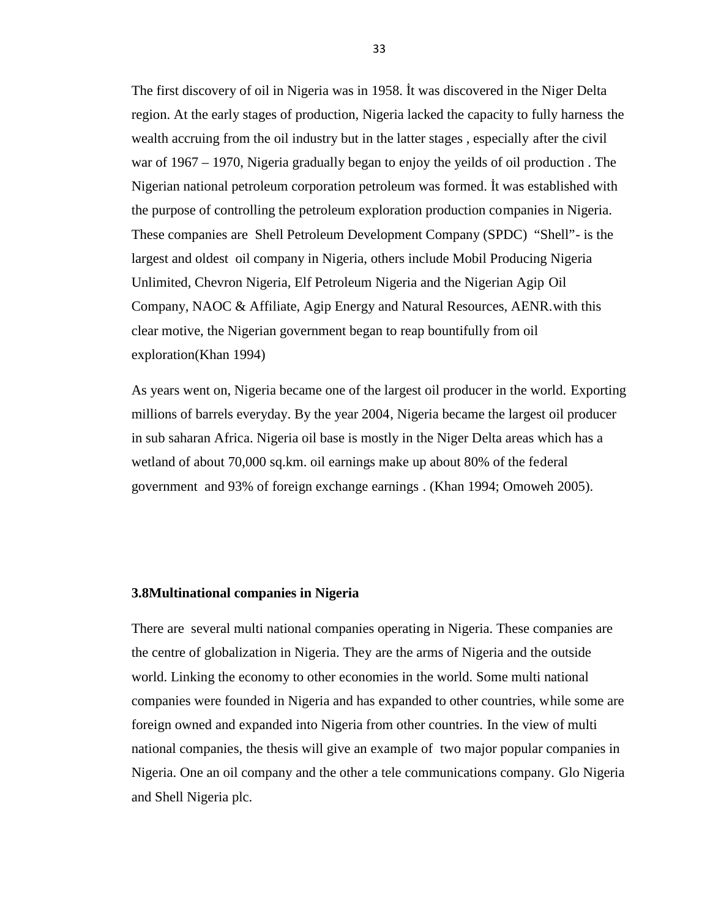The first discovery of oil in Nigeria was in 1958. t was discovered in the Niger Delta region. At the early stages of production, Nigeria lacked the capacity to fully harness the wealth accruing from the oil industry but in the latter stages , especially after the civil war of 1967 – 1970, Nigeria gradually began to enjoy the yeilds of oil production . The Nigerian national petroleum corporation petroleum was formed. İt was established with the purpose of controlling the petroleum exploration production companies in Nigeria. These companies are Shell Petroleum Development Company (SPDC) "Shell"- is the largest and oldest oil company in Nigeria, others include Mobil Producing Nigeria Unlimited, Chevron Nigeria, Elf Petroleum Nigeria and the Nigerian Agip Oil Company, NAOC & Affiliate, Agip Energy and Natural Resources, AENR.with this clear motive, the Nigerian government began to reap bountifully from oil exploration(Khan 1994)

As years went on, Nigeria became one of the largest oil producer in the world. Exporting millions of barrels everyday. By the year 2004, Nigeria became the largest oil producer in sub saharan Africa. Nigeria oil base is mostly in the Niger Delta areas which has a wetland of about 70,000 sq.km. oil earnings make up about 80% of the federal government and 93% of foreign exchange earnings . (Khan 1994; Omoweh 2005).

# **3.8Multinational companies in Nigeria**

There are several multi national companies operating in Nigeria. These companies are the centre of globalization in Nigeria. They are the arms of Nigeria and the outside world. Linking the economy to other economies in the world. Some multi national companies were founded in Nigeria and has expanded to other countries, while some are foreign owned and expanded into Nigeria from other countries. In the view of multi national companies, the thesis will give an example of two major popular companies in Nigeria. One an oil company and the other a tele communications company. Glo Nigeria and Shell Nigeria plc.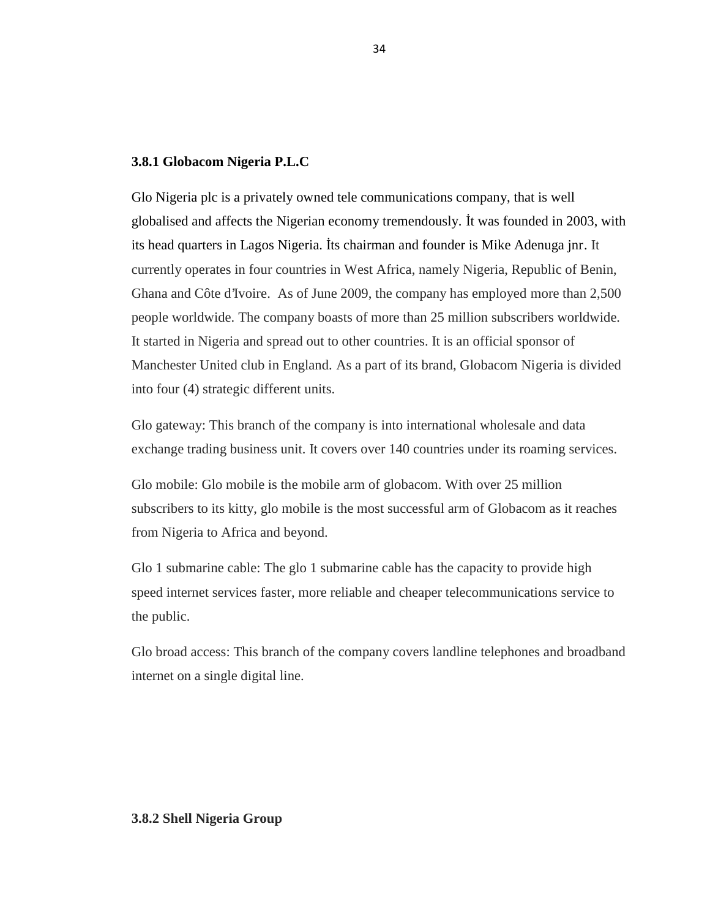### **3.8.1 Globacom Nigeria P.L.C**

Glo Nigeria plc is a privately owned tele communications company, that is well globalised and affects the Nigerian economy tremendously. İt was founded in 2003, with its head quarters in Lagos Nigeria. ts chairman and founder is Mike Adenuga jnr. It currently operates in four countries in West Africa, namely Nigeria, Republic of Benin, Ghana and Côte d'Ivoire. As of June 2009, the company has employed more than 2,500 people worldwide. The company boasts of more than 25 million subscribers worldwide. It started in Nigeria and spread out to other countries. It is an official sponsor of Manchester United club in England. As a part of its brand, Globacom Nigeria is divided into four (4) strategic different units.

Glo gateway: This branch of the company is into international wholesale and data exchange trading business unit. It covers over 140 countries under its roaming services.

Glo mobile: Glo mobile is the mobile arm of globacom. With over 25 million subscribers to its kitty, glo mobile is the most successful arm of Globacom as it reaches from Nigeria to Africa and beyond.

Glo 1 submarine cable: The glo 1 submarine cable has the capacity to provide high speed internet services faster, more reliable and cheaper telecommunications service to the public.

Glo broad access: This branch of the company covers landline telephones and broadband internet on a single digital line.

# **3.8.2 Shell Nigeria Group**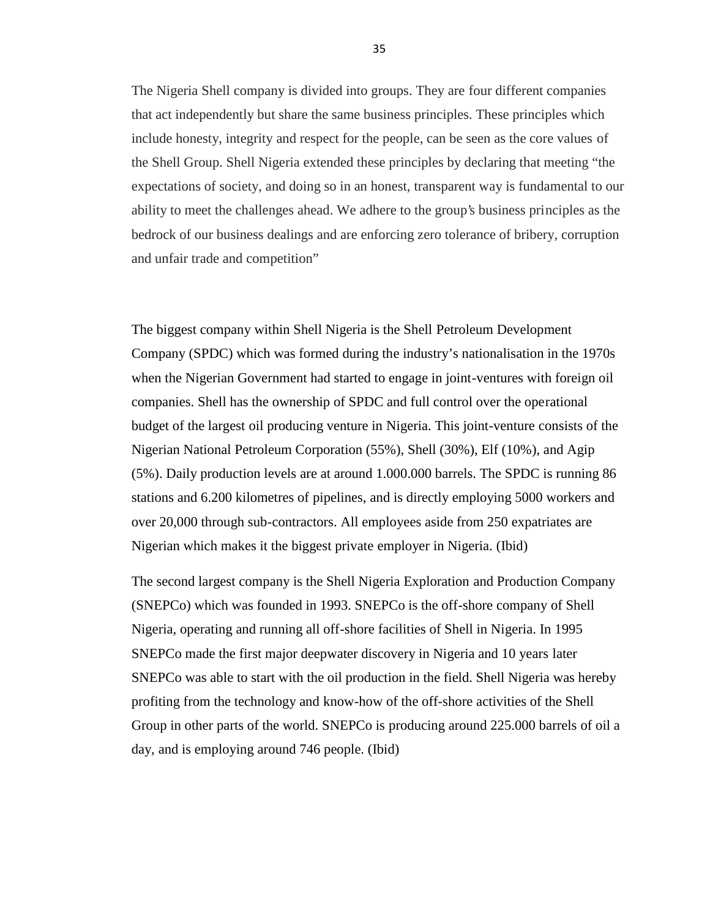The Nigeria Shell company is divided into groups. They are four different companies that act independently but share the same business principles. These principles which include honesty, integrity and respect for the people, can be seen as the core values of the Shell Group. Shell Nigeria extended these principles by declaring that meeting "the expectations of society, and doing so in an honest, transparent way is fundamental to our ability to meet the challenges ahead. We adhere to the group's business principles as the bedrock of our business dealings and are enforcing zero tolerance of bribery, corruption and unfair trade and competition"

The biggest company within Shell Nigeria is the Shell Petroleum Development Company (SPDC) which was formed during the industry's nationalisation in the 1970s when the Nigerian Government had started to engage in joint-ventures with foreign oil companies. Shell has the ownership of SPDC and full control over the operational budget of the largest oil producing venture in Nigeria. This joint-venture consists of the Nigerian National Petroleum Corporation (55%), Shell (30%), Elf (10%), and Agip (5%). Daily production levels are at around 1.000.000 barrels. The SPDC is running 86 stations and 6.200 kilometres of pipelines, and is directly employing 5000 workers and over 20,000 through sub-contractors. All employees aside from 250 expatriates are Nigerian which makes it the biggest private employer in Nigeria. (Ibid)

The second largest company is the Shell Nigeria Exploration and Production Company (SNEPCo) which was founded in 1993. SNEPCo is the off-shore company of Shell Nigeria, operating and running all off-shore facilities of Shell in Nigeria. In 1995 SNEPCo made the first major deepwater discovery in Nigeria and 10 years later SNEPCo was able to start with the oil production in the field. Shell Nigeria was hereby profiting from the technology and know-how of the off-shore activities of the Shell Group in other parts of the world. SNEPCo is producing around 225.000 barrels of oil a day, and is employing around 746 people. (Ibid)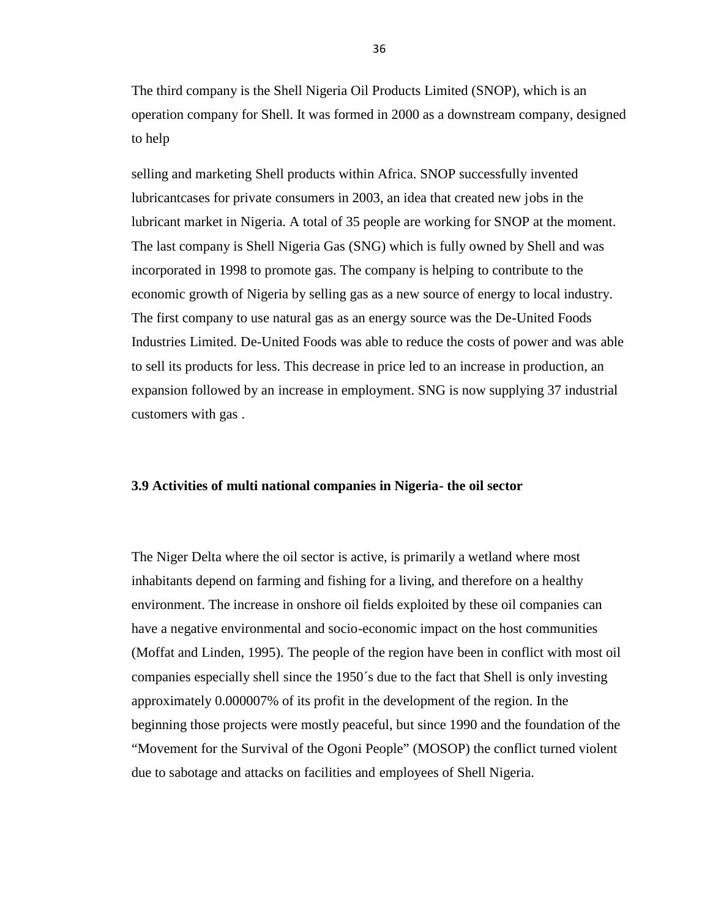The third company is the Shell Nigeria Oil Products Limited (SNOP), which is an operation company for Shell. It was formed in 2000 as a downstream company, designed to help

selling and marketing Shell products within Africa. SNOP successfully invented lubricantcases for private consumers in 2003, an idea that created new jobs in the lubricant market in Nigeria. A total of 35 people are working for SNOP at the moment. The last company is Shell Nigeria Gas (SNG) which is fully owned by Shell and was incorporated in 1998 to promote gas. The company is helping to contribute to the economic growth of Nigeria by selling gas as a new source of energy to local industry. The first company to use natural gas as an energy source was the De-United Foods Industries Limited. De-United Foods was able to reduce the costs of power and was able to sell its products for less. This decrease in price led to an increase in production, an expansion followed by an increase in employment. SNG is now supplying 37 industrial customers with gas .

# **3.9 Activities of multi national companies in Nigeria- the oil sector**

The Niger Delta where the oil sector is active, is primarily a wetland where most inhabitants depend on farming and fishing for a living, and therefore on a healthy environment. The increase in onshore oil fields exploited by these oil companies can have a negative environmental and socio-economic impact on the host communities (Moffat and Linden, 1995). The people of the region have been in conflict with most oil companies especially shell since the 1950´s due to the fact that Shell is only investing approximately 0.000007% of its profit in the development of the region. In the beginning those projects were mostly peaceful, but since 1990 and the foundation of the "Movement for the Survival of the Ogoni People" (MOSOP) the conflict turned violent due to sabotage and attacks on facilities and employees of Shell Nigeria.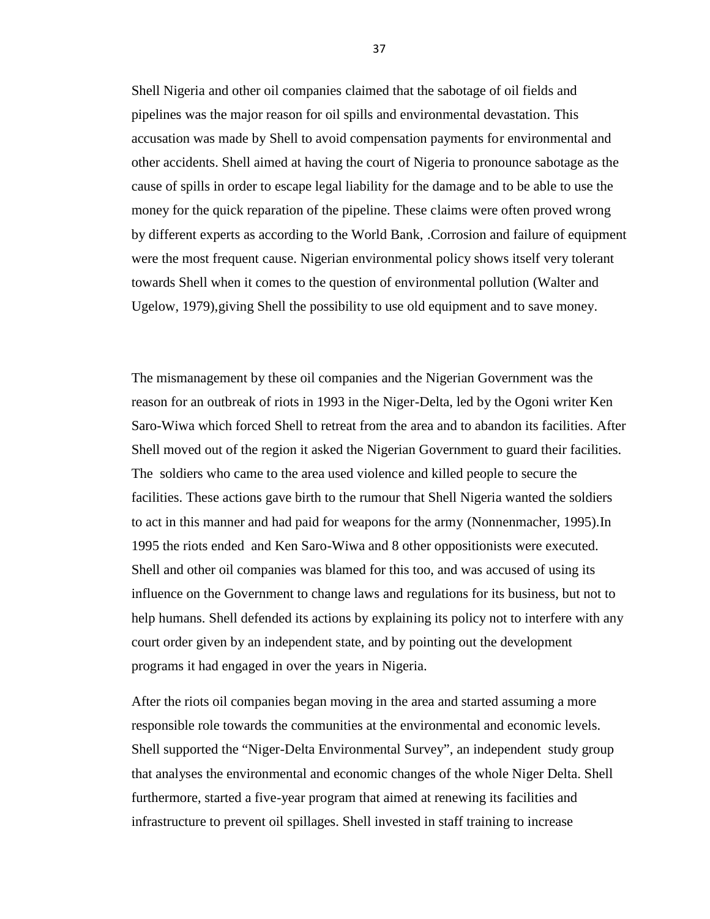Shell Nigeria and other oil companies claimed that the sabotage of oil fields and pipelines was the major reason for oil spills and environmental devastation. This accusation was made by Shell to avoid compensation payments for environmental and other accidents. Shell aimed at having the court of Nigeria to pronounce sabotage as the cause of spills in order to escape legal liability for the damage and to be able to use the money for the quick reparation of the pipeline. These claims were often proved wrong by different experts as according to the World Bank, .Corrosion and failure of equipment were the most frequent cause. Nigerian environmental policy shows itself very tolerant towards Shell when it comes to the question of environmental pollution (Walter and Ugelow, 1979),giving Shell the possibility to use old equipment and to save money.

The mismanagement by these oil companies and the Nigerian Government was the reason for an outbreak of riots in 1993 in the Niger-Delta, led by the Ogoni writer Ken Saro-Wiwa which forced Shell to retreat from the area and to abandon its facilities. After Shell moved out of the region it asked the Nigerian Government to guard their facilities. The soldiers who came to the area used violence and killed people to secure the facilities. These actions gave birth to the rumour that Shell Nigeria wanted the soldiers to act in this manner and had paid for weapons for the army (Nonnenmacher, 1995).In 1995 the riots ended and Ken Saro-Wiwa and 8 other oppositionists were executed. Shell and other oil companies was blamed for this too, and was accused of using its influence on the Government to change laws and regulations for its business, but not to help humans. Shell defended its actions by explaining its policy not to interfere with any court order given by an independent state, and by pointing out the development programs it had engaged in over the years in Nigeria.

After the riots oil companies began moving in the area and started assuming a more responsible role towards the communities at the environmental and economic levels. Shell supported the "Niger-Delta Environmental Survey", an independent study group that analyses the environmental and economic changes of the whole Niger Delta. Shell furthermore, started a five-year program that aimed at renewing its facilities and infrastructure to prevent oil spillages. Shell invested in staff training to increase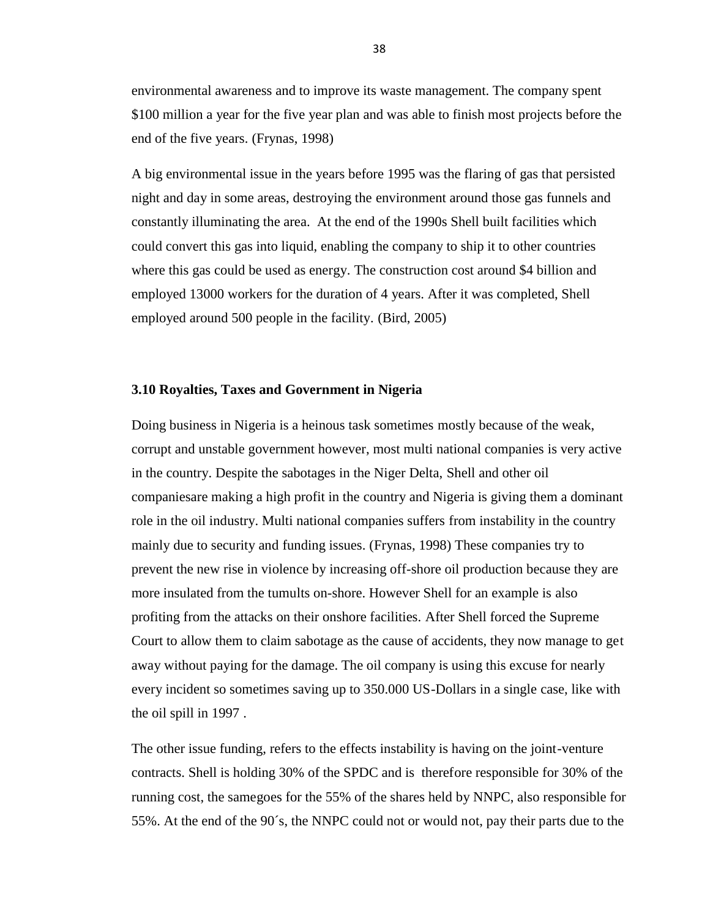environmental awareness and to improve its waste management. The company spent \$100 million a year for the five year plan and was able to finish most projects before the end of the five years. (Frynas, 1998)

A big environmental issue in the years before 1995 was the flaring of gas that persisted night and day in some areas, destroying the environment around those gas funnels and constantly illuminating the area. At the end of the 1990s Shell built facilities which could convert this gas into liquid, enabling the company to ship it to other countries where this gas could be used as energy. The construction cost around \$4 billion and employed 13000 workers for the duration of 4 years. After it was completed, Shell employed around 500 people in the facility*.* (Bird, 2005)

# **3.10 Royalties, Taxes and Government in Nigeria**

Doing business in Nigeria is a heinous task sometimes mostly because of the weak, corrupt and unstable government however, most multi national companies is very active in the country. Despite the sabotages in the Niger Delta, Shell and other oil companiesare making a high profit in the country and Nigeria is giving them a dominant role in the oil industry. Multi national companies suffers from instability in the country mainly due to security and funding issues. (Frynas, 1998) These companies try to prevent the new rise in violence by increasing off-shore oil production because they are more insulated from the tumults on-shore. However Shell for an example is also profiting from the attacks on their onshore facilities. After Shell forced the Supreme Court to allow them to claim sabotage as the cause of accidents, they now manage to get away without paying for the damage. The oil company is using this excuse for nearly every incident so sometimes saving up to 350.000 US-Dollars in a single case, like with the oil spill in 1997 .

The other issue funding, refers to the effects instability is having on the joint-venture contracts. Shell is holding 30% of the SPDC and is therefore responsible for 30% of the running cost, the samegoes for the 55% of the shares held by NNPC, also responsible for 55%. At the end of the 90´s, the NNPC could not or would not, pay their parts due to the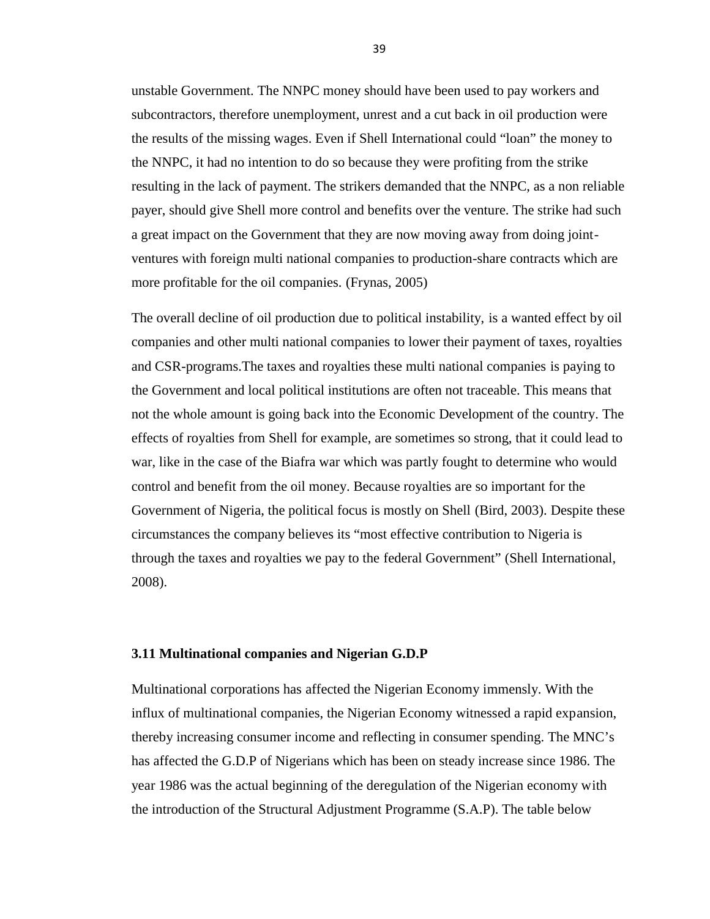unstable Government. The NNPC money should have been used to pay workers and subcontractors, therefore unemployment, unrest and a cut back in oil production were the results of the missing wages. Even if Shell International could "loan" the money to the NNPC, it had no intention to do so because they were profiting from the strike resulting in the lack of payment. The strikers demanded that the NNPC, as a non reliable payer, should give Shell more control and benefits over the venture. The strike had such a great impact on the Government that they are now moving away from doing joint ventures with foreign multi national companies to production-share contracts which are more profitable for the oil companies. (Frynas, 2005)

The overall decline of oil production due to political instability, is a wanted effect by oil companies and other multi national companies to lower their payment of taxes, royalties and CSR-programs.The taxes and royalties these multi national companies is paying to the Government and local political institutions are often not traceable. This means that not the whole amount is going back into the Economic Development of the country. The effects of royalties from Shell for example, are sometimes so strong, that it could lead to war, like in the case of the Biafra war which was partly fought to determine who would control and benefit from the oil money. Because royalties are so important for the Government of Nigeria, the political focus is mostly on Shell (Bird, 2003). Despite these circumstances the company believes its "most effective contribution to Nigeria is through the taxes and royalties we pay to the federal Government" (Shell International, 2008).

## **3.11 Multinational companies and Nigerian G.D.P**

Multinational corporations has affected the Nigerian Economy immensly. With the influx of multinational companies, the Nigerian Economy witnessed a rapid expansion, thereby increasing consumer income and reflecting in consumer spending. The MNC's has affected the G.D.P of Nigerians which has been on steady increase since 1986. The year 1986 was the actual beginning of the deregulation of the Nigerian economy with the introduction of the Structural Adjustment Programme (S.A.P). The table below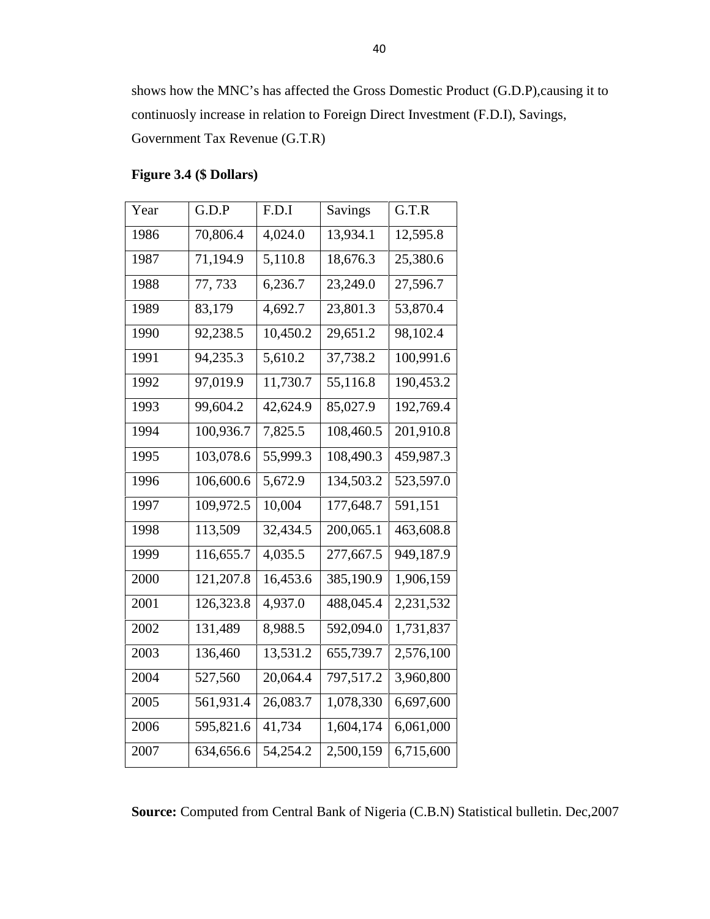shows how the MNC's has affected the Gross Domestic Product (G.D.P),causing it to continuosly increase in relation to Foreign Direct Investment (F.D.I), Savings, Government Tax Revenue (G.T.R)

| Year | G.D.P     | F.D.I    | <b>Savings</b> | G.T.R     |
|------|-----------|----------|----------------|-----------|
| 1986 | 70,806.4  | 4,024.0  | 13,934.1       | 12,595.8  |
| 1987 | 71,194.9  | 5,110.8  | 18,676.3       | 25,380.6  |
| 1988 | 77, 733   | 6,236.7  | 23,249.0       | 27,596.7  |
| 1989 | 83,179    | 4,692.7  | 23,801.3       | 53,870.4  |
| 1990 | 92,238.5  | 10,450.2 | 29,651.2       | 98,102.4  |
| 1991 | 94,235.3  | 5,610.2  | 37,738.2       | 100,991.6 |
| 1992 | 97,019.9  | 11,730.7 | 55,116.8       | 190,453.2 |
| 1993 | 99,604.2  | 42,624.9 | 85,027.9       | 192,769.4 |
| 1994 | 100,936.7 | 7,825.5  | 108,460.5      | 201,910.8 |
| 1995 | 103,078.6 | 55,999.3 | 108,490.3      | 459,987.3 |
| 1996 | 106,600.6 | 5,672.9  | 134,503.2      | 523,597.0 |
| 1997 | 109,972.5 | 10,004   | 177,648.7      | 591,151   |
| 1998 | 113,509   | 32,434.5 | 200,065.1      | 463,608.8 |
| 1999 | 116,655.7 | 4,035.5  | 277,667.5      | 949,187.9 |
| 2000 | 121,207.8 | 16,453.6 | 385,190.9      | 1,906,159 |
| 2001 | 126,323.8 | 4,937.0  | 488,045.4      | 2,231,532 |
| 2002 | 131,489   | 8,988.5  | 592,094.0      | 1,731,837 |
| 2003 | 136,460   | 13,531.2 | 655,739.7      | 2,576,100 |
| 2004 | 527,560   | 20,064.4 | 797,517.2      | 3,960,800 |
| 2005 | 561,931.4 | 26,083.7 | 1,078,330      | 6,697,600 |
| 2006 | 595,821.6 | 41,734   | 1,604,174      | 6,061,000 |
| 2007 | 634,656.6 | 54,254.2 | 2,500,159      | 6,715,600 |
|      |           |          |                |           |

# **Figure 3.4 (\$ Dollars)**

**Source:** Computed from Central Bank of Nigeria (C.B.N) Statistical bulletin. Dec,2007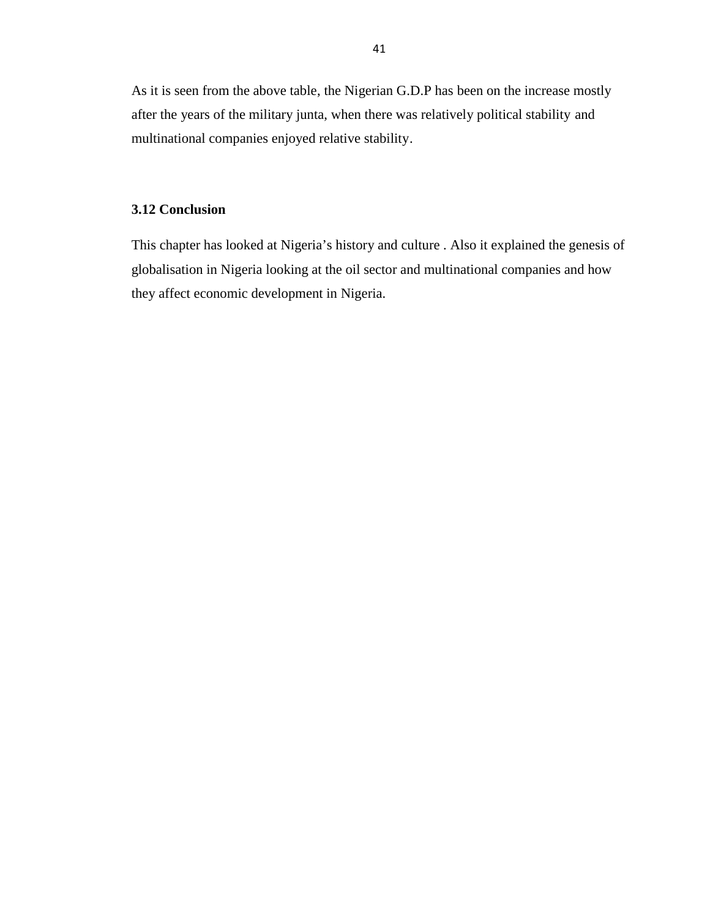As it is seen from the above table, the Nigerian G.D.P has been on the increase mostly after the years of the military junta, when there was relatively political stability and multinational companies enjoyed relative stability.

# **3.12 Conclusion**

This chapter has looked at Nigeria's history and culture . Also it explained the genesis of globalisation in Nigeria looking at the oil sector and multinational companies and how they affect economic development in Nigeria.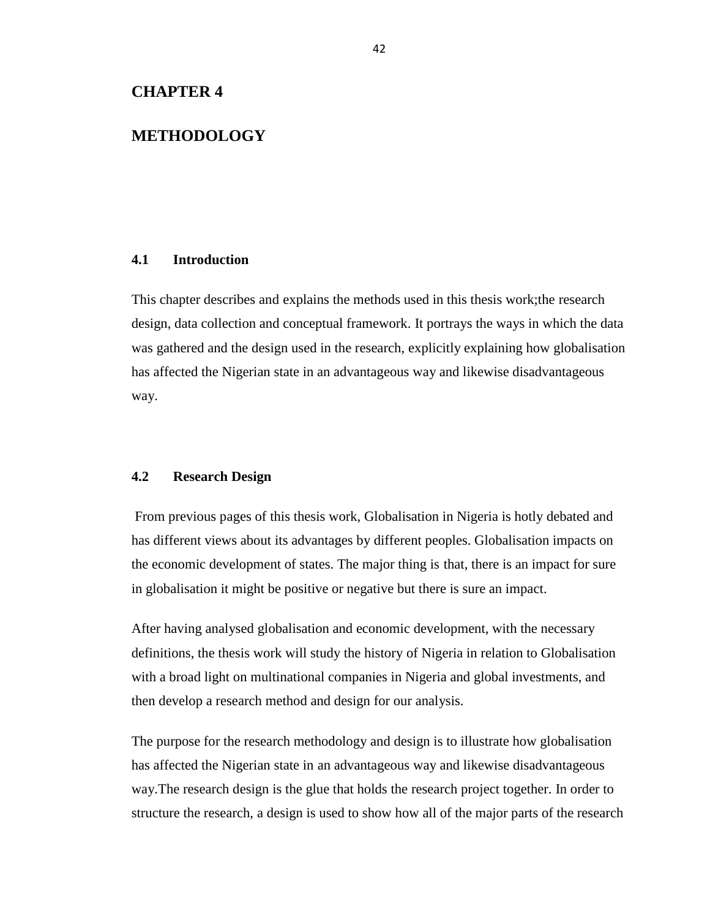# **METHODOLOGY**

### **4.1 Introduction**

This chapter describes and explains the methods used in this thesis work;the research design, data collection and conceptual framework. It portrays the ways in which the data was gathered and the design used in the research, explicitly explaining how globalisation has affected the Nigerian state in an advantageous way and likewise disadvantageous way.

### **4.2 Research Design**

From previous pages of this thesis work, Globalisation in Nigeria is hotly debated and has different views about its advantages by different peoples. Globalisation impacts on the economic development of states. The major thing is that, there is an impact for sure in globalisation it might be positive or negative but there is sure an impact.

After having analysed globalisation and economic development, with the necessary definitions, the thesis work will study the history of Nigeria in relation to Globalisation with a broad light on multinational companies in Nigeria and global investments, and then develop a research method and design for our analysis.

The purpose for the research methodology and design is to illustrate how globalisation has affected the Nigerian state in an advantageous way and likewise disadvantageous way.The research design is the glue that holds the research project together. In order to structure the research, a design is used to show how all of the major parts of the research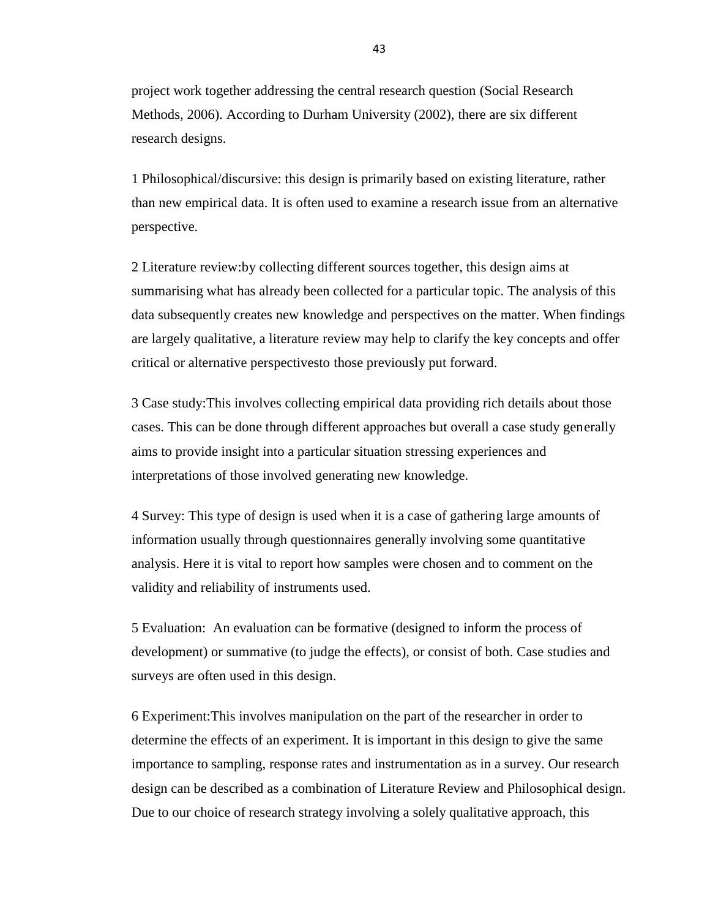project work together addressing the central research question (Social Research Methods, 2006). According to Durham University (2002), there are six different research designs.

1 Philosophical/discursive: this design is primarily based on existing literature, rather than new empirical data. It is often used to examine a research issue from an alternative perspective.

2 Literature review:by collecting different sources together, this design aims at summarising what has already been collected for a particular topic. The analysis of this data subsequently creates new knowledge and perspectives on the matter. When findings are largely qualitative, a literature review may help to clarify the key concepts and offer critical or alternative perspectivesto those previously put forward.

3 Case study:This involves collecting empirical data providing rich details about those cases. This can be done through different approaches but overall a case study generally aims to provide insight into a particular situation stressing experiences and interpretations of those involved generating new knowledge.

4 Survey: This type of design is used when it is a case of gathering large amounts of information usually through questionnaires generally involving some quantitative analysis. Here it is vital to report how samples were chosen and to comment on the validity and reliability of instruments used.

5 Evaluation: An evaluation can be formative (designed to inform the process of development) or summative (to judge the effects), or consist of both. Case studies and surveys are often used in this design.

6 Experiment:This involves manipulation on the part of the researcher in order to determine the effects of an experiment. It is important in this design to give the same importance to sampling, response rates and instrumentation as in a survey. Our research design can be described as a combination of Literature Review and Philosophical design. Due to our choice of research strategy involving a solely qualitative approach, this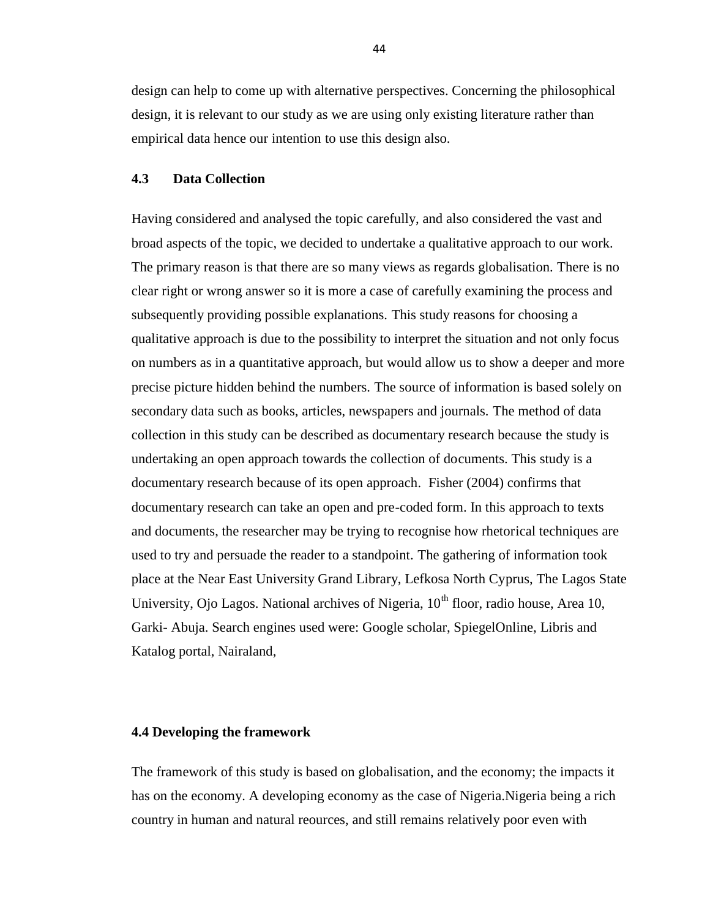design can help to come up with alternative perspectives. Concerning the philosophical design, it is relevant to our study as we are using only existing literature rather than empirical data hence our intention to use this design also.

# **4.3 Data Collection**

Having considered and analysed the topic carefully, and also considered the vast and broad aspects of the topic, we decided to undertake a qualitative approach to our work. The primary reason is that there are so many views as regards globalisation. There is no clear right or wrong answer so it is more a case of carefully examining the process and subsequently providing possible explanations. This study reasons for choosing a qualitative approach is due to the possibility to interpret the situation and not only focus on numbers as in a quantitative approach, but would allow us to show a deeper and more precise picture hidden behind the numbers. The source of information is based solely on secondary data such as books, articles, newspapers and journals. The method of data collection in this study can be described as documentary research because the study is undertaking an open approach towards the collection of documents. This study is a documentary research because of its open approach*.* Fisher (2004) confirms that documentary research can take an open and pre-coded form. In this approach to texts and documents, the researcher may be trying to recognise how rhetorical techniques are used to try and persuade the reader to a standpoint. The gathering of information took place at the Near East University Grand Library, Lefkosa North Cyprus, The Lagos State University, Ojo Lagos. National archives of Nigeria,  $10<sup>th</sup>$  floor, radio house, Area 10, Garki- Abuja. Search engines used were: Google scholar, SpiegelOnline, Libris and Katalog portal, Nairaland,

#### **4.4 Developing the framework**

The framework of this study is based on globalisation, and the economy; the impacts it has on the economy. A developing economy as the case of Nigeria.Nigeria being a rich country in human and natural reources, and still remains relatively poor even with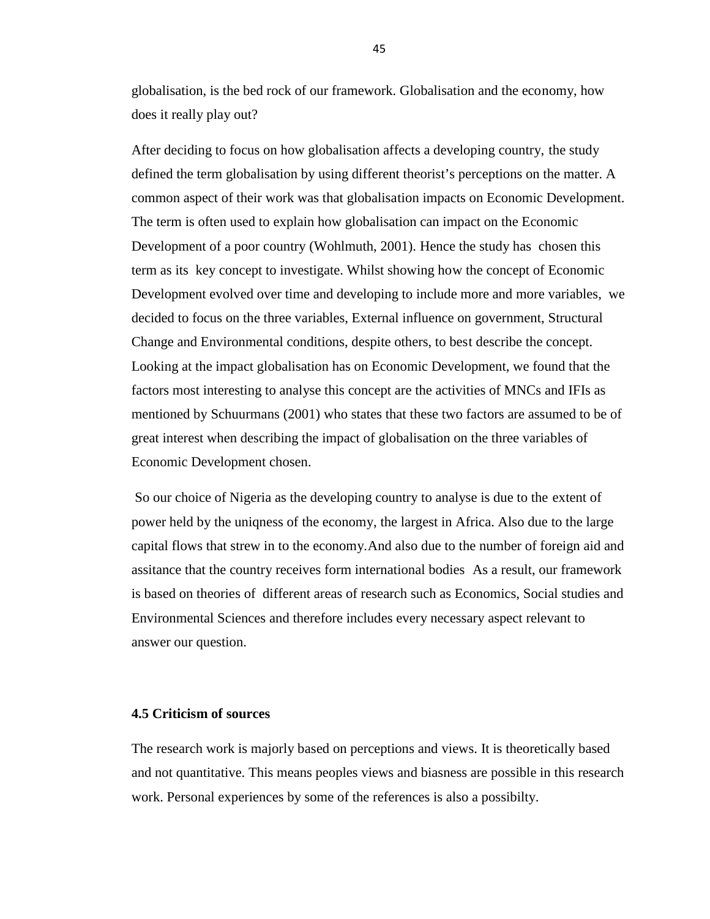globalisation, is the bed rock of our framework. Globalisation and the economy, how does it really play out?

After deciding to focus on how globalisation affects a developing country, the study defined the term globalisation by using different theorist's perceptions on the matter. A common aspect of their work was that globalisation impacts on Economic Development. The term is often used to explain how globalisation can impact on the Economic Development of a poor country (Wohlmuth, 2001). Hence the study has chosen this term as its key concept to investigate. Whilst showing how the concept of Economic Development evolved over time and developing to include more and more variables, we decided to focus on the three variables, External influence on government, Structural Change and Environmental conditions, despite others, to best describe the concept. Looking at the impact globalisation has on Economic Development, we found that the factors most interesting to analyse this concept are the activities of MNCs and IFIs as mentioned by Schuurmans (2001) who states that these two factors are assumed to be of great interest when describing the impact of globalisation on the three variables of Economic Development chosen.

So our choice of Nigeria as the developing country to analyse is due to the extent of power held by the uniqness of the economy, the largest in Africa. Also due to the large capital flows that strew in to the economy.And also due to the number of foreign aid and assitance that the country receives form international bodies As a result, our framework is based on theories of different areas of research such as Economics, Social studies and Environmental Sciences and therefore includes every necessary aspect relevant to answer our question.

# **4.5 Criticism of sources**

The research work is majorly based on perceptions and views. It is theoretically based and not quantitative. This means peoples views and biasness are possible in this research work. Personal experiences by some of the references is also a possibilty.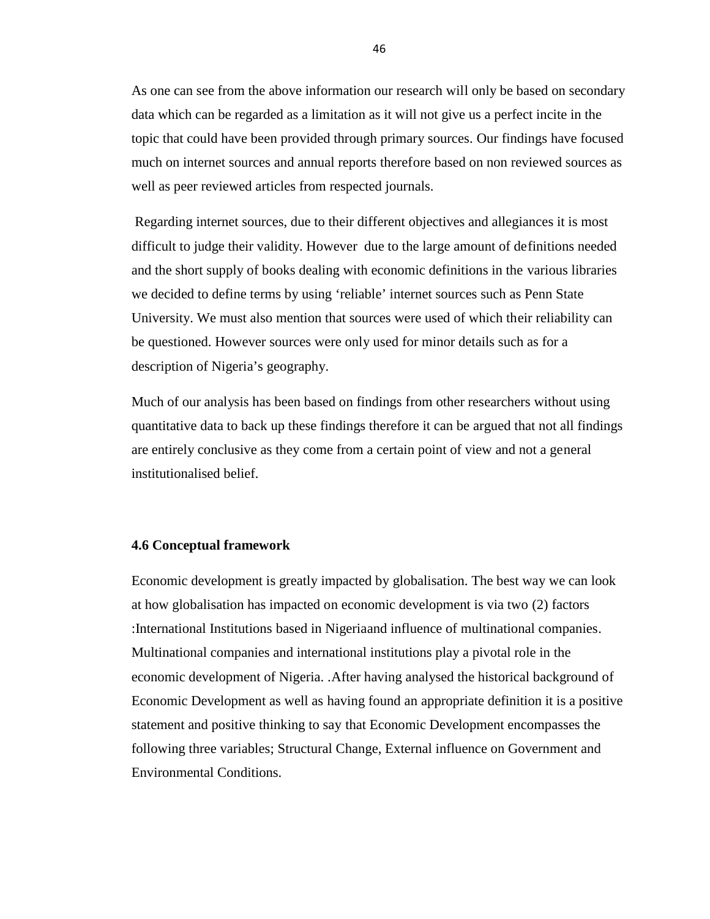As one can see from the above information our research will only be based on secondary data which can be regarded as a limitation as it will not give us a perfect incite in the topic that could have been provided through primary sources. Our findings have focused much on internet sources and annual reports therefore based on non reviewed sources as well as peer reviewed articles from respected journals.

Regarding internet sources, due to their different objectives and allegiances it is most difficult to judge their validity. However due to the large amount of definitions needed and the short supply of books dealing with economic definitions in the various libraries we decided to define terms by using 'reliable' internet sources such as Penn State University. We must also mention that sources were used of which their reliability can be questioned. However sources were only used for minor details such as for a description of Nigeria's geography.

Much of our analysis has been based on findings from other researchers without using quantitative data to back up these findings therefore it can be argued that not all findings are entirely conclusive as they come from a certain point of view and not a general institutionalised belief.

# **4.6 Conceptual framework**

Economic development is greatly impacted by globalisation. The best way we can look at how globalisation has impacted on economic development is via two (2) factors :International Institutions based in Nigeriaand influence of multinational companies. Multinational companies and international institutions play a pivotal role in the economic development of Nigeria. .After having analysed the historical background of Economic Development as well as having found an appropriate definition it is a positive statement and positive thinking to say that Economic Development encompasses the following three variables; Structural Change, External influence on Government and Environmental Conditions.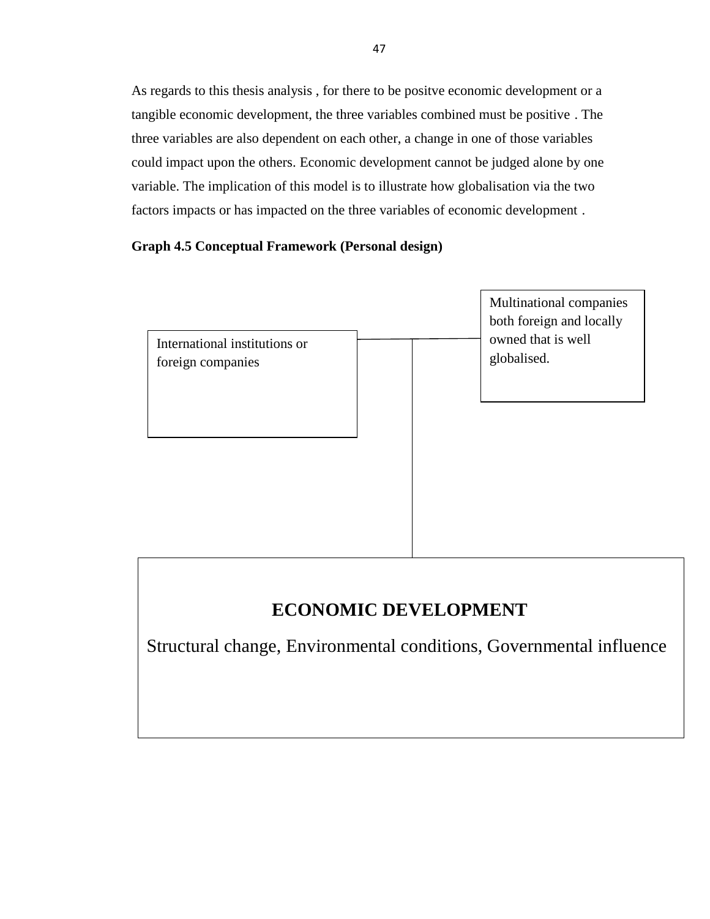As regards to this thesis analysis , for there to be positve economic development or a tangible economic development, the three variables combined must be positive . The three variables are also dependent on each other, a change in one of those variables could impact upon the others. Economic development cannot be judged alone by one variable. The implication of this model is to illustrate how globalisation via the two factors impacts or has impacted on the three variables of economic development .

# **Graph 4.5 Conceptual Framework (Personal design)**



# **ECONOMIC DEVELOPMENT**

Structural change, Environmental conditions, Governmental influence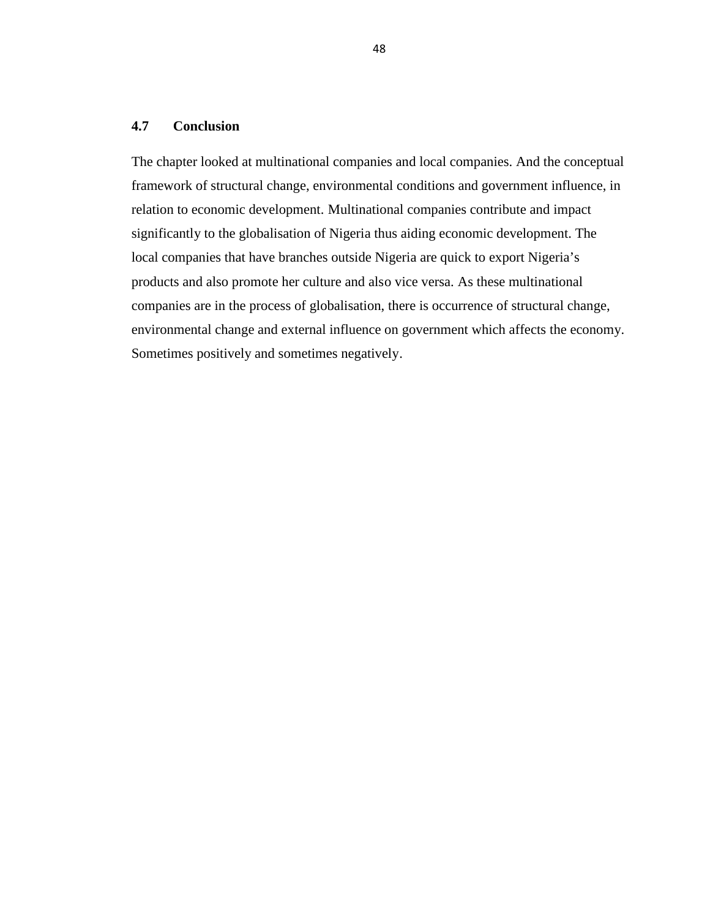### **4.7 Conclusion**

The chapter looked at multinational companies and local companies. And the conceptual framework of structural change, environmental conditions and government influence, in relation to economic development. Multinational companies contribute and impact significantly to the globalisation of Nigeria thus aiding economic development. The local companies that have branches outside Nigeria are quick to export Nigeria's products and also promote her culture and also vice versa. As these multinational companies are in the process of globalisation, there is occurrence of structural change, environmental change and external influence on government which affects the economy. Sometimes positively and sometimes negatively.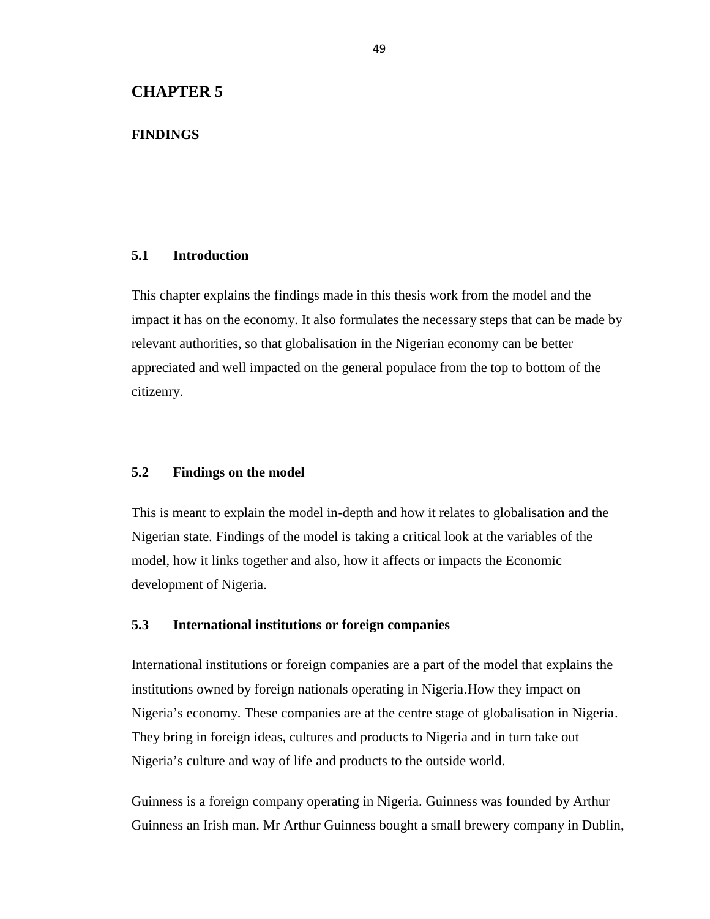# **CHAPTER 5**

# **FINDINGS**

# **5.1 Introduction**

This chapter explains the findings made in this thesis work from the model and the impact it has on the economy. It also formulates the necessary steps that can be made by relevant authorities, so that globalisation in the Nigerian economy can be better appreciated and well impacted on the general populace from the top to bottom of the citizenry.

# **5.2 Findings on the model**

This is meant to explain the model in-depth and how it relates to globalisation and the Nigerian state. Findings of the model is taking a critical look at the variables of the model, how it links together and also, how it affects or impacts the Economic development of Nigeria.

# **5.3 International institutions or foreign companies**

International institutions or foreign companies are a part of the model that explains the institutions owned by foreign nationals operating in Nigeria.How they impact on Nigeria's economy. These companies are at the centre stage of globalisation in Nigeria. They bring in foreign ideas, cultures and products to Nigeria and in turn take out Nigeria's culture and way of life and products to the outside world.

Guinness is a foreign company operating in Nigeria. Guinness was founded by Arthur Guinness an Irish man. Mr Arthur Guinness bought a small brewery company in Dublin,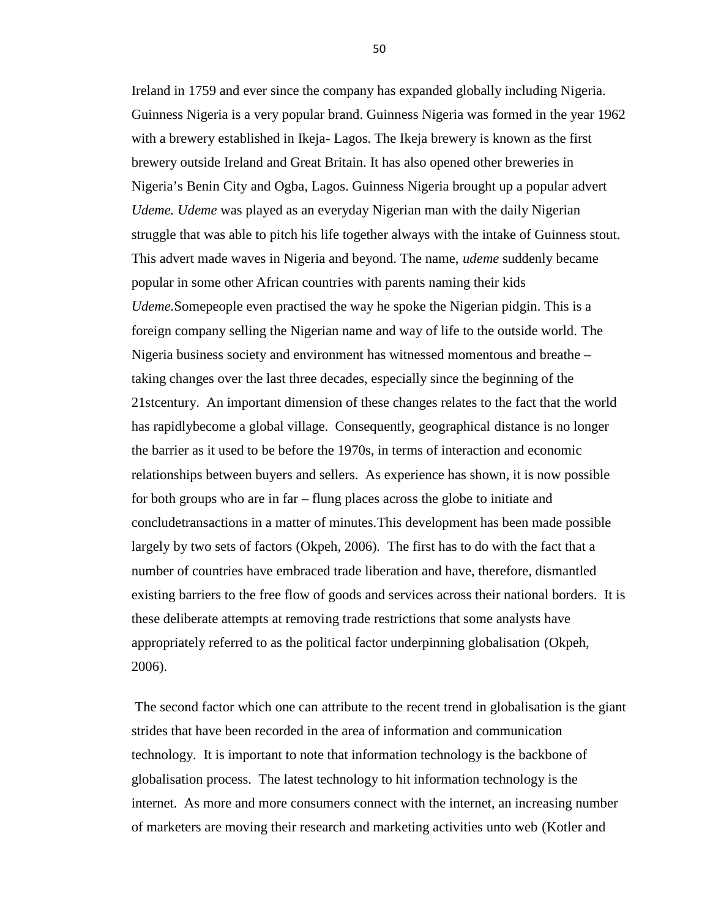Ireland in 1759 and ever since the company has expanded globally including Nigeria. Guinness Nigeria is a very popular brand. Guinness Nigeria was formed in the year 1962 with a brewery established in Ikeja- Lagos. The Ikeja brewery is known as the first brewery outside Ireland and Great Britain. It has also opened other breweries in Nigeria's Benin City and Ogba, Lagos. Guinness Nigeria brought up a popular advert *Udeme. Udeme* was played as an everyday Nigerian man with the daily Nigerian struggle that was able to pitch his life together always with the intake of Guinness stout. This advert made waves in Nigeria and beyond. The name, *udeme* suddenly became popular in some other African countries with parents naming their kids *Udeme.*Somepeople even practised the way he spoke the Nigerian pidgin. This is a foreign company selling the Nigerian name and way of life to the outside world. The Nigeria business society and environment has witnessed momentous and breathe – taking changes over the last three decades, especially since the beginning of the 21stcentury. An important dimension of these changes relates to the fact that the world has rapidlybecome a global village. Consequently, geographical distance is no longer the barrier as it used to be before the 1970s, in terms of interaction and economic relationships between buyers and sellers. As experience has shown, it is now possible for both groups who are in far – flung places across the globe to initiate and concludetransactions in a matter of minutes.This development has been made possible largely by two sets of factors (Okpeh, 2006)*.* The first has to do with the fact that a number of countries have embraced trade liberation and have, therefore, dismantled existing barriers to the free flow of goods and services across their national borders. It is these deliberate attempts at removing trade restrictions that some analysts have appropriately referred to as the political factor underpinning globalisation (Okpeh, 2006).

The second factor which one can attribute to the recent trend in globalisation is the giant strides that have been recorded in the area of information and communication technology. It is important to note that information technology is the backbone of globalisation process. The latest technology to hit information technology is the internet. As more and more consumers connect with the internet, an increasing number of marketers are moving their research and marketing activities unto web (Kotler and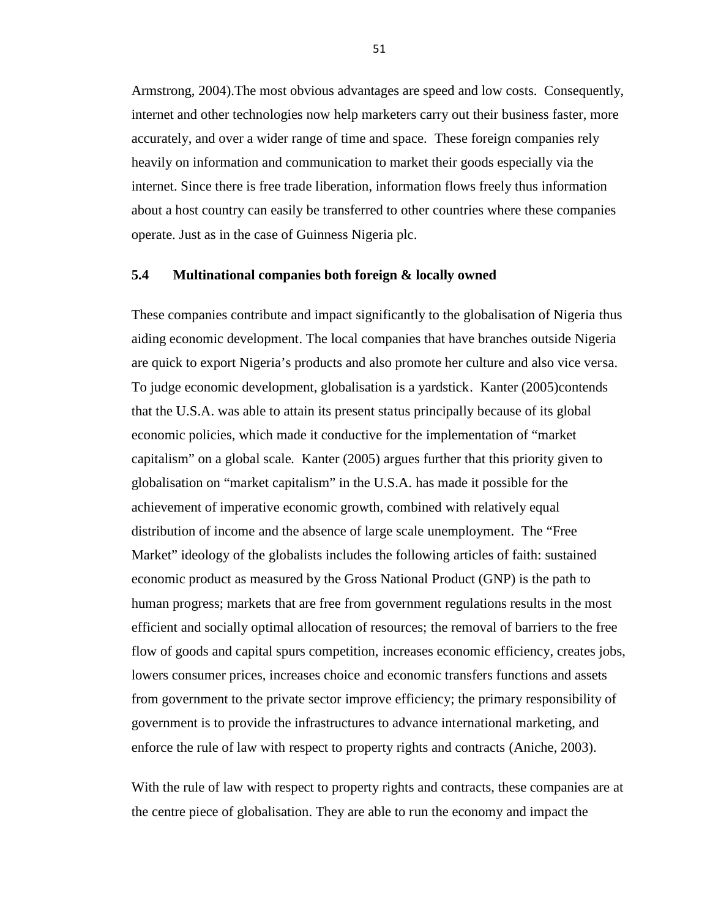Armstrong, 2004).The most obvious advantages are speed and low costs. Consequently, internet and other technologies now help marketers carry out their business faster, more accurately, and over a wider range of time and space. These foreign companies rely heavily on information and communication to market their goods especially via the internet. Since there is free trade liberation, information flows freely thus information about a host country can easily be transferred to other countries where these companies operate. Just as in the case of Guinness Nigeria plc.

# **5.4 Multinational companies both foreign & locally owned**

These companies contribute and impact significantly to the globalisation of Nigeria thus aiding economic development. The local companies that have branches outside Nigeria are quick to export Nigeria's products and also promote her culture and also vice versa. To judge economic development, globalisation is a yardstick. Kanter (2005)contends that the U.S.A. was able to attain its present status principally because of its global economic policies, which made it conductive for the implementation of "market capitalism" on a global scale*.* Kanter (2005) argues further that this priority given to globalisation on "market capitalism" in the U.S.A. has made it possible for the achievement of imperative economic growth, combined with relatively equal distribution of income and the absence of large scale unemployment. The "Free Market" ideology of the globalists includes the following articles of faith: sustained economic product as measured by the Gross National Product (GNP) is the path to human progress; markets that are free from government regulations results in the most efficient and socially optimal allocation of resources; the removal of barriers to the free flow of goods and capital spurs competition, increases economic efficiency, creates jobs, lowers consumer prices, increases choice and economic transfers functions and assets from government to the private sector improve efficiency; the primary responsibility of government is to provide the infrastructures to advance international marketing, and enforce the rule of law with respect to property rights and contracts (Aniche, 2003).

With the rule of law with respect to property rights and contracts, these companies are at the centre piece of globalisation. They are able to run the economy and impact the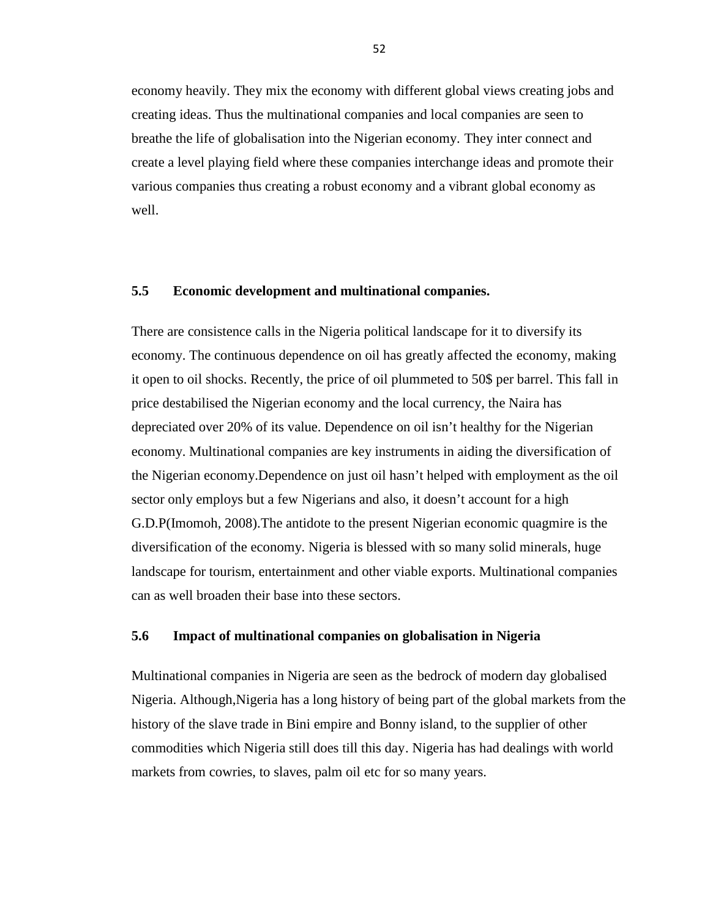economy heavily. They mix the economy with different global views creating jobs and creating ideas. Thus the multinational companies and local companies are seen to breathe the life of globalisation into the Nigerian economy. They inter connect and create a level playing field where these companies interchange ideas and promote their various companies thus creating a robust economy and a vibrant global economy as well.

# **5.5 Economic development and multinational companies.**

There are consistence calls in the Nigeria political landscape for it to diversify its economy. The continuous dependence on oil has greatly affected the economy, making it open to oil shocks. Recently, the price of oil plummeted to 50\$ per barrel. This fall in price destabilised the Nigerian economy and the local currency, the Naira has depreciated over 20% of its value. Dependence on oil isn't healthy for the Nigerian economy. Multinational companies are key instruments in aiding the diversification of the Nigerian economy.Dependence on just oil hasn't helped with employment as the oil sector only employs but a few Nigerians and also, it doesn't account for a high G.D.P(Imomoh, 2008).The antidote to the present Nigerian economic quagmire is the diversification of the economy. Nigeria is blessed with so many solid minerals, huge landscape for tourism, entertainment and other viable exports. Multinational companies can as well broaden their base into these sectors.

# **5.6 Impact of multinational companies on globalisation in Nigeria**

Multinational companies in Nigeria are seen as the bedrock of modern day globalised Nigeria. Although,Nigeria has a long history of being part of the global markets from the history of the slave trade in Bini empire and Bonny island, to the supplier of other commodities which Nigeria still does till this day. Nigeria has had dealings with world markets from cowries, to slaves, palm oil etc for so many years.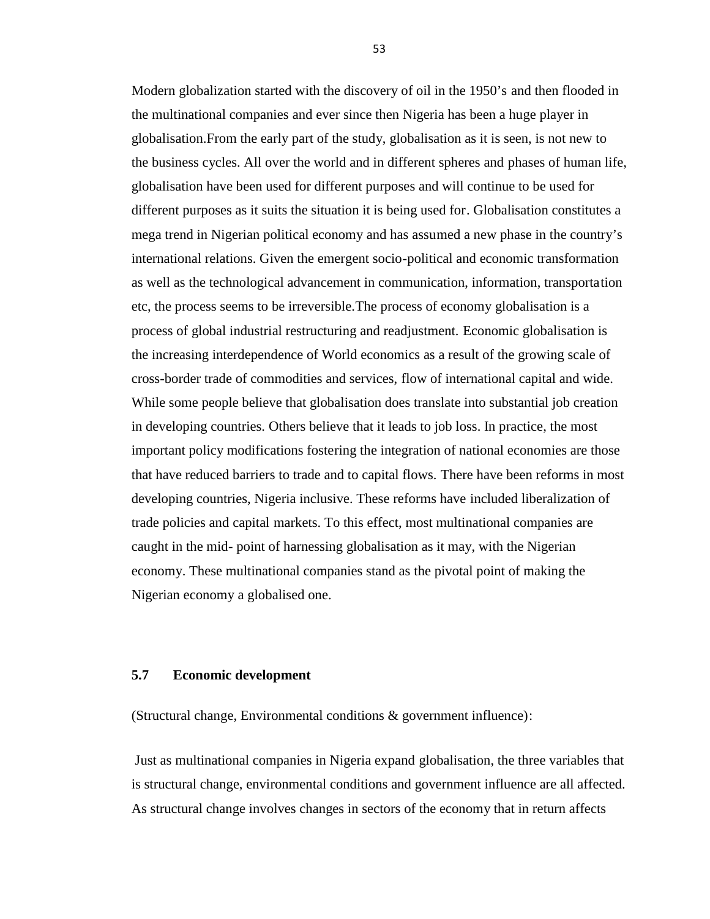Modern globalization started with the discovery of oil in the 1950's and then flooded in the multinational companies and ever since then Nigeria has been a huge player in globalisation.From the early part of the study, globalisation as it is seen, is not new to the business cycles. All over the world and in different spheres and phases of human life, globalisation have been used for different purposes and will continue to be used for different purposes as it suits the situation it is being used for. Globalisation constitutes a mega trend in Nigerian political economy and has assumed a new phase in the country's international relations. Given the emergent socio-political and economic transformation as well as the technological advancement in communication, information, transportation etc, the process seems to be irreversible.The process of economy globalisation is a process of global industrial restructuring and readjustment. Economic globalisation is the increasing interdependence of World economics as a result of the growing scale of cross-border trade of commodities and services, flow of international capital and wide. While some people believe that globalisation does translate into substantial job creation in developing countries. Others believe that it leads to job loss. In practice, the most important policy modifications fostering the integration of national economies are those that have reduced barriers to trade and to capital flows. There have been reforms in most developing countries, Nigeria inclusive. These reforms have included liberalization of trade policies and capital markets. To this effect, most multinational companies are caught in the mid- point of harnessing globalisation as it may, with the Nigerian economy. These multinational companies stand as the pivotal point of making the Nigerian economy a globalised one.

### **5.7 Economic development**

(Structural change, Environmental conditions & government influence):

Just as multinational companies in Nigeria expand globalisation, the three variables that is structural change, environmental conditions and government influence are all affected. As structural change involves changes in sectors of the economy that in return affects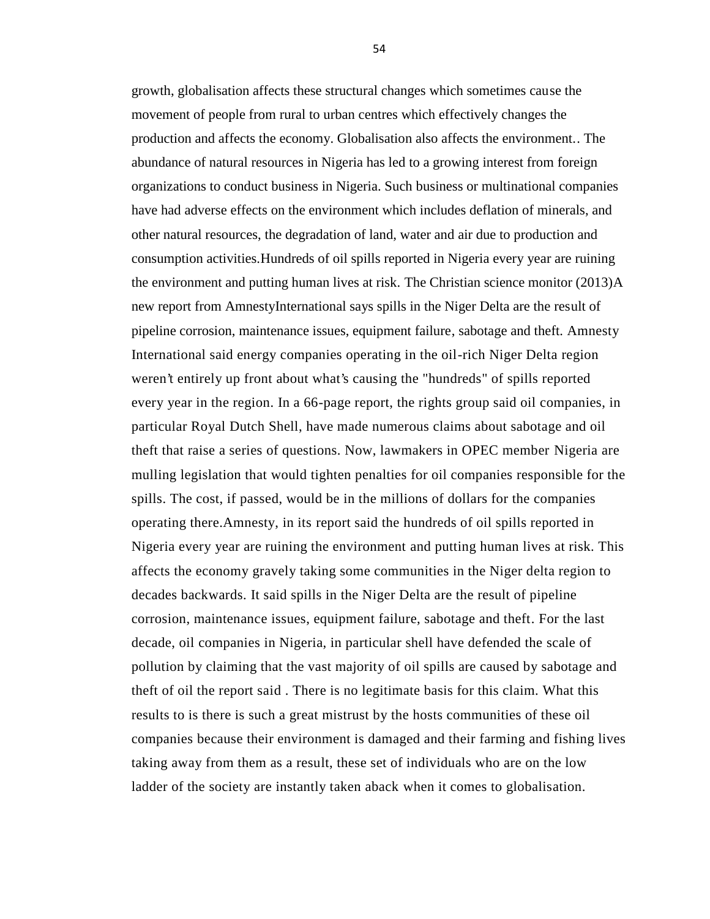growth, globalisation affects these structural changes which sometimes cause the movement of people from rural to urban centres which effectively changes the production and affects the economy. Globalisation also affects the environment.. The abundance of natural resources in Nigeria has led to a growing interest from foreign organizations to conduct business in Nigeria. Such business or multinational companies have had adverse effects on the environment which includes deflation of minerals, and other natural resources, the degradation of land, water and air due to production and consumption activities.Hundreds of oil spills reported in Nigeria every year are ruining the environment and putting human lives at risk. The Christian science monitor (2013)A new report from AmnestyInternational says spills in the Niger Delta are the result of pipeline corrosion, maintenance issues, equipment failure, sabotage and theft. Amnesty International said energy companies operating in the oil-rich Niger Delta region weren't entirely up front about what's causing the "hundreds" of spills reported every year in the region. In a 66-page report, the rights group said oil companies, in particular Royal Dutch Shell, have made numerous claims about sabotage and oil theft that raise a series of questions. Now, lawmakers in OPEC member Nigeria are mulling legislation that would tighten penalties for oil companies responsible for the spills. The cost, if passed, would be in the millions of dollars for the companies operating there.Amnesty, in its report said the hundreds of oil spills reported in Nigeria every year are ruining the environment and putting human lives at risk. This affects the economy gravely taking some communities in the Niger delta region to decades backwards. It said spills in the Niger Delta are the result of pipeline corrosion, maintenance issues, equipment failure, sabotage and theft. For the last decade, oil companies in Nigeria, in particular shell have defended the scale of pollution by claiming that the vast majority of oil spills are caused by sabotage and theft of oil the report said . There is no legitimate basis for this claim. What this results to is there is such a great mistrust by the hosts communities of these oil companies because their environment is damaged and their farming and fishing lives taking away from them as a result, these set of individuals who are on the low ladder of the society are instantly taken aback when it comes to globalisation.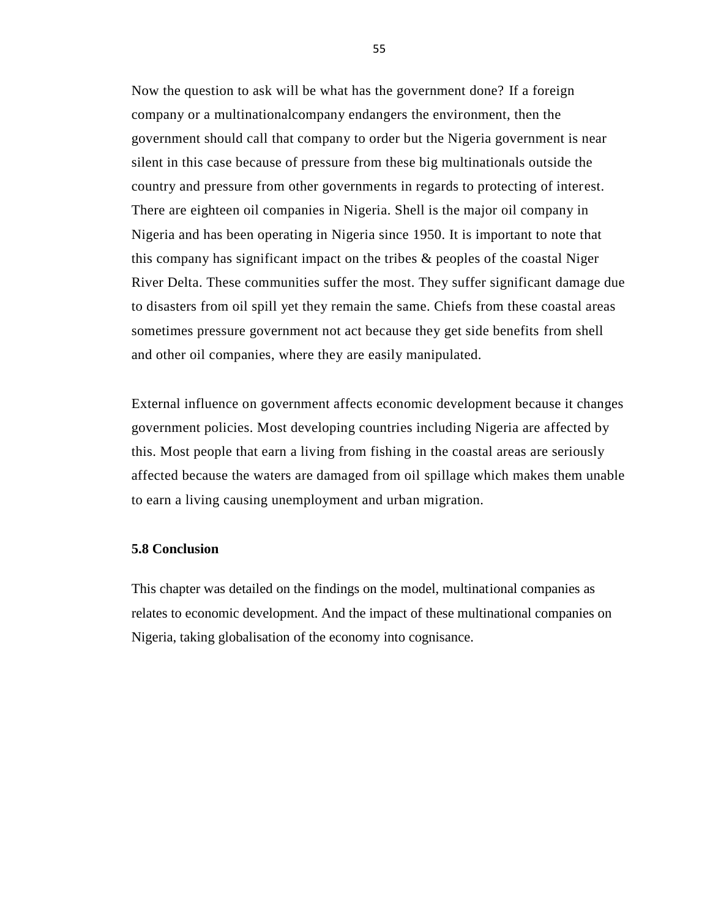Now the question to ask will be what has the government done? If a foreign company or a multinationalcompany endangers the environment, then the government should call that company to order but the Nigeria government is near silent in this case because of pressure from these big multinationals outside the country and pressure from other governments in regards to protecting of interest. There are eighteen oil companies in Nigeria. Shell is the major oil company in Nigeria and has been operating in Nigeria since 1950. It is important to note that this company has significant impact on the tribes & peoples of the coastal Niger River Delta. These communities suffer the most. They suffer significant damage due to disasters from oil spill yet they remain the same. Chiefs from these coastal areas sometimes pressure government not act because they get side benefits from shell and other oil companies, where they are easily manipulated.

External influence on government affects economic development because it changes government policies. Most developing countries including Nigeria are affected by this. Most people that earn a living from fishing in the coastal areas are seriously affected because the waters are damaged from oil spillage which makes them unable to earn a living causing unemployment and urban migration.

### **5.8 Conclusion**

This chapter was detailed on the findings on the model, multinational companies as relates to economic development. And the impact of these multinational companies on Nigeria, taking globalisation of the economy into cognisance.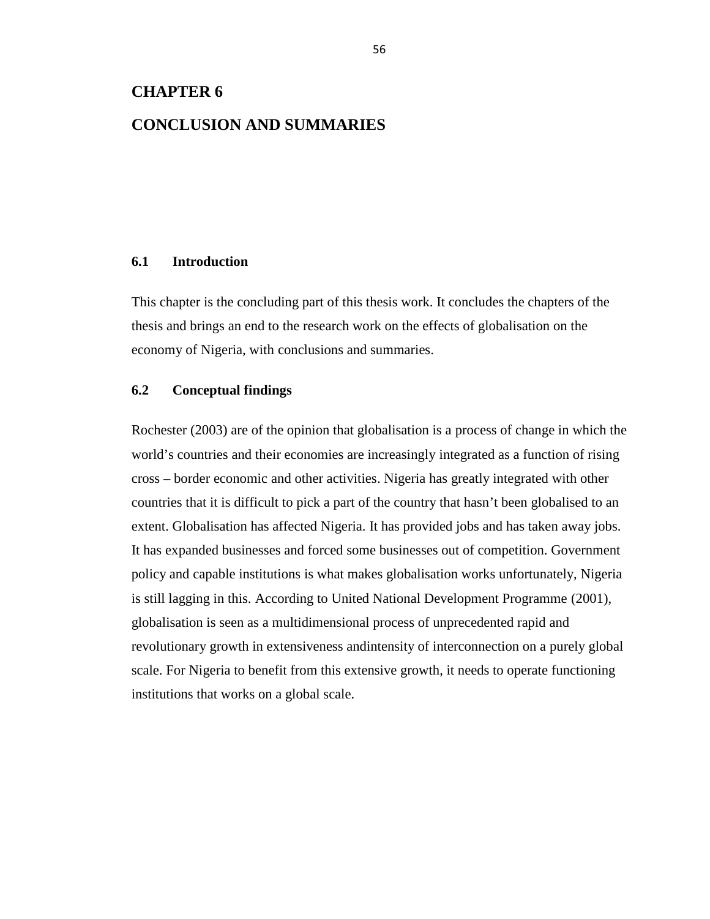# **CHAPTER 6**

# **CONCLUSION AND SUMMARIES**

# **6.1 Introduction**

This chapter is the concluding part of this thesis work. It concludes the chapters of the thesis and brings an end to the research work on the effects of globalisation on the economy of Nigeria, with conclusions and summaries.

# **6.2 Conceptual findings**

Rochester (2003) are of the opinion that globalisation is a process of change in which the world's countries and their economies are increasingly integrated as a function of rising cross – border economic and other activities. Nigeria has greatly integrated with other countries that it is difficult to pick a part of the country that hasn't been globalised to an extent. Globalisation has affected Nigeria. It has provided jobs and has taken away jobs. It has expanded businesses and forced some businesses out of competition. Government policy and capable institutions is what makes globalisation works unfortunately, Nigeria is still lagging in this. According to United National Development Programme (2001), globalisation is seen as a multidimensional process of unprecedented rapid and revolutionary growth in extensiveness andintensity of interconnection on a purely global scale. For Nigeria to benefit from this extensive growth, it needs to operate functioning institutions that works on a global scale.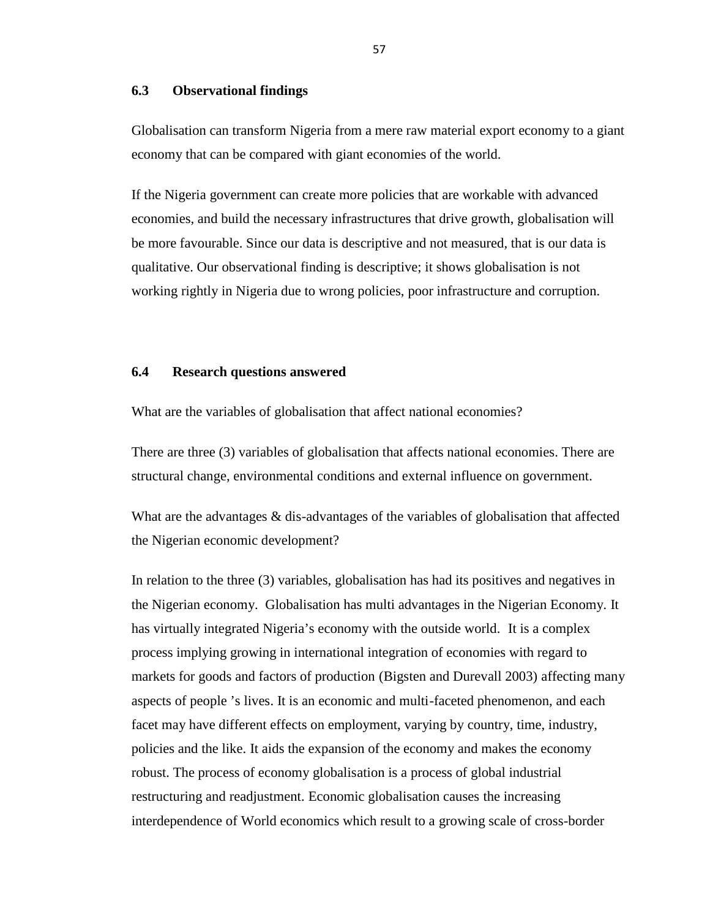# **6.3 Observational findings**

Globalisation can transform Nigeria from a mere raw material export economy to a giant economy that can be compared with giant economies of the world.

If the Nigeria government can create more policies that are workable with advanced economies, and build the necessary infrastructures that drive growth, globalisation will be more favourable. Since our data is descriptive and not measured, that is our data is qualitative. Our observational finding is descriptive; it shows globalisation is not working rightly in Nigeria due to wrong policies, poor infrastructure and corruption.

## **6.4 Research questions answered**

What are the variables of globalisation that affect national economies?

There are three (3) variables of globalisation that affects national economies. There are structural change, environmental conditions and external influence on government.

What are the advantages & dis-advantages of the variables of globalisation that affected the Nigerian economic development?

In relation to the three (3) variables, globalisation has had its positives and negatives in the Nigerian economy. Globalisation has multi advantages in the Nigerian Economy. It has virtually integrated Nigeria's economy with the outside world. It is a complex process implying growing in international integration of economies with regard to markets for goods and factors of production (Bigsten and Durevall 2003) affecting many aspects of people 's lives. It is an economic and multi-faceted phenomenon, and each facet may have different effects on employment, varying by country, time, industry, policies and the like. It aids the expansion of the economy and makes the economy robust. The process of economy globalisation is a process of global industrial restructuring and readjustment. Economic globalisation causes the increasing interdependence of World economics which result to a growing scale of cross-border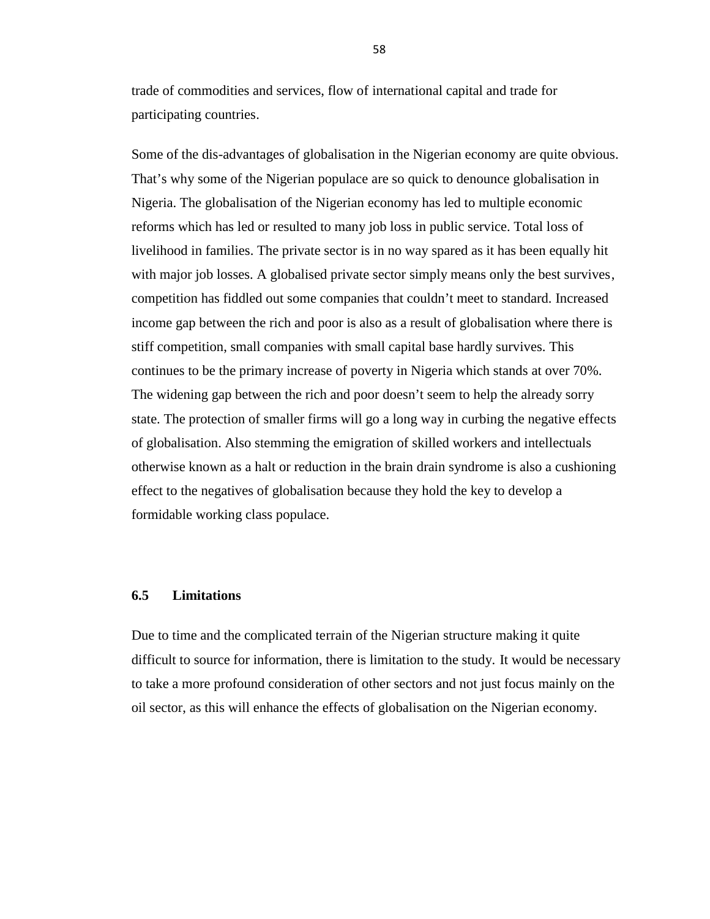trade of commodities and services, flow of international capital and trade for participating countries.

Some of the dis-advantages of globalisation in the Nigerian economy are quite obvious. That's why some of the Nigerian populace are so quick to denounce globalisation in Nigeria. The globalisation of the Nigerian economy has led to multiple economic reforms which has led or resulted to many job loss in public service. Total loss of livelihood in families. The private sector is in no way spared as it has been equally hit with major job losses. A globalised private sector simply means only the best survives, competition has fiddled out some companies that couldn't meet to standard. Increased income gap between the rich and poor is also as a result of globalisation where there is stiff competition, small companies with small capital base hardly survives. This continues to be the primary increase of poverty in Nigeria which stands at over 70%. The widening gap between the rich and poor doesn't seem to help the already sorry state. The protection of smaller firms will go a long way in curbing the negative effects of globalisation. Also stemming the emigration of skilled workers and intellectuals otherwise known as a halt or reduction in the brain drain syndrome is also a cushioning effect to the negatives of globalisation because they hold the key to develop a formidable working class populace.

# **6.5 Limitations**

Due to time and the complicated terrain of the Nigerian structure making it quite difficult to source for information, there is limitation to the study. It would be necessary to take a more profound consideration of other sectors and not just focus mainly on the oil sector, as this will enhance the effects of globalisation on the Nigerian economy.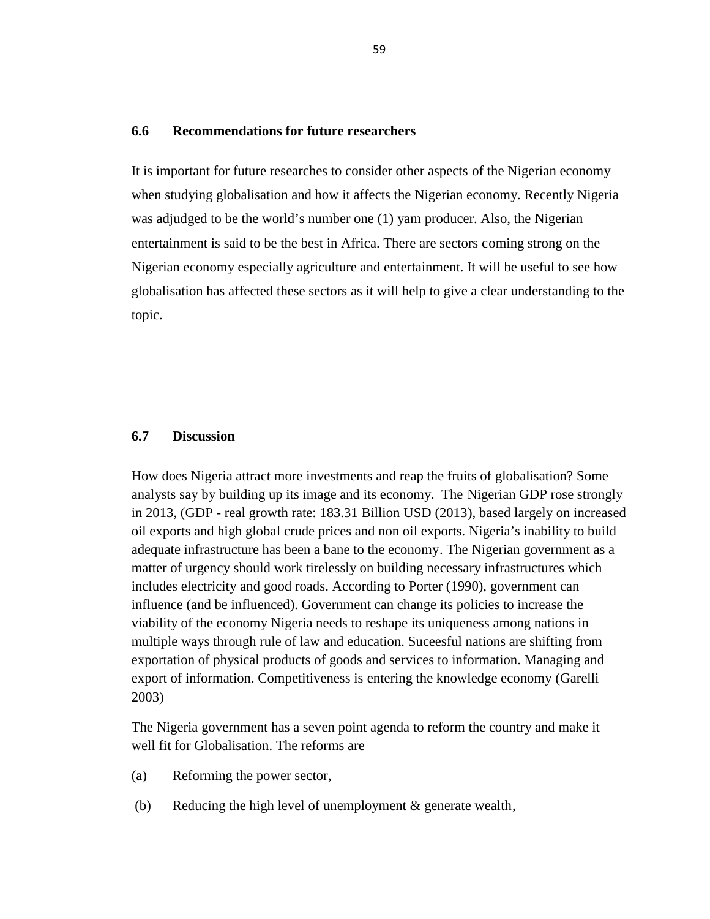## **6.6 Recommendations for future researchers**

It is important for future researches to consider other aspects of the Nigerian economy when studying globalisation and how it affects the Nigerian economy. Recently Nigeria was adjudged to be the world's number one (1) yam producer. Also, the Nigerian entertainment is said to be the best in Africa. There are sectors coming strong on the Nigerian economy especially agriculture and entertainment. It will be useful to see how globalisation has affected these sectors as it will help to give a clear understanding to the topic.

## **6.7 Discussion**

How does Nigeria attract more investments and reap the fruits of globalisation? Some analysts say by building up its image and its economy. The Nigerian GDP rose strongly in 2013, (GDP - real growth rate: 183.31 Billion USD (2013), based largely on increased oil exports and high global crude prices and non oil exports. Nigeria's inability to build adequate infrastructure has been a bane to the economy. The Nigerian government as a matter of urgency should work tirelessly on building necessary infrastructures which includes electricity and good roads. According to Porter (1990), government can influence (and be influenced). Government can change its policies to increase the viability of the economy Nigeria needs to reshape its uniqueness among nations in multiple ways through rule of law and education. Suceesful nations are shifting from exportation of physical products of goods and services to information. Managing and export of information. Competitiveness is entering the knowledge economy (Garelli 2003)

The Nigeria government has a seven point agenda to reform the country and make it well fit for Globalisation. The reforms are

- (a) Reforming the power sector,
- (b) Reducing the high level of unemployment  $\&$  generate wealth,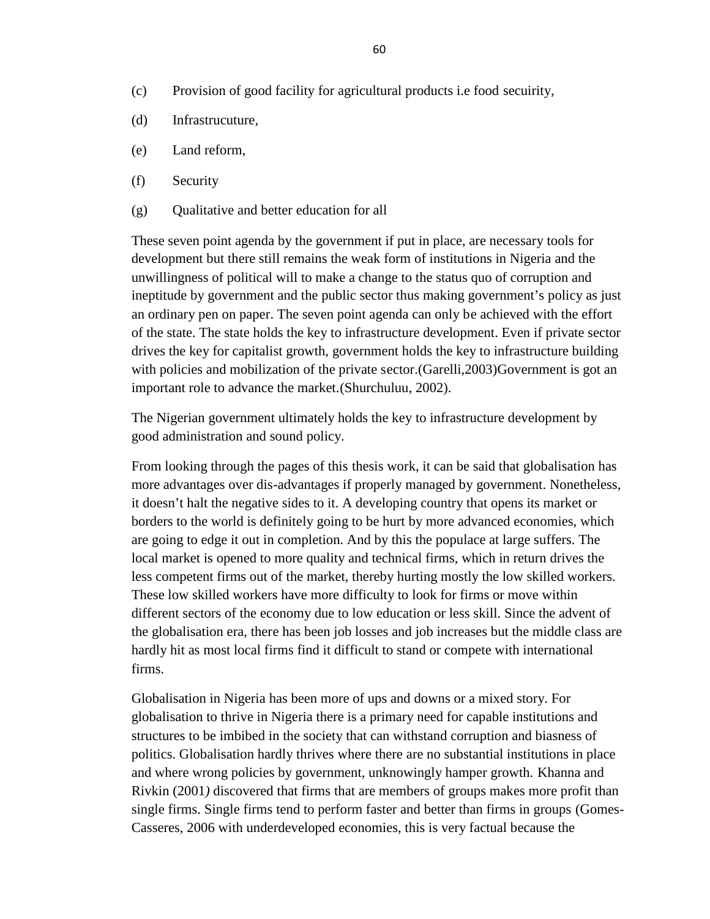- (c) Provision of good facility for agricultural products i.e food secuirity,
- (d) Infrastrucuture,
- (e) Land reform,
- (f) Security
- (g) Qualitative and better education for all

These seven point agenda by the government if put in place, are necessary tools for development but there still remains the weak form of institutions in Nigeria and the unwillingness of political will to make a change to the status quo of corruption and ineptitude by government and the public sector thus making government's policy as just an ordinary pen on paper. The seven point agenda can only be achieved with the effort of the state. The state holds the key to infrastructure development. Even if private sector drives the key for capitalist growth, government holds the key to infrastructure building with policies and mobilization of the private sector. (Garelli, 2003) Government is got an important role to advance the market.(Shurchuluu, 2002)*.*

The Nigerian government ultimately holds the key to infrastructure development by good administration and sound policy.

From looking through the pages of this thesis work, it can be said that globalisation has more advantages over dis-advantages if properly managed by government. Nonetheless, it doesn't halt the negative sides to it. A developing country that opens its market or borders to the world is definitely going to be hurt by more advanced economies, which are going to edge it out in completion. And by this the populace at large suffers. The local market is opened to more quality and technical firms, which in return drives the less competent firms out of the market, thereby hurting mostly the low skilled workers. These low skilled workers have more difficulty to look for firms or move within different sectors of the economy due to low education or less skill. Since the advent of the globalisation era, there has been job losses and job increases but the middle class are hardly hit as most local firms find it difficult to stand or compete with international firms.

Globalisation in Nigeria has been more of ups and downs or a mixed story. For globalisation to thrive in Nigeria there is a primary need for capable institutions and structures to be imbibed in the society that can withstand corruption and biasness of politics. Globalisation hardly thrives where there are no substantial institutions in place and where wrong policies by government, unknowingly hamper growth. Khanna and Rivkin (2001*)* discovered that firms that are members of groups makes more profit than single firms. Single firms tend to perform faster and better than firms in groups (Gomes- Casseres, 2006 with underdeveloped economies, this is very factual because the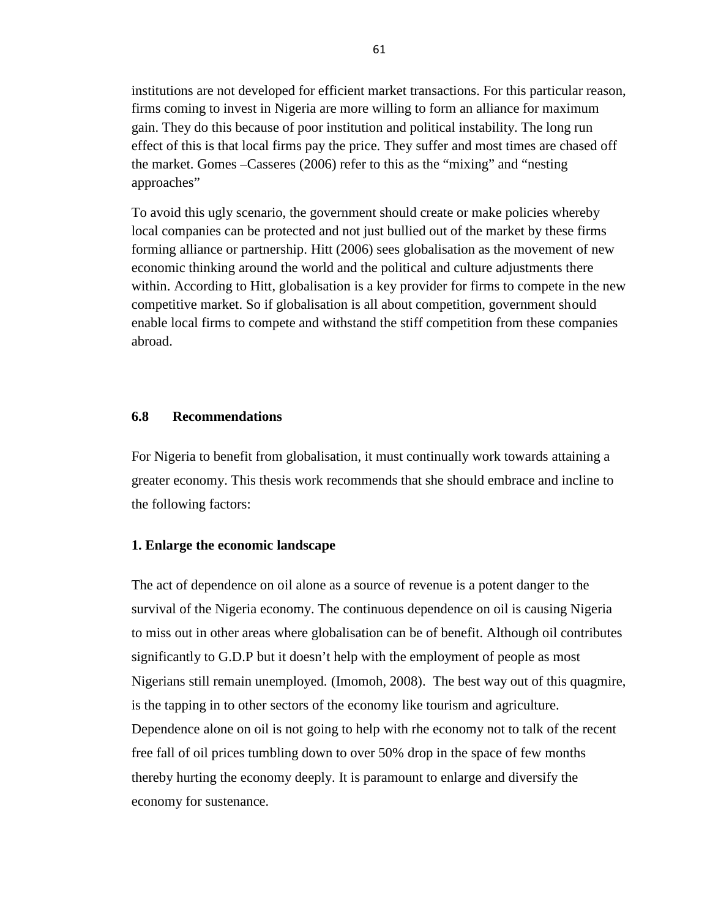institutions are not developed for efficient market transactions. For this particular reason, firms coming to invest in Nigeria are more willing to form an alliance for maximum gain. They do this because of poor institution and political instability. The long run effect of this is that local firms pay the price. They suffer and most times are chased off the market. Gomes –Casseres (2006) refer to this as the "mixing" and "nesting approaches"

To avoid this ugly scenario, the government should create or make policies whereby local companies can be protected and not just bullied out of the market by these firms forming alliance or partnership. Hitt (2006) sees globalisation as the movement of new economic thinking around the world and the political and culture adjustments there within. According to Hitt, globalisation is a key provider for firms to compete in the new competitive market. So if globalisation is all about competition, government should enable local firms to compete and withstand the stiff competition from these companies abroad.

# **6.8 Recommendations**

For Nigeria to benefit from globalisation, it must continually work towards attaining a greater economy. This thesis work recommends that she should embrace and incline to the following factors:

### **1. Enlarge the economic landscape**

The act of dependence on oil alone as a source of revenue is a potent danger to the survival of the Nigeria economy. The continuous dependence on oil is causing Nigeria to miss out in other areas where globalisation can be of benefit. Although oil contributes significantly to G.D.P but it doesn't help with the employment of people as most Nigerians still remain unemployed. (Imomoh, 2008). The best way out of this quagmire, is the tapping in to other sectors of the economy like tourism and agriculture. Dependence alone on oil is not going to help with rhe economy not to talk of the recent free fall of oil prices tumbling down to over 50% drop in the space of few months thereby hurting the economy deeply. It is paramount to enlarge and diversify the economy for sustenance.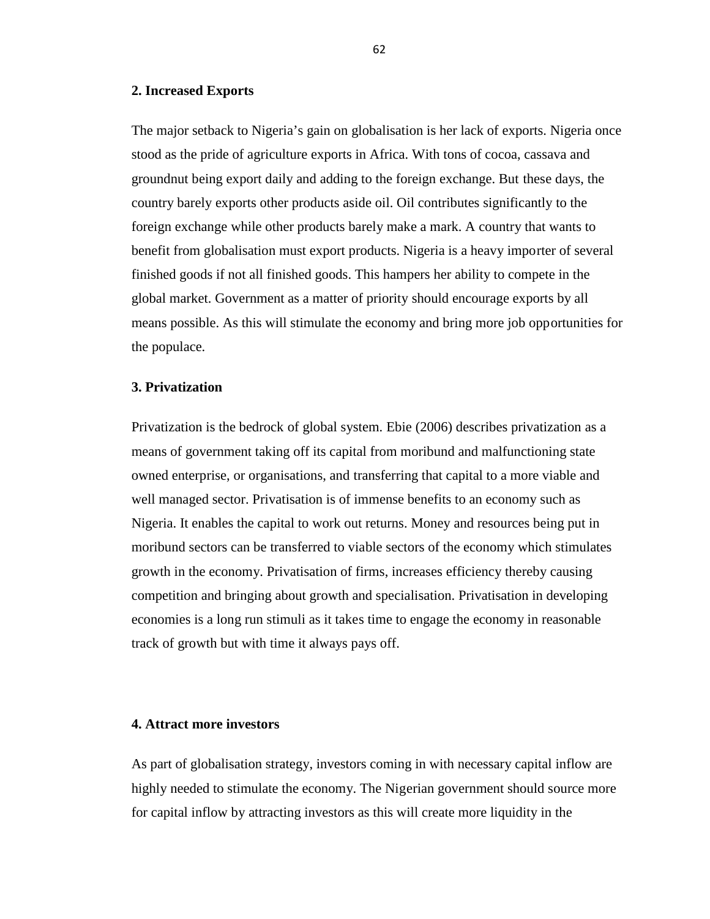## **2. Increased Exports**

The major setback to Nigeria's gain on globalisation is her lack of exports. Nigeria once stood as the pride of agriculture exports in Africa. With tons of cocoa, cassava and groundnut being export daily and adding to the foreign exchange. But these days, the country barely exports other products aside oil. Oil contributes significantly to the foreign exchange while other products barely make a mark. A country that wants to benefit from globalisation must export products. Nigeria is a heavy importer of several finished goods if not all finished goods. This hampers her ability to compete in the global market. Government as a matter of priority should encourage exports by all means possible. As this will stimulate the economy and bring more job opportunities for the populace.

## **3. Privatization**

Privatization is the bedrock of global system. Ebie (2006) describes privatization as a means of government taking off its capital from moribund and malfunctioning state owned enterprise, or organisations, and transferring that capital to a more viable and well managed sector. Privatisation is of immense benefits to an economy such as Nigeria. It enables the capital to work out returns. Money and resources being put in moribund sectors can be transferred to viable sectors of the economy which stimulates growth in the economy. Privatisation of firms, increases efficiency thereby causing competition and bringing about growth and specialisation. Privatisation in developing economies is a long run stimuli as it takes time to engage the economy in reasonable track of growth but with time it always pays off.

## **4. Attract more investors**

As part of globalisation strategy, investors coming in with necessary capital inflow are highly needed to stimulate the economy. The Nigerian government should source more for capital inflow by attracting investors as this will create more liquidity in the

62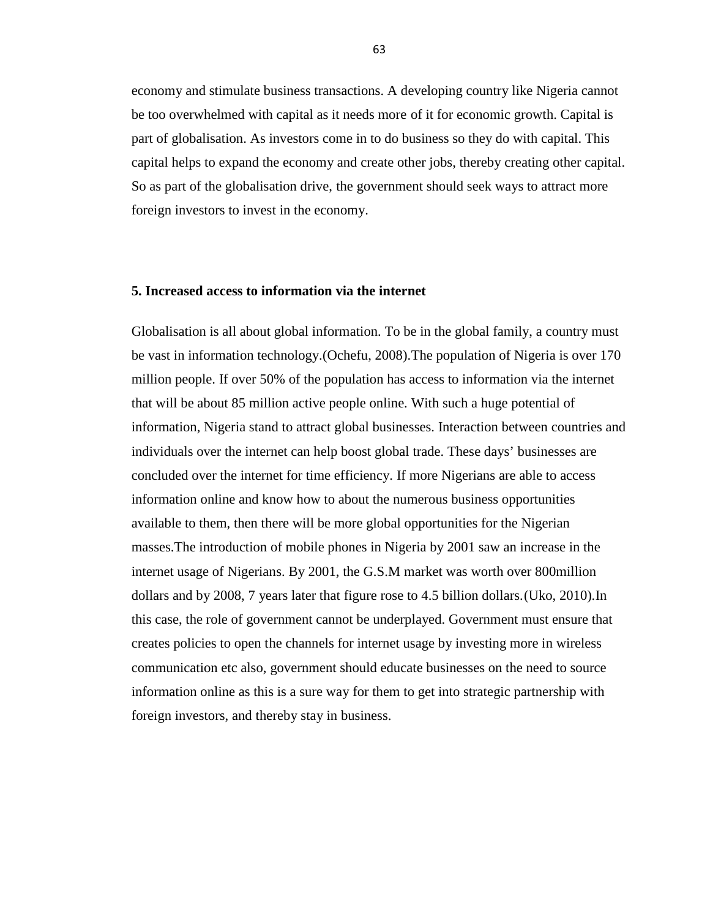economy and stimulate business transactions. A developing country like Nigeria cannot be too overwhelmed with capital as it needs more of it for economic growth. Capital is part of globalisation. As investors come in to do business so they do with capital. This capital helps to expand the economy and create other jobs, thereby creating other capital. So as part of the globalisation drive, the government should seek ways to attract more foreign investors to invest in the economy.

#### **5. Increased access to information via the internet**

Globalisation is all about global information. To be in the global family, a country must be vast in information technology.(Ochefu, 2008).The population of Nigeria is over 170 million people. If over 50% of the population has access to information via the internet that will be about 85 million active people online. With such a huge potential of information, Nigeria stand to attract global businesses. Interaction between countries and individuals over the internet can help boost global trade. These days' businesses are concluded over the internet for time efficiency. If more Nigerians are able to access information online and know how to about the numerous business opportunities available to them, then there will be more global opportunities for the Nigerian masses.The introduction of mobile phones in Nigeria by 2001 saw an increase in the internet usage of Nigerians. By 2001, the G.S.M market was worth over 800million dollars and by 2008, 7 years later that figure rose to 4.5 billion dollars.(Uko, 2010)*.*In this case, the role of government cannot be underplayed. Government must ensure that creates policies to open the channels for internet usage by investing more in wireless communication etc also, government should educate businesses on the need to source information online as this is a sure way for them to get into strategic partnership with foreign investors, and thereby stay in business.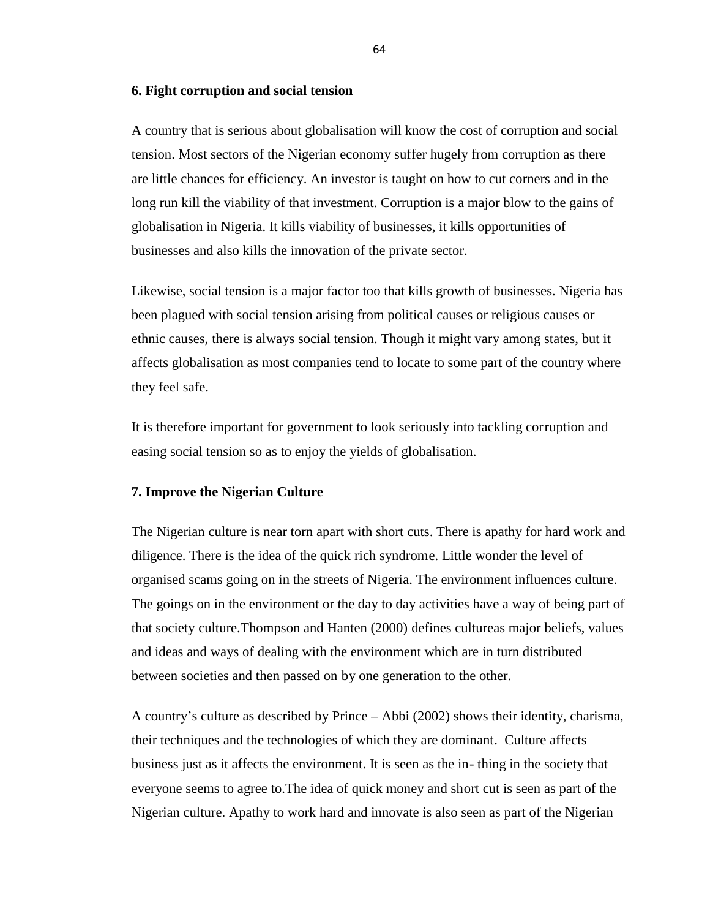#### **6. Fight corruption and social tension**

A country that is serious about globalisation will know the cost of corruption and social tension. Most sectors of the Nigerian economy suffer hugely from corruption as there are little chances for efficiency. An investor is taught on how to cut corners and in the long run kill the viability of that investment. Corruption is a major blow to the gains of globalisation in Nigeria. It kills viability of businesses, it kills opportunities of businesses and also kills the innovation of the private sector.

Likewise, social tension is a major factor too that kills growth of businesses. Nigeria has been plagued with social tension arising from political causes or religious causes or ethnic causes, there is always social tension. Though it might vary among states, but it affects globalisation as most companies tend to locate to some part of the country where they feel safe.

It is therefore important for government to look seriously into tackling corruption and easing social tension so as to enjoy the yields of globalisation.

## **7. Improve the Nigerian Culture**

The Nigerian culture is near torn apart with short cuts. There is apathy for hard work and diligence. There is the idea of the quick rich syndrome. Little wonder the level of organised scams going on in the streets of Nigeria. The environment influences culture. The goings on in the environment or the day to day activities have a way of being part of that society culture.Thompson and Hanten (2000) defines cultureas major beliefs, values and ideas and ways of dealing with the environment which are in turn distributed between societies and then passed on by one generation to the other.

A country's culture as described by Prince – Abbi (2002) shows their identity, charisma, their techniques and the technologies of which they are dominant. Culture affects business just as it affects the environment. It is seen as the in- thing in the society that everyone seems to agree to.The idea of quick money and short cut is seen as part of the Nigerian culture. Apathy to work hard and innovate is also seen as part of the Nigerian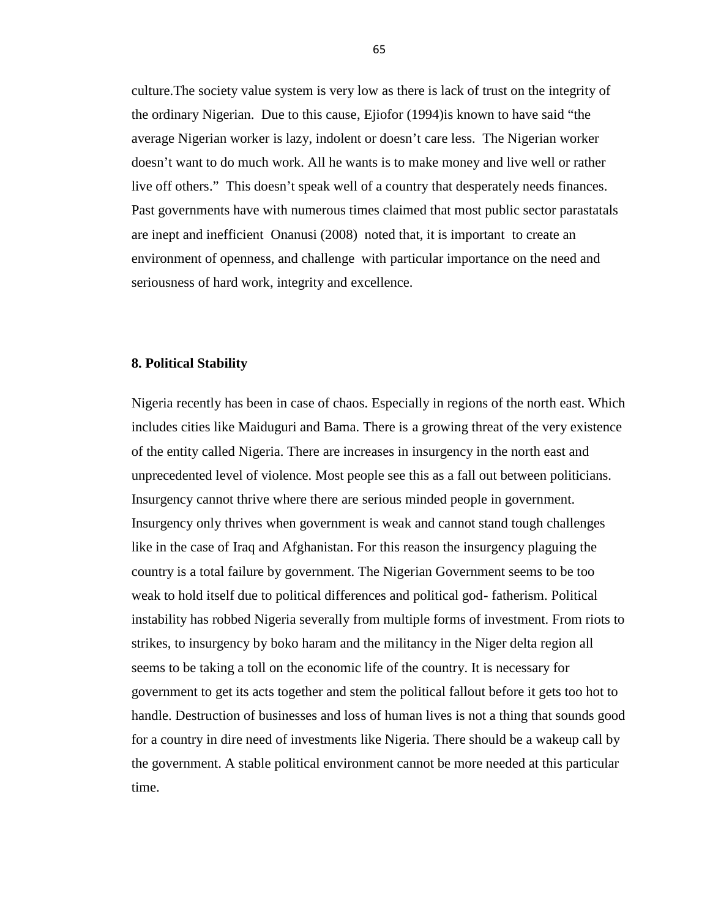culture.The society value system is very low as there is lack of trust on the integrity of the ordinary Nigerian. Due to this cause, Ejiofor (1994)is known to have said "the average Nigerian worker is lazy, indolent or doesn't care less. The Nigerian worker doesn't want to do much work. All he wants is to make money and live well or rather live off others." This doesn't speak well of a country that desperately needs finances. Past governments have with numerous times claimed that most public sector parastatals are inept and inefficient Onanusi (2008) noted that, it is important to create an environment of openness, and challenge with particular importance on the need and seriousness of hard work, integrity and excellence.

## **8. Political Stability**

Nigeria recently has been in case of chaos. Especially in regions of the north east. Which includes cities like Maiduguri and Bama. There is a growing threat of the very existence of the entity called Nigeria. There are increases in insurgency in the north east and unprecedented level of violence. Most people see this as a fall out between politicians. Insurgency cannot thrive where there are serious minded people in government. Insurgency only thrives when government is weak and cannot stand tough challenges like in the case of Iraq and Afghanistan. For this reason the insurgency plaguing the country is a total failure by government. The Nigerian Government seems to be too weak to hold itself due to political differences and political god- fatherism. Political instability has robbed Nigeria severally from multiple forms of investment. From riots to strikes, to insurgency by boko haram and the militancy in the Niger delta region all seems to be taking a toll on the economic life of the country. It is necessary for government to get its acts together and stem the political fallout before it gets too hot to handle. Destruction of businesses and loss of human lives is not a thing that sounds good for a country in dire need of investments like Nigeria. There should be a wakeup call by the government. A stable political environment cannot be more needed at this particular time.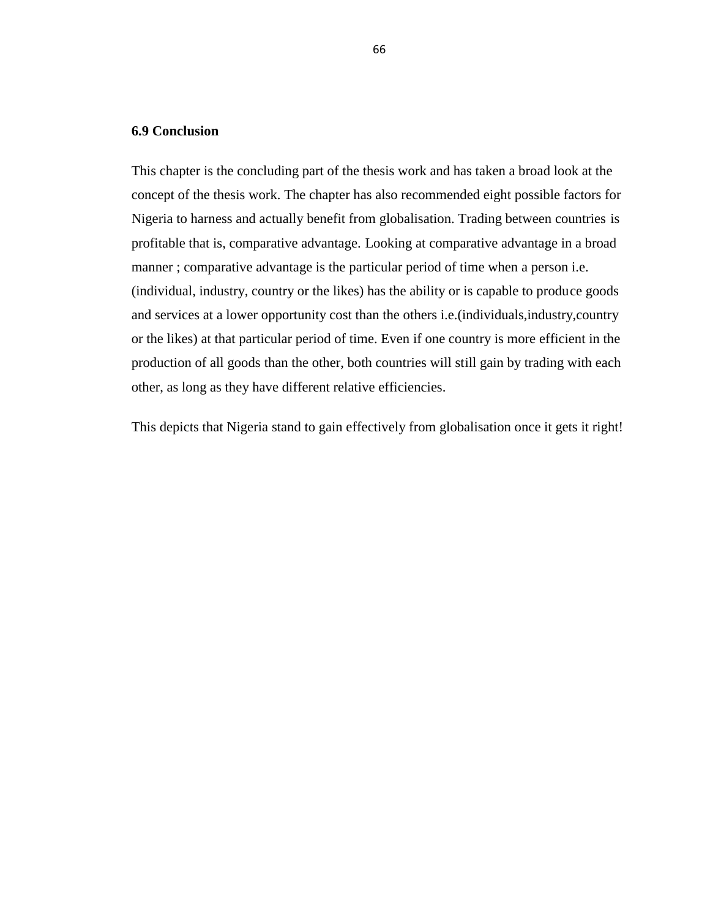## **6.9 Conclusion**

This chapter is the concluding part of the thesis work and has taken a broad look at the concept of the thesis work. The chapter has also recommended eight possible factors for Nigeria to harness and actually benefit from globalisation. Trading between countries is profitable that is, comparative advantage. Looking at comparative advantage in a broad manner ; comparative advantage is the particular period of time when a person i.e. (individual, industry, country or the likes) has the ability or is capable to produce goods and services at a lower opportunity cost than the others i.e.(individuals,industry,country or the likes) at that particular period of time. Even if one country is more efficient in the production of all goods than the other, both countries will still gain by trading with each other, as long as they have different relative efficiencies.

This depicts that Nigeria stand to gain effectively from globalisation once it gets it right!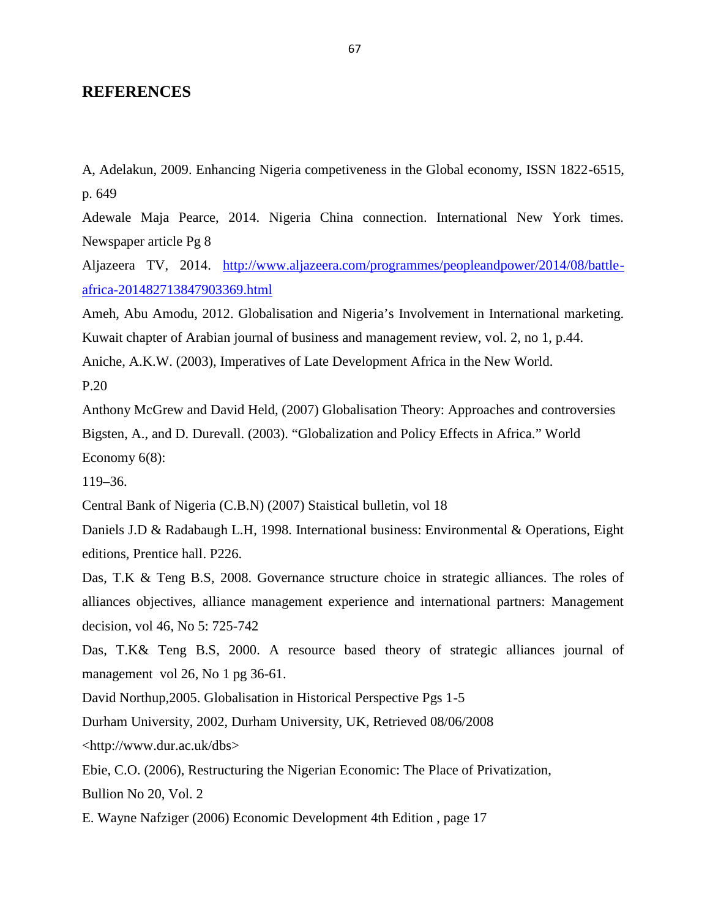# **REFERENCES**

A, Adelakun, 2009. Enhancing Nigeria competiveness in the Global economy, ISSN 1822-6515, p. 649

Adewale Maja Pearce, 2014. Nigeria China connection. International New York times. Newspaper article Pg 8

Aljazeera TV, 2014. http://www.aljazeera.com/programmes/peopleandpower/2014/08/battle africa-201482713847903369.html

Ameh, Abu Amodu, 2012. Globalisation and Nigeria's Involvement in International marketing.

Kuwait chapter of Arabian journal of business and management review, vol. 2, no 1, p.44.

Aniche, A.K.W. (2003), Imperatives of Late Development Africa in the New World.

P.20

Anthony McGrew and David Held, (2007) Globalisation Theory: Approaches and controversies Bigsten, A., and D. Durevall. (2003). "Globalization and Policy Effects in Africa." World Economy 6(8):

119–36.

Central Bank of Nigeria (C.B.N) (2007) Staistical bulletin, vol 18

Daniels J.D & Radabaugh L.H, 1998. International business: Environmental & Operations, Eight editions, Prentice hall. P226.

Das, T.K & Teng B.S, 2008. Governance structure choice in strategic alliances. The roles of alliances objectives, alliance management experience and international partners: Management decision, vol 46, No 5: 725-742

Das, T.K& Teng B.S, 2000. A resource based theory of strategic alliances journal of management vol 26, No 1 pg 36-61.

David Northup,2005. Globalisation in Historical Perspective Pgs 1-5

Durham University, 2002, Durham University, UK, Retrieved 08/06/2008

<http://www.dur.ac.uk/dbs>

Ebie, C.O. (2006), Restructuring the Nigerian Economic: The Place of Privatization,

Bullion No 20, Vol. 2

E. Wayne Nafziger (2006) Economic Development 4th Edition , page 17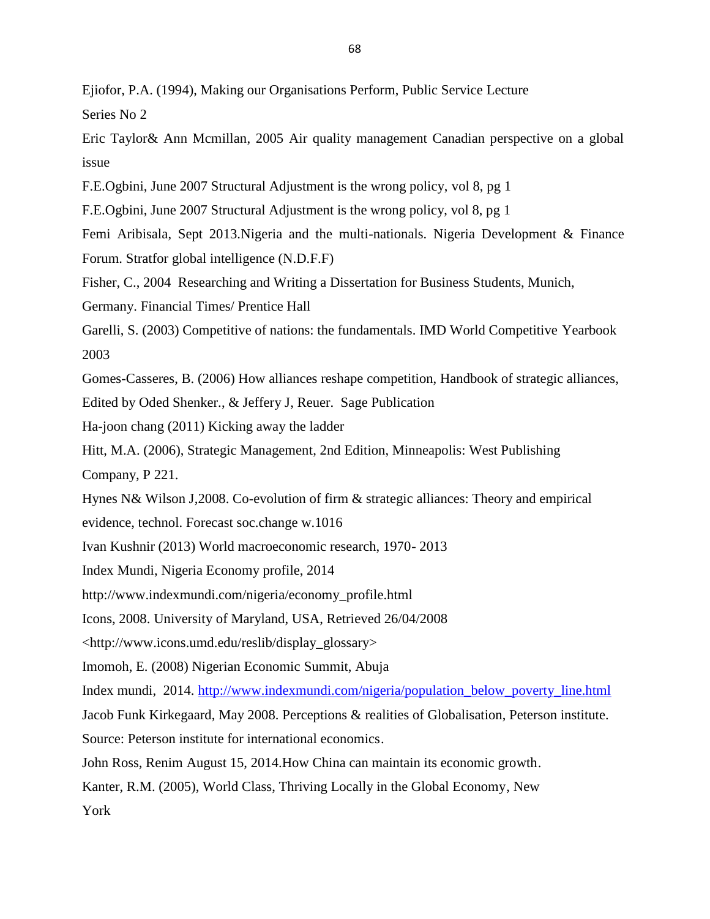Ejiofor, P.A. (1994), Making our Organisations Perform, Public Service Lecture

Series No 2

Eric Taylor& Ann Mcmillan, 2005 Air quality management Canadian perspective on a global issue

F.E.Ogbini, June 2007 Structural Adjustment is the wrong policy, vol 8, pg 1

F.E.Ogbini, June 2007 Structural Adjustment is the wrong policy, vol 8, pg 1

Femi Aribisala, Sept 2013.Nigeria and the multi-nationals. Nigeria Development & Finance Forum. Stratfor global intelligence (N.D.F.F)

Fisher, C., 2004 Researching and Writing a Dissertation for Business Students, Munich,

Germany. Financial Times/ Prentice Hall

Garelli, S. (2003) Competitive of nations: the fundamentals. IMD World Competitive Yearbook 2003

Gomes-Casseres, B. (2006) How alliances reshape competition, Handbook of strategic alliances,

Edited by Oded Shenker., & Jeffery J, Reuer. Sage Publication

Ha-joon chang (2011) Kicking away the ladder

Hitt, M.A. (2006), Strategic Management, 2nd Edition, Minneapolis: West Publishing

Company, P 221.

Hynes N& Wilson J,2008. Co-evolution of firm & strategic alliances: Theory and empirical

evidence, technol. Forecast soc.change w.1016

Ivan Kushnir (2013) World macroeconomic research, 1970- 2013

Index Mundi, Nigeria Economy profile, 2014

http://www.indexmundi.com/nigeria/economy\_profile.html

Icons, 2008. University of Maryland, USA, Retrieved 26/04/2008

<http://www.icons.umd.edu/reslib/display\_glossary>

Imomoh, E. (2008) Nigerian Economic Summit, Abuja

Index mundi, 2014. http://www.indexmundi.com/nigeria/population\_below\_poverty\_line.html

Jacob Funk Kirkegaard, May 2008. Perceptions & realities of Globalisation, Peterson institute.

Source: Peterson institute for international economics.

John Ross, Renim August 15, 2014.How China can maintain its economic growth.

Kanter, R.M. (2005), World Class, Thriving Locally in the Global Economy, New

York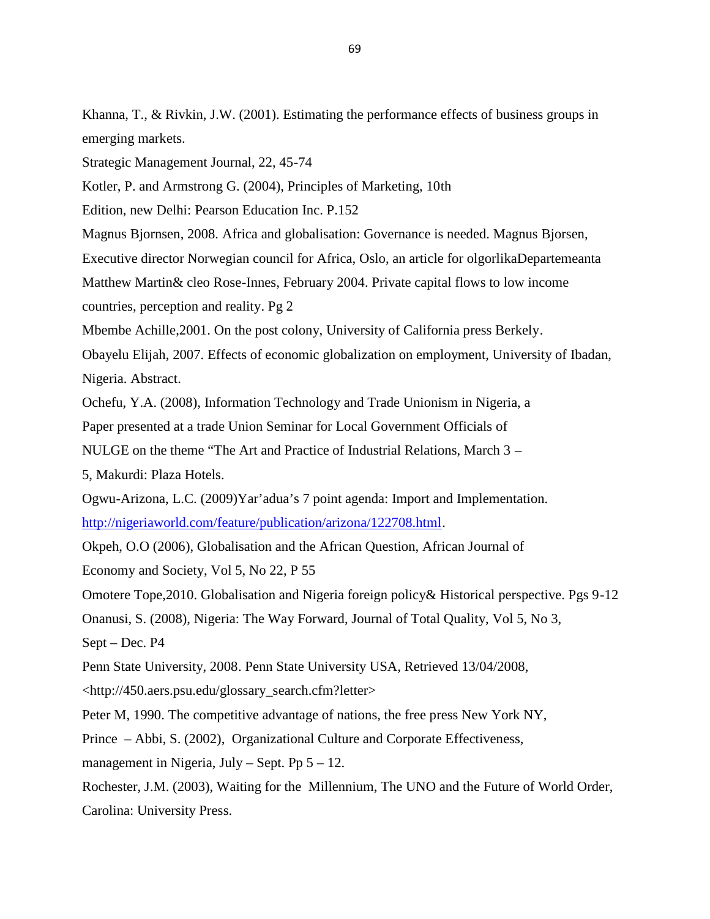Khanna, T., & Rivkin, J.W. (2001). Estimating the performance effects of business groups in emerging markets.

Strategic Management Journal, 22, 45-74

Kotler, P. and Armstrong G. (2004), Principles of Marketing, 10th

Edition, new Delhi: Pearson Education Inc. P.152

Magnus Bjornsen, 2008. Africa and globalisation: Governance is needed. Magnus Bjorsen,

Executive director Norwegian council for Africa, Oslo, an article for olgorlikaDepartemeanta

Matthew Martin& cleo Rose-Innes, February 2004. Private capital flows to low income

countries, perception and reality. Pg 2

Mbembe Achille,2001. On the post colony, University of California press Berkely.

Obayelu Elijah, 2007. Effects of economic globalization on employment, University of Ibadan, Nigeria. Abstract.

Ochefu, Y.A. (2008), Information Technology and Trade Unionism in Nigeria, a

Paper presented at a trade Union Seminar for Local Government Officials of

NULGE on the theme "The Art and Practice of Industrial Relations, March 3 –

5, Makurdi: Plaza Hotels.

Ogwu-Arizona, L.C. (2009)Yar'adua's 7 point agenda: Import and Implementation.

http://nigeriaworld.com/feature/publication/arizona/122708.html.

Okpeh, O.O (2006), Globalisation and the African Question, African Journal of

Economy and Society, Vol 5, No 22, P 55

Omotere Tope,2010. Globalisation and Nigeria foreign policy& Historical perspective. Pgs 9-12

Onanusi, S. (2008), Nigeria: The Way Forward, Journal of Total Quality, Vol 5, No 3,

Sept – Dec. P4

Penn State University, 2008. Penn State University USA, Retrieved 13/04/2008,

<http://450.aers.psu.edu/glossary\_search.cfm?letter>

Peter M, 1990. The competitive advantage of nations, the free press New York NY,

Prince – Abbi, S. (2002), Organizational Culture and Corporate Effectiveness,

management in Nigeria, July – Sept. Pp  $5 - 12$ .

Rochester, J.M. (2003), Waiting for the Millennium, The UNO and the Future of World Order, Carolina: University Press.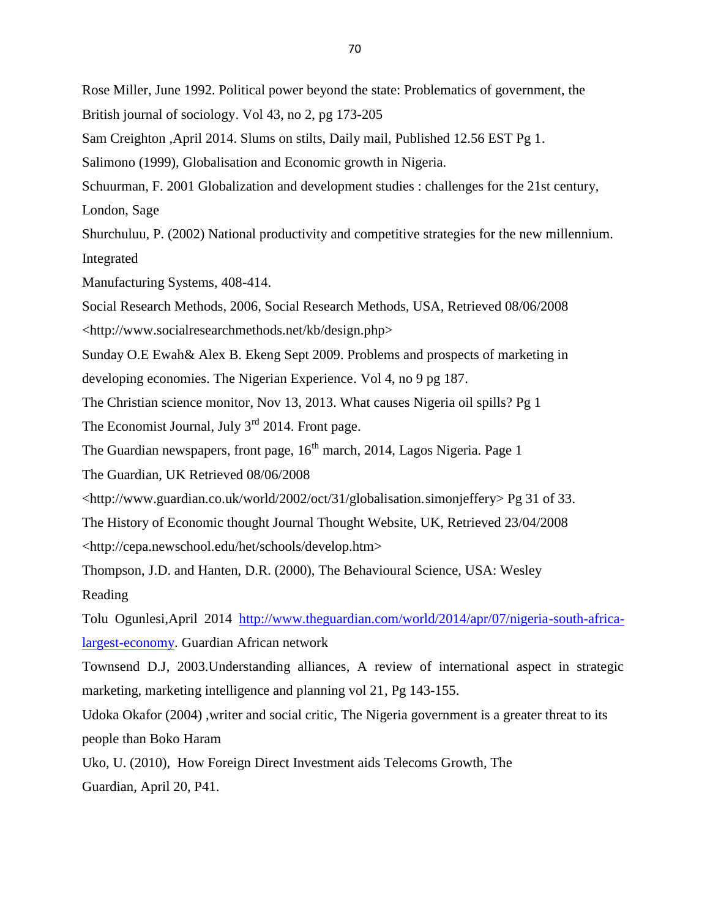Rose Miller, June 1992. Political power beyond the state: Problematics of government, the British journal of sociology. Vol 43, no 2, pg 173-205

Sam Creighton ,April 2014. Slums on stilts, Daily mail, Published 12.56 EST Pg 1.

Salimono (1999), Globalisation and Economic growth in Nigeria.

Schuurman, F. 2001 Globalization and development studies : challenges for the 21st century, London, Sage

Shurchuluu, P. (2002) National productivity and competitive strategies for the new millennium. Integrated

Manufacturing Systems, 408-414.

Social Research Methods, 2006, Social Research Methods, USA, Retrieved 08/06/2008

<http://www.socialresearchmethods.net/kb/design.php>

Sunday O.E Ewah& Alex B. Ekeng Sept 2009. Problems and prospects of marketing in developing economies. The Nigerian Experience. Vol 4, no 9 pg 187.

The Christian science monitor, Nov 13, 2013. What causes Nigeria oil spills? Pg 1

The Economist Journal, July  $3<sup>rd</sup>$  2014. Front page.

The Guardian newspapers, front page, 16<sup>th</sup> march, 2014, Lagos Nigeria. Page 1

The Guardian, UK Retrieved 08/06/2008

<http://www.guardian.co.uk/world/2002/oct/31/globalisation.simonjeffery> Pg 31 of 33.

The History of Economic thought Journal Thought Website, UK, Retrieved 23/04/2008 <http://cepa.newschool.edu/het/schools/develop.htm>

Thompson, J.D. and Hanten, D.R. (2000), The Behavioural Science, USA: Wesley Reading

Tolu Ogunlesi,April 2014 http://www.theguardian.com/world/2014/apr/07/nigeria-south-africalargest-economy. Guardian African network

Townsend D.J, 2003.Understanding alliances, A review of international aspect in strategic marketing, marketing intelligence and planning vol 21, Pg 143-155.

Udoka Okafor (2004) ,writer and social critic, The Nigeria government is a greater threat to its people than Boko Haram

Uko, U. (2010), How Foreign Direct Investment aids Telecoms Growth, The Guardian, April 20, P41.